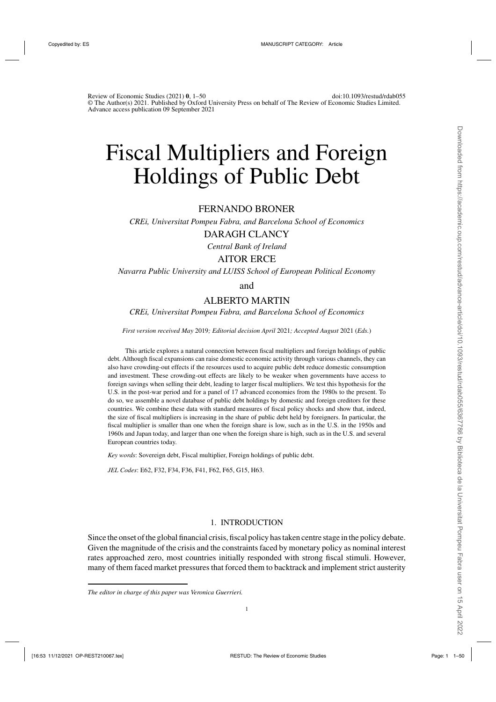# Fiscal Multipliers and Foreign Holdings of Public Debt

# FERNANDO BRONER

*CREi, Universitat Pompeu Fabra, and Barcelona School of Economics*

# DARAGH CLANCY

*Central Bank of Ireland*

# AITOR ERCE

*Navarra Public University and LUISS School of European Political Economy*

and

# ALBERTO MARTIN

*CREi, Universitat Pompeu Fabra, and Barcelona School of Economics*

*First version received May* 2019*; Editorial decision April* 2021*; Accepted August* 2021 (*Eds.*)

This article explores a natural connection between fiscal multipliers and foreign holdings of public debt. Although fiscal expansions can raise domestic economic activity through various channels, they can also have crowding-out effects if the resources used to acquire public debt reduce domestic consumption and investment. These crowding-out effects are likely to be weaker when governments have access to foreign savings when selling their debt, leading to larger fiscal multipliers. We test this hypothesis for the U.S. in the post-war period and for a panel of 17 advanced economies from the 1980s to the present. To do so, we assemble a novel database of public debt holdings by domestic and foreign creditors for these countries. We combine these data with standard measures of fiscal policy shocks and show that, indeed, the size of fiscal multipliers is increasing in the share of public debt held by foreigners. In particular, the fiscal multiplier is smaller than one when the foreign share is low, such as in the U.S. in the 1950s and 1960s and Japan today, and larger than one when the foreign share is high, such as in the U.S. and several European countries today.

*Key words*: Sovereign debt, Fiscal multiplier, Foreign holdings of public debt.

*JEL Codes*: E62, F32, F34, F36, F41, F62, F65, G15, H63.

# 1. INTRODUCTION

Since the onset of the global financial crisis, fiscal policy has taken centre stage in the policy debate. Given the magnitude of the crisis and the constraints faced by monetary policy as nominal interest rates approached zero, most countries initially responded with strong fiscal stimuli. However, many of them faced market pressures that forced them to backtrack and implement strict austerity

*The editor in charge of this paper was Veronica Guerrieri.*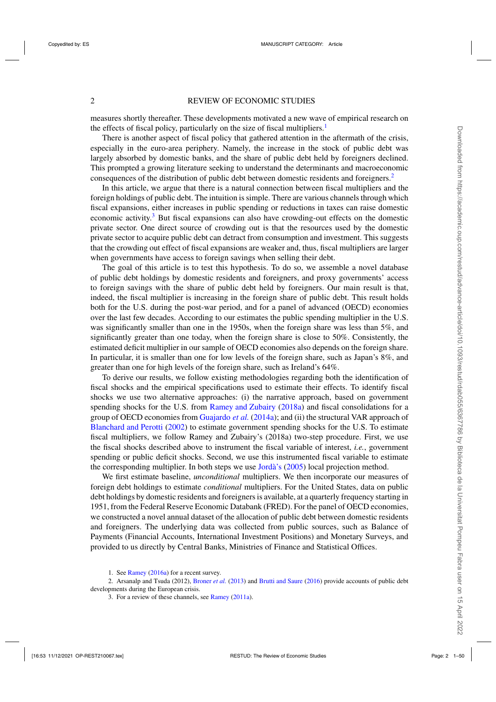measures shortly thereafter. These developments motivated a new wave of empirical research on the effects of fiscal policy, particularly on the size of fiscal multipliers.<sup>1</sup>

There is another aspect of fiscal policy that gathered attention in the aftermath of the crisis, especially in the euro-area periphery. Namely, the increase in the stock of public debt was largely absorbed by domestic banks, and the share of public debt held by foreigners declined. This prompted a growing literature seeking to understand the determinants and macroeconomic consequences of the distribution of public debt between domestic residents and foreigners.<sup>2</sup>

In this article, we argue that there is a natural connection between fiscal multipliers and the foreign holdings of public debt. The intuition is simple. There are various channels through which fiscal expansions, either increases in public spending or reductions in taxes can raise domestic economic activity.<sup>3</sup> But fiscal expansions can also have crowding-out effects on the domestic private sector. One direct source of crowding out is that the resources used by the domestic private sector to acquire public debt can detract from consumption and investment. This suggests that the crowding out effect of fiscal expansions are weaker and, thus, fiscal multipliers are larger when governments have access to foreign savings when selling their debt.

The goal of this article is to test this hypothesis. To do so, we assemble a novel database of public debt holdings by domestic residents and foreigners, and proxy governments' access to foreign savings with the share of public debt held by foreigners. Our main result is that, indeed, the fiscal multiplier is increasing in the foreign share of public debt. This result holds both for the U.S. during the post-war period, and for a panel of advanced (OECD) economies over the last few decades. According to our estimates the public spending multiplier in the U.S. was significantly smaller than one in the 1950s, when the foreign share was less than 5%, and significantly greater than one today, when the foreign share is close to 50%. Consistently, the estimated deficit multiplier in our sample of OECD economies also depends on the foreign share. In particular, it is smaller than one for low levels of the foreign share, such as Japan's 8%, and greater than one for high levels of the foreign share, such as Ireland's 64%.

To derive our results, we follow existing methodologies regarding both the identification of fiscal shocks and the empirical specifications used to estimate their effects. To identify fiscal shocks we use two alternative approaches: (i) the narrative approach, based on government spending shocks for the U.S. from [Ramey and Zubairy](#page-49-0) [\(2018a](#page-49-0)) and fiscal consolidations for a group of OECD economies from [Guajardo](#page-48-0) *et al.* [\(2014a](#page-48-0)); and (ii) the structural VAR approach of [Blanchard and Perotti](#page-47-0) [\(2002](#page-47-0)) to estimate government spending shocks for the U.S. To estimate fiscal multipliers, we follow Ramey and Zubairy's (2018a) two-step procedure. First, we use the fiscal shocks described above to instrument the fiscal variable of interest, *i.e.*, government spending or public deficit shocks. Second, we use this instrumented fiscal variable to estimate the corresponding multiplier. In both steps we use [Jordà's](#page-48-0) [\(2005](#page-48-0)) local projection method.

We first estimate baseline, *unconditional* multipliers. We then incorporate our measures of foreign debt holdings to estimate *conditional* multipliers. For the United States, data on public debt holdings by domestic residents and foreigners is available, at a quarterly frequency starting in 1951, from the Federal Reserve Economic Databank (FRED). For the panel of OECD economies, we constructed a novel annual dataset of the allocation of public debt between domestic residents and foreigners. The underlying data was collected from public sources, such as Balance of Payments (Financial Accounts, International Investment Positions) and Monetary Surveys, and provided to us directly by Central Banks, Ministries of Finance and Statistical Offices.

2. Arsanalp and Tsuda (2012), [Broner](#page-47-0) *et al.* [\(2013\)](#page-47-0) and [Brutti and Saure](#page-47-0) [\(2016](#page-47-0)) provide accounts of public debt developments during the European crisis.

<sup>1.</sup> See [Ramey](#page-49-0) [\(2016a](#page-49-0)) for a recent survey.

<sup>3.</sup> For a review of these channels, see [Ramey](#page-48-0) [\(2011a\)](#page-48-0).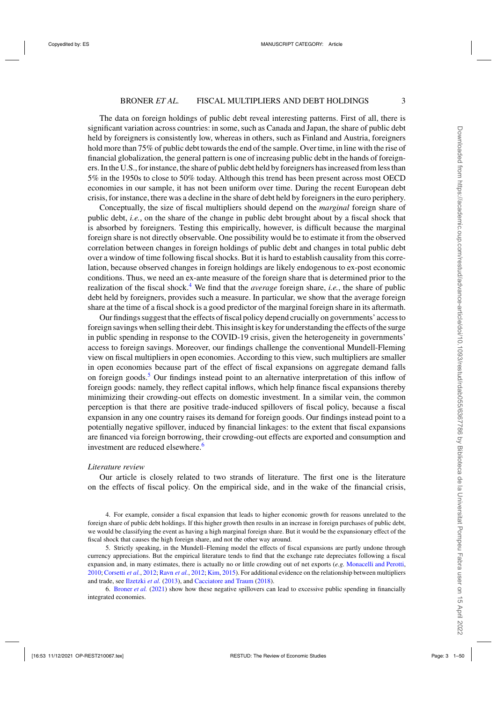The data on foreign holdings of public debt reveal interesting patterns. First of all, there is significant variation across countries: in some, such as Canada and Japan, the share of public debt held by foreigners is consistently low, whereas in others, such as Finland and Austria, foreigners hold more than 75% of public debt towards the end of the sample. Over time, in line with the rise of financial globalization, the general pattern is one of increasing public debt in the hands of foreigners. In the U.S., for instance, the share of public debt held by foreigners has increased from less than 5% in the 1950s to close to 50% today. Although this trend has been present across most OECD economies in our sample, it has not been uniform over time. During the recent European debt crisis, for instance, there was a decline in the share of debt held by foreigners in the euro periphery.

Conceptually, the size of fiscal multipliers should depend on the *marginal* foreign share of public debt, *i.e.*, on the share of the change in public debt brought about by a fiscal shock that is absorbed by foreigners. Testing this empirically, however, is difficult because the marginal foreign share is not directly observable. One possibility would be to estimate it from the observed correlation between changes in foreign holdings of public debt and changes in total public debt over a window of time following fiscal shocks. But it is hard to establish causality from this correlation, because observed changes in foreign holdings are likely endogenous to ex-post economic conditions. Thus, we need an ex-ante measure of the foreign share that is determined prior to the realization of the fiscal shock.<sup>4</sup> We find that the *average* foreign share, *i.e.*, the share of public debt held by foreigners, provides such a measure. In particular, we show that the average foreign share at the time of a fiscal shock is a good predictor of the marginal foreign share in its aftermath.

Our findings suggest that the effects of fiscal policy depend crucially on governments' access to foreign savings when selling their debt. This insight is key for understanding the effects of the surge in public spending in response to the COVID-19 crisis, given the heterogeneity in governments' access to foreign savings. Moreover, our findings challenge the conventional Mundell-Fleming view on fiscal multipliers in open economies. According to this view, such multipliers are smaller in open economies because part of the effect of fiscal expansions on aggregate demand falls on foreign goods.5 Our findings instead point to an alternative interpretation of this inflow of foreign goods: namely, they reflect capital inflows, which help finance fiscal expansions thereby minimizing their crowding-out effects on domestic investment. In a similar vein, the common perception is that there are positive trade-induced spillovers of fiscal policy, because a fiscal expansion in any one country raises its demand for foreign goods. Our findings instead point to a potentially negative spillover, induced by financial linkages: to the extent that fiscal expansions are financed via foreign borrowing, their crowding-out effects are exported and consumption and investment are reduced elsewhere.<sup>6</sup>

#### *Literature review*

Our article is closely related to two strands of literature. The first one is the literature on the effects of fiscal policy. On the empirical side, and in the wake of the financial crisis,

4. For example, consider a fiscal expansion that leads to higher economic growth for reasons unrelated to the foreign share of public debt holdings. If this higher growth then results in an increase in foreign purchases of public debt, we would be classifying the event as having a high marginal foreign share. But it would be the expansionary effect of the fiscal shock that causes the high foreign share, and not the other way around.

5. Strictly speaking, in the Mundell–Fleming model the effects of fiscal expansions are partly undone through currency appreciations. But the empirical literature tends to find that the exchange rate depreciates following a fiscal expansion and, in many estimates, there is actually no or little crowding out of net exports (*e.g.* [Monacelli and Perotti](#page-48-0), [2010;](#page-48-0) [Corsetti](#page-47-0) *et al.*, [2012](#page-47-0); [Ravn](#page-49-0) *et al.*, [2012;](#page-49-0) [Kim,](#page-48-0) [2015](#page-48-0)). For additional evidence on the relationship between multipliers and trade, see [Ilzetzki](#page-48-0) *et al.* [\(2013\)](#page-48-0), and [Cacciatore and Traum](#page-47-0) [\(2018](#page-47-0)).

6. [Broner](#page-47-0) *et al.* [\(2021](#page-47-0)) show how these negative spillovers can lead to excessive public spending in financially integrated economies.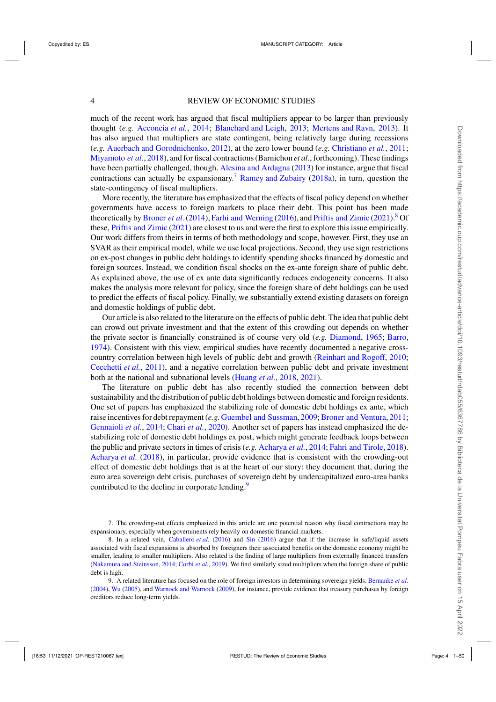much of the recent work has argued that fiscal multipliers appear to be larger than previously thought (*e.g.* [Acconcia](#page-47-0) *et al.*, [2014](#page-47-0); [Blanchard and Leigh,](#page-47-0) [2013](#page-47-0); [Mertens and Ravn,](#page-48-0) [2013](#page-48-0)). It has also argued that multipliers are state contingent, being relatively large during recessions (*e.g.* [Auerbach and Gorodnichenko,](#page-47-0) [2012\)](#page-47-0), at the zero lower bound (*e.g.* [Christiano](#page-47-0) *et al.*, [2011;](#page-47-0) [Miyamoto](#page-48-0) *et al.*, [2018\)](#page-48-0), and for fiscal contractions (Barnichon *et al.*, forthcoming). These findings have been partially challenged, though. [Alesina and Ardagna](#page-47-0) [\(2013](#page-47-0)) for instance, argue that fiscal contractions can actually be expansionary.<sup>7</sup> [Ramey and Zubairy](#page-49-0) [\(2018a\)](#page-49-0), in turn, question the state-contingency of fiscal multipliers.

More recently, the literature has emphasized that the effects of fiscal policy depend on whether governments have access to foreign markets to place their debt. This point has been made theoretically by [Broner](#page-47-0) *et al.* [\(2014\)](#page-47-0), [Farhi and Werning](#page-48-0) [\(2016](#page-48-0)), and [Priftis and Zimic](#page-48-0) [\(2021\)](#page-48-0).<sup>8</sup> Of these, [Priftis and Zimic](#page-48-0) [\(2021](#page-48-0)) are closest to us and were the first to explore this issue empirically. Our work differs from theirs in terms of both methodology and scope, however. First, they use an SVAR as their empirical model, while we use local projections. Second, they use sign restrictions on ex-post changes in public debt holdings to identify spending shocks financed by domestic and foreign sources. Instead, we condition fiscal shocks on the ex-ante foreign share of public debt. As explained above, the use of ex ante data significantly reduces endogeneity concerns. It also makes the analysis more relevant for policy, since the foreign share of debt holdings can be used to predict the effects of fiscal policy. Finally, we substantially extend existing datasets on foreign and domestic holdings of public debt.

Our article is also related to the literature on the effects of public debt. The idea that public debt can crowd out private investment and that the extent of this crowding out depends on whether the private sector is financially constrained is of course very old (*e.g.* [Diamond](#page-48-0), [1965](#page-48-0); [Barro,](#page-47-0) [1974\)](#page-47-0). Consistent with this view, empirical studies have recently documented a negative crosscountry correlation between high levels of public debt and growth [\(Reinhart and Rogoff](#page-49-0), [2010;](#page-49-0) [Cecchetti](#page-47-0) *et al.*, [2011\)](#page-47-0), and a negative correlation between public debt and private investment both at the national and subnational levels [\(Huang](#page-48-0) *et al.*, [2018,](#page-48-0) [2021\)](#page-48-0).

The literature on public debt has also recently studied the connection between debt sustainability and the distribution of public debt holdings between domestic and foreign residents. One set of papers has emphasized the stabilizing role of domestic debt holdings ex ante, which raise incentives for debt repayment (*e.g.* [Guembel and Sussman](#page-48-0), [2009](#page-48-0); [Broner and Ventura,](#page-47-0) [2011;](#page-47-0) [Gennaioli](#page-48-0) *et al.*, [2014;](#page-48-0) [Chari](#page-47-0) *et al.*, [2020](#page-47-0)). Another set of papers has instead emphasized the destabilizing role of domestic debt holdings ex post, which might generate feedback loops between the public and private sectors in times of crisis (*e.g.* [Acharya](#page-47-0) *et al.*, [2014](#page-47-0); [Fahri and Tirole](#page-48-0), [2018\)](#page-48-0). [Acharya](#page-47-0) *et al.* [\(2018\)](#page-47-0), in particular, provide evidence that is consistent with the crowding-out effect of domestic debt holdings that is at the heart of our story: they document that, during the euro area sovereign debt crisis, purchases of sovereign debt by undercapitalized euro-area banks contributed to the decline in corporate lending.<sup>9</sup>

<sup>7.</sup> The crowding-out effects emphasized in this article are one potential reason why fiscal contractions may be expansionary, especially when governments rely heavily on domestic financial markets.

<sup>8.</sup> In a related vein, [Caballero](#page-47-0) *et al.* [\(2016](#page-47-0)) and [Sin](#page-49-0) [\(2016\)](#page-49-0) argue that if the increase in safe/liquid assets associated with fiscal expansions is absorbed by foreigners their associated benefits on the domestic economy might be smaller, leading to smaller multipliers. Also related is the finding of large multipliers from externally financed transfers [\(Nakamura and Steinsson,](#page-48-0) [2014;](#page-48-0) [Corbi](#page-47-0) *et al.*, [2019](#page-47-0)). We find similarly sized multipliers when the foreign share of public debt is high.

<sup>9.</sup> A related literature has focused on the role of foreign investors in determining sovereign yields. [Bernanke](#page-47-0) *et al.* [\(2004\)](#page-47-0), [Wu](#page-49-0) [\(2005\)](#page-49-0), and [Warnock and Warnock](#page-49-0) [\(2009\)](#page-49-0), for instance, provide evidence that treasury purchases by foreign creditors reduce long-term yields.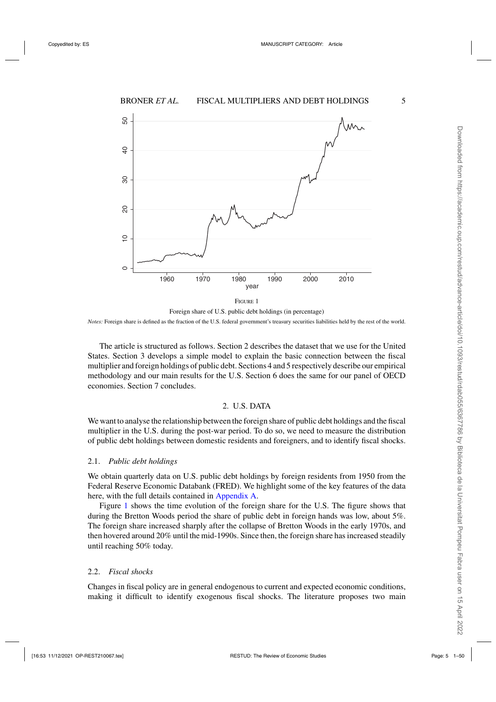<span id="page-4-0"></span>

Foreign share of U.S. public debt holdings (in percentage) *Notes:* Foreign share is defined as the fraction of the U.S. federal government's treasury securities liabilities held by the rest of the world.

The article is structured as follows. Section 2 describes the dataset that we use for the United States. Section 3 develops a simple model to explain the basic connection between the fiscal multiplier and foreign holdings of public debt. Sections 4 and 5 respectively describe our empirical methodology and our main results for the U.S. Section 6 does the same for our panel of OECD economies. Section 7 concludes.

# 2. U.S. DATA

We want to analyse the relationship between the foreign share of public debt holdings and the fiscal multiplier in the U.S. during the post-war period. To do so, we need to measure the distribution of public debt holdings between domestic residents and foreigners, and to identify fiscal shocks.

#### 2.1. *Public debt holdings*

We obtain quarterly data on U.S. public debt holdings by foreign residents from 1950 from the Federal Reserve Economic Databank (FRED). We highlight some of the key features of the data here, with the full details contained in [Appendix A.](https://academic.oup.com/restud/article-lookup/doi/10.1093/restud/rdab055#supplementary-data)

Figure 1 shows the time evolution of the foreign share for the U.S. The figure shows that during the Bretton Woods period the share of public debt in foreign hands was low, about 5%. The foreign share increased sharply after the collapse of Bretton Woods in the early 1970s, and then hovered around 20% until the mid-1990s. Since then, the foreign share has increased steadily until reaching 50% today.

### 2.2. *Fiscal shocks*

Changes in fiscal policy are in general endogenous to current and expected economic conditions, making it difficult to identify exogenous fiscal shocks. The literature proposes two main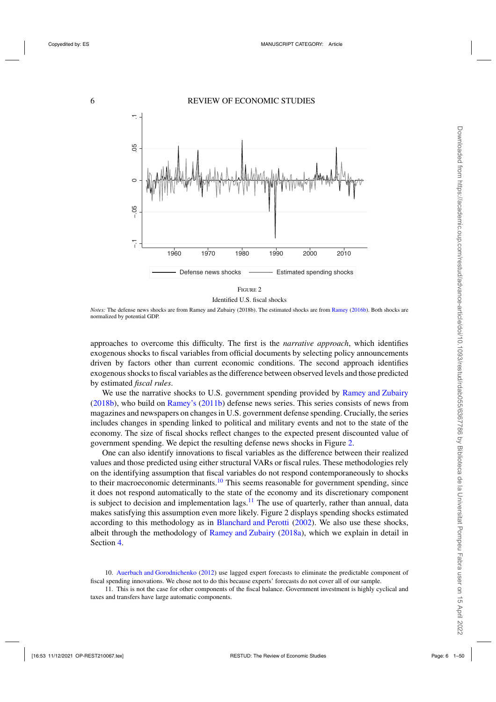<span id="page-5-0"></span>

Identified U.S. fiscal shocks

*Notes:* The defense news shocks are from Ramey and Zubairy (2018b). The estimated shocks are from [Ramey](#page-49-0) [\(2016b\)](#page-49-0). Both shocks are normalized by potential GDP.

approaches to overcome this difficulty. The first is the *narrative approach*, which identifies exogenous shocks to fiscal variables from official documents by selecting policy announcements driven by factors other than current economic conditions. The second approach identifies exogenous shocks to fiscal variables as the difference between observed levels and those predicted by estimated *fiscal rules*.

We use the narrative shocks to U.S. government spending provided by [Ramey and Zubairy](#page-49-0) [\(2018b](#page-49-0)), who build on [Ramey's](#page-49-0) [\(2011b\)](#page-49-0) defense news series. This series consists of news from magazines and newspapers on changes in U.S. government defense spending. Crucially, the series includes changes in spending linked to political and military events and not to the state of the economy. The size of fiscal shocks reflect changes to the expected present discounted value of government spending. We depict the resulting defense news shocks in Figure 2.

One can also identify innovations to fiscal variables as the difference between their realized values and those predicted using either structural VARs or fiscal rules. These methodologies rely on the identifying assumption that fiscal variables do not respond contemporaneously to shocks to their macroeconomic determinants.<sup>10</sup> This seems reasonable for government spending, since it does not respond automatically to the state of the economy and its discretionary component is subject to decision and implementation lags.<sup>11</sup> The use of quarterly, rather than annual, data makes satisfying this assumption even more likely. Figure 2 displays spending shocks estimated according to this methodology as in [Blanchard and Perotti](#page-47-0) [\(2002](#page-47-0)). We also use these shocks, albeit through the methodology of [Ramey and Zubairy](#page-49-0) [\(2018a\)](#page-49-0), which we explain in detail in Section [4.](#page-9-0)

<sup>10.</sup> [Auerbach and Gorodnichenko](#page-47-0) [\(2012\)](#page-47-0) use lagged expert forecasts to eliminate the predictable component of fiscal spending innovations. We chose not to do this because experts' forecasts do not cover all of our sample.

<sup>11.</sup> This is not the case for other components of the fiscal balance. Government investment is highly cyclical and taxes and transfers have large automatic components.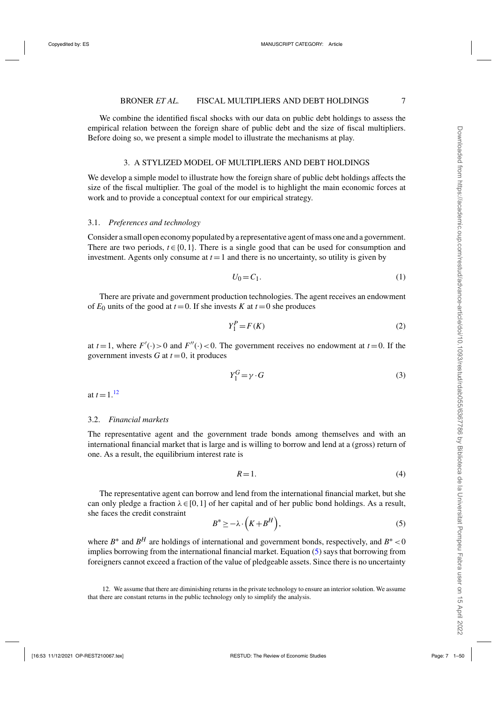<span id="page-6-0"></span>We combine the identified fiscal shocks with our data on public debt holdings to assess the empirical relation between the foreign share of public debt and the size of fiscal multipliers. Before doing so, we present a simple model to illustrate the mechanisms at play.

# 3. A STYLIZED MODEL OF MULTIPLIERS AND DEBT HOLDINGS

We develop a simple model to illustrate how the foreign share of public debt holdings affects the size of the fiscal multiplier. The goal of the model is to highlight the main economic forces at work and to provide a conceptual context for our empirical strategy.

# 3.1. *Preferences and technology*

Consider a small open economy populated by a representative agent of mass one and a government. There are two periods,  $t \in \{0, 1\}$ . There is a single good that can be used for consumption and investment. Agents only consume at  $t = 1$  and there is no uncertainty, so utility is given by

$$
U_0 = C_1. \tag{1}
$$

There are private and government production technologies. The agent receives an endowment of  $E_0$  units of the good at  $t = 0$ . If she invests *K* at  $t = 0$  she produces

$$
Y_1^P = F(K) \tag{2}
$$

at  $t = 1$ , where  $F'(\cdot) > 0$  and  $F''(\cdot) < 0$ . The government receives no endowment at  $t = 0$ . If the government invests  $G$  at  $t = 0$ , it produces

$$
Y_1^G = \gamma \cdot G \tag{3}
$$

at  $t = 1.12$ 

# 3.2. *Financial markets*

The representative agent and the government trade bonds among themselves and with an international financial market that is large and is willing to borrow and lend at a (gross) return of one. As a result, the equilibrium interest rate is

$$
R=1.\t\t(4)
$$

The representative agent can borrow and lend from the international financial market, but she can only pledge a fraction  $\lambda \in [0,1]$  of her capital and of her public bond holdings. As a result, she faces the credit constraint

$$
B^* \ge -\lambda \cdot \left( K + B^H \right),\tag{5}
$$

where  $B^*$  and  $B^H$  are holdings of international and government bonds, respectively, and  $B^*$  < 0 implies borrowing from the international financial market. Equation (5) says that borrowing from foreigners cannot exceed a fraction of the value of pledgeable assets. Since there is no uncertainty

<sup>12.</sup> We assume that there are diminishing returns in the private technology to ensure an interior solution. We assume that there are constant returns in the public technology only to simplify the analysis.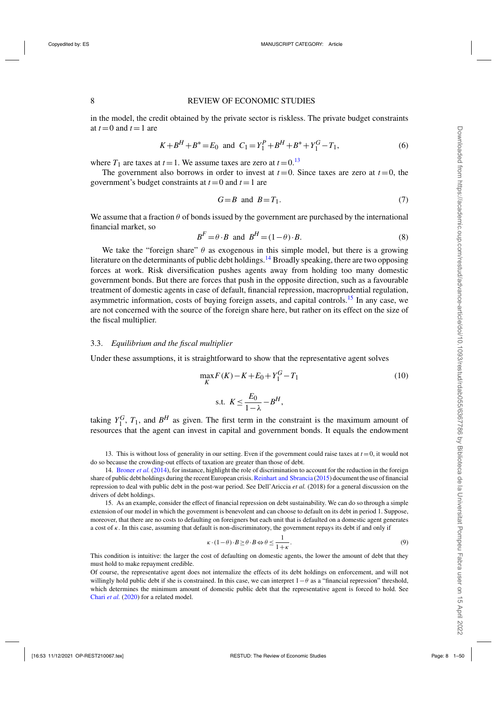#### 8 REVIEW OF ECONOMIC STUDIES

in the model, the credit obtained by the private sector is riskless. The private budget constraints at  $t = 0$  and  $t = 1$  are

$$
K + BH + B* = E0 \text{ and } C1 = Y1P + BH + B* + Y1G - T1,
$$
 (6)

where  $T_1$  are taxes at  $t = 1$ . We assume taxes are zero at  $t = 0$ .<sup>13</sup>

The government also borrows in order to invest at  $t=0$ . Since taxes are zero at  $t=0$ , the government's budget constraints at  $t = 0$  and  $t = 1$  are

$$
G = B \quad \text{and} \quad B = T_1. \tag{7}
$$

We assume that a fraction  $\theta$  of bonds issued by the government are purchased by the international financial market, so

$$
BF = \theta \cdot B \text{ and } BH = (1 - \theta) \cdot B. \tag{8}
$$

We take the "foreign share"  $\theta$  as exogenous in this simple model, but there is a growing literature on the determinants of public debt holdings.<sup>14</sup> Broadly speaking, there are two opposing forces at work. Risk diversification pushes agents away from holding too many domestic government bonds. But there are forces that push in the opposite direction, such as a favourable treatment of domestic agents in case of default, financial repression, macroprudential regulation, asymmetric information, costs of buying foreign assets, and capital controls.<sup>15</sup> In any case, we are not concerned with the source of the foreign share here, but rather on its effect on the size of the fiscal multiplier.

#### 3.3. *Equilibrium and the fiscal multiplier*

Under these assumptions, it is straightforward to show that the representative agent solves

$$
\max_{K} F(K) - K + E_0 + Y_1^G - T_1
$$
\n
$$
s.t. \ K \le \frac{E_0}{1 - \lambda} - B^H,
$$
\n(10)

taking  $Y_1^G$ ,  $T_1$ , and  $B^H$  as given. The first term in the constraint is the maximum amount of resources that the agent can invest in capital and government bonds. It equals the endowment

13. This is without loss of generality in our setting. Even if the government could raise taxes at  $t = 0$ , it would not do so because the crowding-out effects of taxation are greater than those of debt.

14. [Broner](#page-47-0) *et al.* [\(2014\)](#page-47-0), for instance, highlight the role of discrimination to account for the reduction in the foreign share of public debt holdings during the recent European crisis. [Reinhart and Sbrancia](#page-49-0) [\(2015\)](#page-49-0) document the use of financial repression to deal with public debt in the post-war period. See Dell'Ariccia *et al.* (2018) for a general discussion on the drivers of debt holdings.

15. As an example, consider the effect of financial repression on debt sustainability. We can do so through a simple extension of our model in which the government is benevolent and can choose to default on its debt in period 1. Suppose, moreover, that there are no costs to defaulting on foreigners but each unit that is defaulted on a domestic agent generates a cost of  $\kappa$ . In this case, assuming that default is non-discriminatory, the government repays its debt if and only if

$$
\kappa \cdot (1 - \theta) \cdot B \ge \theta \cdot B \Leftrightarrow \theta \le \frac{1}{1 + \kappa}.
$$
\n(9)

This condition is intuitive: the larger the cost of defaulting on domestic agents, the lower the amount of debt that they must hold to make repayment credible.

Of course, the representative agent does not internalize the effects of its debt holdings on enforcement, and will not willingly hold public debt if she is constrained. In this case, we can interpret  $1-\theta$  as a "financial repression" threshold, which determines the minimum amount of domestic public debt that the representative agent is forced to hold. See [Chari](#page-47-0) *et al.* [\(2020](#page-47-0)) for a related model.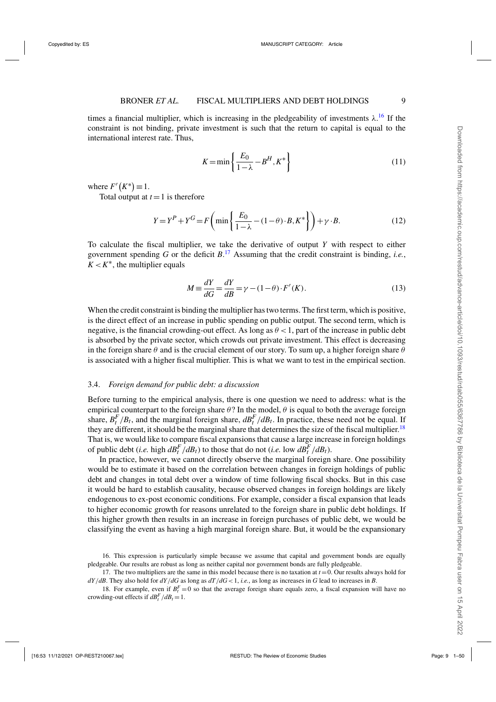times a financial multiplier, which is increasing in the pledgeability of investments  $\lambda$ .<sup>16</sup> If the constraint is not binding, private investment is such that the return to capital is equal to the international interest rate. Thus,

$$
K = \min\left\{\frac{E_0}{1 - \lambda} - B^H, K^*\right\} \tag{11}
$$

where  $F'(K^*) \equiv 1$ .

Total output at  $t = 1$  is therefore

$$
Y = YP + YG = F\left(\min\left\{\frac{E_0}{1-\lambda} - (1-\theta) \cdot B, K^*\right\}\right) + \gamma \cdot B. \tag{12}
$$

To calculate the fiscal multiplier, we take the derivative of output *Y* with respect to either government spending *G* or the deficit *B*. <sup>17</sup> Assuming that the credit constraint is binding, *i.e.*,  $K < K^*$ , the multiplier equals

$$
M \equiv \frac{dY}{dG} = \frac{dY}{dB} = \gamma - (1 - \theta) \cdot F'(K). \tag{13}
$$

When the credit constraint is binding the multiplier has two terms. The first term, which is positive, is the direct effect of an increase in public spending on public output. The second term, which is negative, is the financial crowding-out effect. As long as  $\theta < 1$ , part of the increase in public debt is absorbed by the private sector, which crowds out private investment. This effect is decreasing in the foreign share  $\theta$  and is the crucial element of our story. To sum up, a higher foreign share  $\theta$ is associated with a higher fiscal multiplier. This is what we want to test in the empirical section.

# 3.4. *Foreign demand for public debt: a discussion*

Before turning to the empirical analysis, there is one question we need to address: what is the empirical counterpart to the foreign share  $\theta$ ? In the model,  $\theta$  is equal to both the average foreign share,  $B_t^F/B_t$ , and the marginal foreign share,  $dB_t^F/dB_t$ . In practice, these need not be equal. If they are different, it should be the marginal share that determines the size of the fiscal multiplier.<sup>18</sup> That is, we would like to compare fiscal expansions that cause a large increase in foreign holdings of public debt (*i.e.* high  $dB_t^F/dB_t$ ) to those that do not (*i.e.* low  $dB_t^F/dB_t$ ).

In practice, however, we cannot directly observe the marginal foreign share. One possibility would be to estimate it based on the correlation between changes in foreign holdings of public debt and changes in total debt over a window of time following fiscal shocks. But in this case it would be hard to establish causality, because observed changes in foreign holdings are likely endogenous to ex-post economic conditions. For example, consider a fiscal expansion that leads to higher economic growth for reasons unrelated to the foreign share in public debt holdings. If this higher growth then results in an increase in foreign purchases of public debt, we would be classifying the event as having a high marginal foreign share. But, it would be the expansionary

<sup>16.</sup> This expression is particularly simple because we assume that capital and government bonds are equally pledgeable. Our results are robust as long as neither capital nor government bonds are fully pledgeable.

<sup>17.</sup> The two multipliers are the same in this model because there is no taxation at  $t = 0$ . Our results always hold for  $dY/dB$ . They also hold for  $dY/dG$  as long as  $dT/dG < 1$ , *i.e.*, as long as increases in *G* lead to increases in *B*.

<sup>18.</sup> For example, even if  $B_t^F = 0$  so that the average foreign share equals zero, a fiscal expansion will have no crowding-out effects if  $dB_t^F/dB_t = 1$ .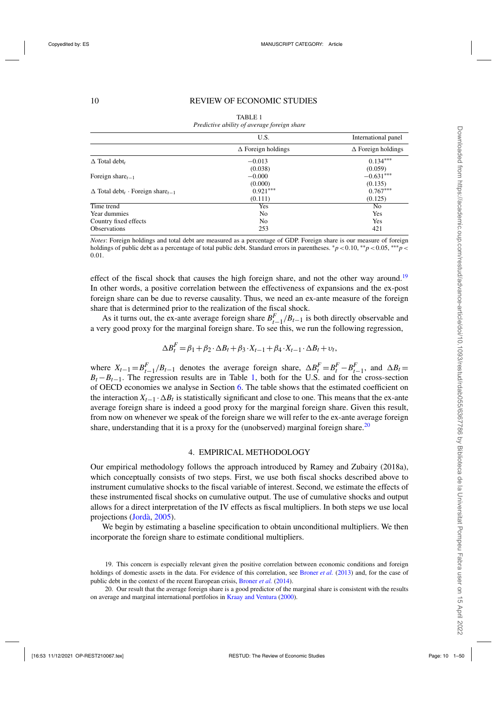<span id="page-9-0"></span>

|                                                                 | U.S.                      | International panel       |
|-----------------------------------------------------------------|---------------------------|---------------------------|
|                                                                 | $\Delta$ Foreign holdings | $\Delta$ Foreign holdings |
| $\Delta$ Total debt,                                            | $-0.013$<br>(0.038)       | $0.134***$<br>(0.059)     |
| Foreign share $t_{t-1}$                                         | $-0.000$<br>(0.000)       | $-0.631***$<br>(0.135)    |
| $\Delta$ Total debt <sub>t</sub> · Foreign share <sub>t-1</sub> | $0.921***$<br>(0.111)     | $0.767***$<br>(0.125)     |
| Time trend                                                      | Yes                       | No                        |
| Year dummies                                                    | No                        | Yes                       |
| Country fixed effects                                           | No                        | Yes                       |
| <b>Observations</b>                                             | 253                       | 421                       |

TABLE 1 *Predictive ability of average foreign share*

*Notes*: Foreign holdings and total debt are measured as a percentage of GDP. Foreign share is our measure of foreign holdings of public debt as a percentage of total public debt. Standard errors in parentheses. <sup>∗</sup>*p*<0.10, ∗∗*p*<0.05, ∗∗∗*p*< 0.01.

effect of the fiscal shock that causes the high foreign share, and not the other way around.<sup>19</sup> In other words, a positive correlation between the effectiveness of expansions and the ex-post foreign share can be due to reverse causality. Thus, we need an ex-ante measure of the foreign share that is determined prior to the realization of the fiscal shock.

As it turns out, the ex-ante average foreign share  $B_{t-1}^F/B_{t-1}$  is both directly observable and a very good proxy for the marginal foreign share. To see this, we run the following regression,

$$
\Delta B_t^F = \beta_1 + \beta_2 \cdot \Delta B_t + \beta_3 \cdot X_{t-1} + \beta_4 \cdot X_{t-1} \cdot \Delta B_t + \nu_t,
$$

where  $X_{t-1} = B_{t-1}^F/B_{t-1}$  denotes the average foreign share,  $\Delta B_t^F = B_t^F - B_{t-1}^F$ , and  $\Delta B_t =$  $B_t - B_{t-1}$ . The regression results are in Table 1, both for the U.S. and for the cross-section of OECD economies we analyse in Section [6.](#page-20-0) The table shows that the estimated coefficient on the interaction  $X_{t-1} \cdot \Delta B_t$  is statistically significant and close to one. This means that the ex-ante average foreign share is indeed a good proxy for the marginal foreign share. Given this result, from now on whenever we speak of the foreign share we will refer to the ex-ante average foreign share, understanding that it is a proxy for the (unobserved) marginal foreign share.<sup>20</sup>

# 4. EMPIRICAL METHODOLOGY

Our empirical methodology follows the approach introduced by Ramey and Zubairy (2018a), which conceptually consists of two steps. First, we use both fiscal shocks described above to instrument cumulative shocks to the fiscal variable of interest. Second, we estimate the effects of these instrumented fiscal shocks on cumulative output. The use of cumulative shocks and output allows for a direct interpretation of the IV effects as fiscal multipliers. In both steps we use local projections [\(Jordà,](#page-48-0) [2005\)](#page-48-0).

We begin by estimating a baseline specification to obtain unconditional multipliers. We then incorporate the foreign share to estimate conditional multipliers.

<sup>19.</sup> This concern is especially relevant given the positive correlation between economic conditions and foreign holdings of domestic assets in the data. For evidence of this correlation, see [Broner](#page-47-0) *et al.* [\(2013\)](#page-47-0) and, for the case of public debt in the context of the recent European crisis, [Broner](#page-47-0) *et al.* [\(2014\)](#page-47-0).

<sup>20.</sup> Our result that the average foreign share is a good predictor of the marginal share is consistent with the results on average and marginal international portfolios in [Kraay and Ventura](#page-48-0) [\(2000\)](#page-48-0).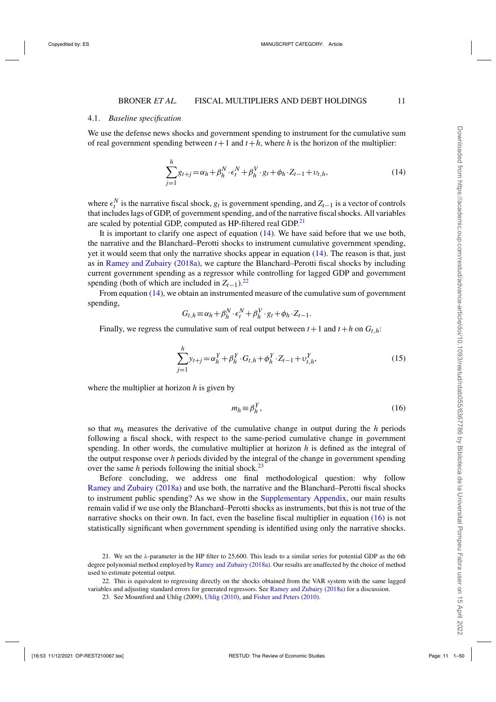# 4.1. *Baseline specification*

We use the defense news shocks and government spending to instrument for the cumulative sum of real government spending between  $t+1$  and  $t+h$ , where *h* is the horizon of the multiplier:

$$
\sum_{j=1}^{h} g_{t+j} = \alpha_h + \beta_h^N \cdot \epsilon_t^N + \beta_h^V \cdot g_t + \phi_h \cdot Z_{t-1} + \upsilon_{t,h},
$$
\n(14)

where  $\epsilon_t^N$  is the narrative fiscal shock, *g<sub>t</sub>* is government spending, and  $Z_{t-1}$  is a vector of controls that includes lags of GDP, of government spending, and of the narrative fiscal shocks. All variables are scaled by potential GDP, computed as HP-filtered real GDP.<sup>21</sup>

It is important to clarify one aspect of equation (14). We have said before that we use both, the narrative and the Blanchard–Perotti shocks to instrument cumulative government spending, yet it would seem that only the narrative shocks appear in equation (14). The reason is that, just as in [Ramey and Zubairy](#page-49-0) [\(2018a](#page-49-0)), we capture the Blanchard–Perotti fiscal shocks by including current government spending as a regressor while controlling for lagged GDP and government spending (both of which are included in  $Z_{t-1}$ ).<sup>22</sup>

From equation (14), we obtain an instrumented measure of the cumulative sum of government spending,

$$
G_{t,h} \equiv \alpha_h + \beta_h^N \cdot \epsilon_t^N + \beta_h^V \cdot g_t + \phi_h \cdot Z_{t-1}.
$$

Finally, we regress the cumulative sum of real output between  $t+1$  and  $t+h$  on  $G_{t,h}$ :

$$
\sum_{j=1}^{h} y_{t+j} = \alpha_h^Y + \beta_h^Y \cdot G_{t,h} + \phi_h^Y \cdot Z_{t-1} + \upsilon_{t,h}^Y, \tag{15}
$$

where the multiplier at horizon *h* is given by

$$
m_h \equiv \beta_h^Y,\tag{16}
$$

so that *mh* measures the derivative of the cumulative change in output during the *h* periods following a fiscal shock, with respect to the same-period cumulative change in government spending. In other words, the cumulative multiplier at horizon *h* is defined as the integral of the output response over *h* periods divided by the integral of the change in government spending over the same *h* periods following the initial shock.<sup>23</sup>

Before concluding, we address one final methodological question: why follow [Ramey and Zubairy](#page-49-0) [\(2018a](#page-49-0)) and use both, the narrative and the Blanchard–Perotti fiscal shocks to instrument public spending? As we show in the [Supplementary Appendix,](https://academic.oup.com/restud/article-lookup/doi/10.1093/restud/rdab055#supplementary-data) our main results remain valid if we use only the Blanchard–Perotti shocks as instruments, but this is not true of the narrative shocks on their own. In fact, even the baseline fiscal multiplier in equation (16) is not statistically significant when government spending is identified using only the narrative shocks.

<sup>21.</sup> We set the  $\lambda$ -parameter in the HP filter to 25,600. This leads to a similar series for potential GDP as the 6th degree polynomial method employed by [Ramey and Zubairy](#page-49-0) [\(2018a\)](#page-49-0). Our results are unaffected by the choice of method used to estimate potential output.

<sup>22.</sup> This is equivalent to regressing directly on the shocks obtained from the VAR system with the same lagged variables and adjusting standard errors for generated regressors. See [Ramey and Zubairy](#page-49-0) [\(2018a\)](#page-49-0) for a discussion.

<sup>23.</sup> See Mountford and Uhlig (2009), [Uhlig](#page-49-0) [\(2010\)](#page-49-0), and [Fisher and Peters](#page-48-0) [\(2010](#page-48-0)).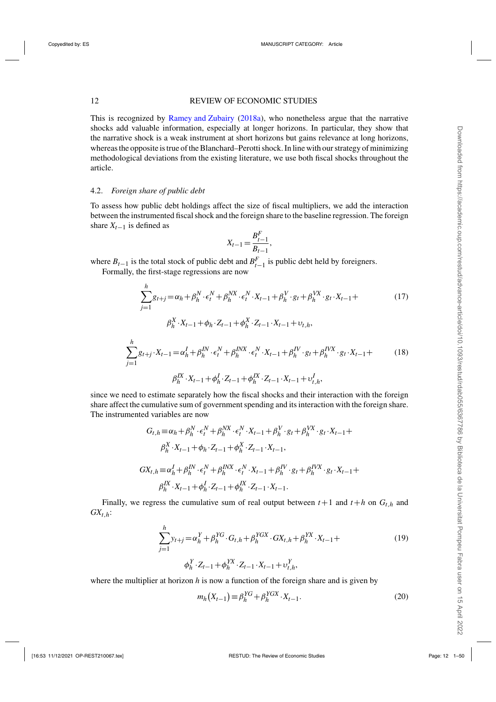<span id="page-11-0"></span>This is recognized by [Ramey and Zubairy](#page-49-0) [\(2018a](#page-49-0)), who nonetheless argue that the narrative shocks add valuable information, especially at longer horizons. In particular, they show that the narrative shock is a weak instrument at short horizons but gains relevance at long horizons, whereas the opposite is true of the Blanchard–Perotti shock. In line with our strategy of minimizing methodological deviations from the existing literature, we use both fiscal shocks throughout the article.

# 4.2. *Foreign share of public debt*

To assess how public debt holdings affect the size of fiscal multipliers, we add the interaction between the instrumented fiscal shock and the foreign share to the baseline regression. The foreign share  $X_{t-1}$  is defined as

$$
X_{t-1} = \frac{B_{t-1}^F}{B_{t-1}},
$$

where  $B_{t-1}$  is the total stock of public debt and  $B_{t-1}^F$  is public debt held by foreigners.

Formally, the first-stage regressions are now

$$
\sum_{j=1}^{h} g_{t+j} = \alpha_h + \beta_h^N \cdot \epsilon_t^N + \beta_h^{NX} \cdot \epsilon_t^N \cdot X_{t-1} + \beta_h^V \cdot g_t + \beta_h^{VX} \cdot g_t \cdot X_{t-1} +
$$
\n
$$
\beta_h^X \cdot X_{t-1} + \phi_h \cdot Z_{t-1} + \phi_h^X \cdot Z_{t-1} \cdot X_{t-1} + \upsilon_{t,h},
$$
\n
$$
\sum_{j=1}^{h} g_{t+j} \cdot X_{t-1} = \alpha_h^I + \beta_h^{IN} \cdot \epsilon_t^N + \beta_h^{INX} \cdot \epsilon_t^N \cdot X_{t-1} + \beta_h^{IV} \cdot g_t + \beta_h^{IVX} \cdot g_t \cdot X_{t-1} +
$$
\n
$$
\beta_h^{IX} \cdot X_{t-1} + \phi_h^I \cdot Z_{t-1} + \phi_h^{IX} \cdot Z_{t-1} \cdot X_{t-1} + \upsilon_{t,h}^I,
$$
\n
$$
(18)
$$

since we need to estimate separately how the fiscal shocks and their interaction with the foreign share affect the cumulative sum of government spending and its interaction with the foreign share. The instrumented variables are now

$$
G_{t,h} = \alpha_h + \beta_h^N \cdot \epsilon_t^N + \beta_h^{NX} \cdot \epsilon_t^N \cdot X_{t-1} + \beta_h^V \cdot g_t + \beta_h^{VX} \cdot g_t \cdot X_{t-1} +
$$
  
\n
$$
\beta_h^X \cdot X_{t-1} + \phi_h \cdot Z_{t-1} + \phi_h^X \cdot Z_{t-1} \cdot X_{t-1},
$$
  
\n
$$
GX_{t,h} = \alpha_h^I + \beta_h^{IN} \cdot \epsilon_t^N + \beta_h^{INX} \cdot \epsilon_t^N \cdot X_{t-1} + \beta_h^{IV} \cdot g_t + \beta_h^{IVX} \cdot g_t \cdot X_{t-1} +
$$
  
\n
$$
\beta_h^{IX} \cdot X_{t-1} + \phi_h^I \cdot Z_{t-1} + \phi_h^{IX} \cdot Z_{t-1} \cdot X_{t-1}.
$$

Finally, we regress the cumulative sum of real output between  $t+1$  and  $t+h$  on  $G_{t,h}$  and *GXt*,*h*:

$$
\sum_{j=1}^{h} y_{t+j} = \alpha_h^Y + \beta_h^{YG} \cdot G_{t,h} + \beta_h^{YGX} \cdot GX_{t,h} + \beta_h^{YX} \cdot X_{t-1} +
$$
  
\n
$$
\phi_h^Y \cdot Z_{t-1} + \phi_h^{YX} \cdot Z_{t-1} \cdot X_{t-1} + \upsilon_{t,h}^Y,
$$
\n(19)

where the multiplier at horizon *h* is now a function of the foreign share and is given by

$$
m_h(X_{t-1}) \equiv \beta_h^{YG} + \beta_h^{YGX} \cdot X_{t-1}.
$$
\n<sup>(20)</sup>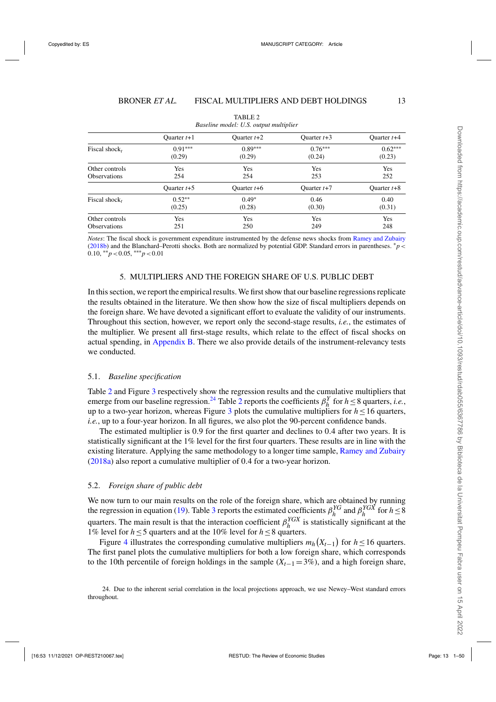<span id="page-12-0"></span>

|                     | $B$ <i>ascure moder</i> , $\circ$ is, $\circ$ <i>mpm</i> moneypher |               |               |               |  |  |  |
|---------------------|--------------------------------------------------------------------|---------------|---------------|---------------|--|--|--|
|                     | Ouarter $t+1$                                                      | Ouarter $t+2$ | Ouarter $t+3$ | Ouarter $t+4$ |  |  |  |
| Fiscal shock,       | $0.91***$                                                          | $0.89***$     | $0.76***$     | $0.62***$     |  |  |  |
|                     | (0.29)                                                             | (0.29)        | (0.24)        | (0.23)        |  |  |  |
| Other controls      | Yes                                                                | Yes           | Yes           | Yes           |  |  |  |
| <b>Observations</b> | 254                                                                | 254           | 253           | 252           |  |  |  |
|                     | Ouarter $t+5$                                                      | Ouarter $t+6$ | Ouarter $t+7$ | Ouarter $t+8$ |  |  |  |
| Fiscal shock,       | $0.52**$                                                           | $0.49*$       | 0.46          | 0.40          |  |  |  |
|                     | (0.25)                                                             | (0.28)        | (0.30)        | (0.31)        |  |  |  |
| Other controls      | Yes                                                                | Yes           | Yes           | Yes           |  |  |  |
| <b>Observations</b> | 251                                                                | 250           | 249           | 248           |  |  |  |

TABLE 2 *Baseline model: U.S. output multiplier*

*Notes*: The fiscal shock is government expenditure instrumented by the defense news shocks from [Ramey and Zubairy](#page-49-0) [\(2018b](#page-49-0)) and the Blanchard–Perotti shocks. Both are normalized by potential GDP. Standard errors in parentheses. <sup>∗</sup>*p*< 0.10, ∗∗*p*<0.05, ∗∗∗*p*<0.01

### 5. MULTIPLIERS AND THE FOREIGN SHARE OF U.S. PUBLIC DEBT

In this section, we report the empirical results. We first show that our baseline regressions replicate the results obtained in the literature. We then show how the size of fiscal multipliers depends on the foreign share. We have devoted a significant effort to evaluate the validity of our instruments. Throughout this section, however, we report only the second-stage results, *i.e.*, the estimates of the multiplier. We present all first-stage results, which relate to the effect of fiscal shocks on actual spending, in [Appendix B.](https://academic.oup.com/restud/article-lookup/doi/10.1093/restud/rdab055#supplementary-data) There we also provide details of the instrument-relevancy tests we conducted.

#### 5.1. *Baseline specification*

Table 2 and Figure [3](#page-13-0) respectively show the regression results and the cumulative multipliers that emerge from our baseline regression.<sup>24</sup> Table 2 reports the coefficients  $\beta_h^Y$  for  $h \le 8$  quarters, *i.e.*, up to a two-year horizon, whereas Figure [3](#page-13-0) plots the cumulative multipliers for  $h \le 16$  quarters, *i.e.*, up to a four-year horizon. In all figures, we also plot the 90-percent confidence bands.

The estimated multiplier is 0.9 for the first quarter and declines to 0.4 after two years. It is statistically significant at the 1% level for the first four quarters. These results are in line with the existing literature. Applying the same methodology to a longer time sample, [Ramey and Zubairy](#page-49-0) [\(2018a](#page-49-0)) also report a cumulative multiplier of 0.4 for a two-year horizon.

#### 5.2. *Foreign share of public debt*

We now turn to our main results on the role of the foreign share, which are obtained by running the regression in equation [\(19\)](#page-11-0). Table [3](#page-13-0) reports the estimated coefficients  $\beta_h^{YG}$  and  $\beta_h^{YGX}$  for  $h \leq 8$ quarters. The main result is that the interaction coefficient  $\beta_h^{YGX}$  is statistically significant at the 1% level for *h*≤5 quarters and at the 10% level for *h*≤8 quarters.

Figure [4](#page-14-0) illustrates the corresponding cumulative multipliers  $m_h(X_{t-1})$  for  $h \le 16$  quarters. The first panel plots the cumulative multipliers for both a low foreign share, which corresponds to the 10th percentile of foreign holdings in the sample (*Xt*−<sup>1</sup> =3%), and a high foreign share,

<sup>24.</sup> Due to the inherent serial correlation in the local projections approach, we use Newey–West standard errors throughout.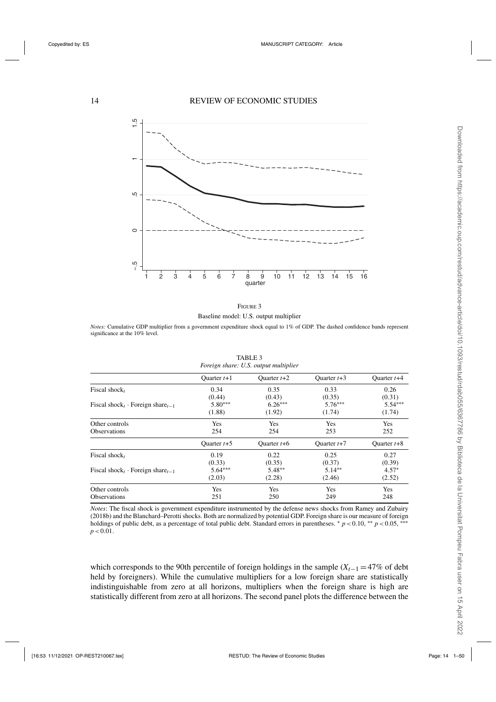<span id="page-13-0"></span>

Baseline model: U.S. output multiplier

*Notes:* Cumulative GDP multiplier from a government expenditure shock equal to 1% of GDP. The dashed confidence bands represent significance at the 10% level.

| roreign snare. O.S. Output muttiplier                    |               |               |               |               |  |
|----------------------------------------------------------|---------------|---------------|---------------|---------------|--|
|                                                          | Ouarter $t+1$ | Ouarter $t+2$ | Ouarter $t+3$ | Ouarter $t+4$ |  |
| Fiscal shock,                                            | 0.34          | 0.35          | 0.33          | 0.26          |  |
|                                                          | (0.44)        | (0.43)        | (0.35)        | (0.31)        |  |
| Fiscal shock <sub>t</sub> · Foreign share <sub>t-1</sub> | $5.80***$     | $6.26***$     | $5.76***$     | $5.54***$     |  |
|                                                          | (1.88)        | (1.92)        | (1.74)        | (1.74)        |  |
| Other controls                                           | Yes           | Yes           | Yes           | Yes           |  |
| <b>Observations</b>                                      | 254           | 254           | 253           | 252           |  |
|                                                          | Ouarter $t+5$ | Ouarter $t+6$ | Ouarter $t+7$ | Ouarter $t+8$ |  |
| Fiscal shock,                                            | 0.19          | 0.22          | 0.25          | 0.27          |  |
|                                                          | (0.33)        | (0.35)        | (0.37)        | (0.39)        |  |
| Fiscal shock <sub>t</sub> · Foreign share <sub>t-1</sub> | $5.64***$     | $5.48**$      | $5.14**$      | $4.57*$       |  |
|                                                          | (2.03)        | (2.28)        | (2.46)        | (2.52)        |  |
| Other controls                                           | Yes           | Yes           | Yes           | Yes           |  |
| <b>Observations</b>                                      | 251           | 250           | 249           | 248           |  |

| TABLE 3 |  |                                       |  |  |  |  |
|---------|--|---------------------------------------|--|--|--|--|
|         |  | Foreign share: U.S. output multiplier |  |  |  |  |

*Notes*: The fiscal shock is government expenditure instrumented by the defense news shocks from Ramey and Zubairy (2018b) and the Blanchard–Perotti shocks. Both are normalized by potential GDP. Foreign share is our measure of foreign holdings of public debt, as a percentage of total public debt. Standard errors in parentheses. *\* p* <0.10, *\*\* p* <0.05, <sup>∗∗∗</sup>  $p < 0.01$ .

which corresponds to the 90th percentile of foreign holdings in the sample  $(X_{t-1} = 47\%$  of debt held by foreigners). While the cumulative multipliers for a low foreign share are statistically indistinguishable from zero at all horizons, multipliers when the foreign share is high are statistically different from zero at all horizons. The second panel plots the difference between the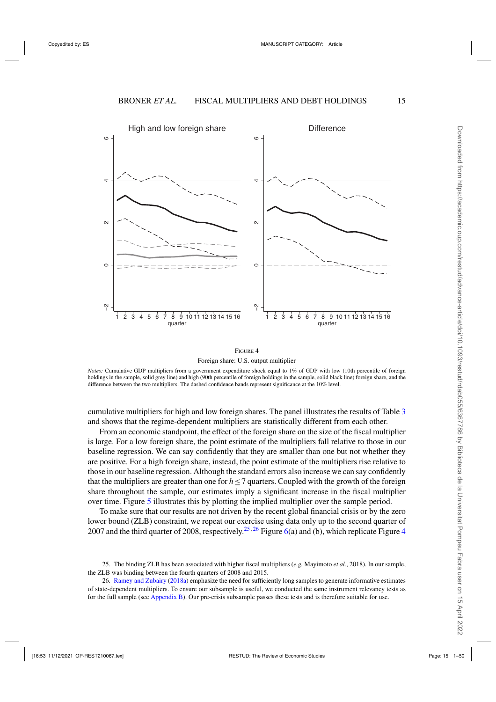<span id="page-14-0"></span>

Foreign share: U.S. output multiplier

*Notes:* Cumulative GDP multipliers from a government expenditure shock equal to 1% of GDP with low (10th percentile of foreign holdings in the sample, solid grey line) and high (90th percentile of foreign holdings in the sample, solid black line) foreign share, and the difference between the two multipliers. The dashed confidence bands represent significance at the 10% level.

cumulative multipliers for high and low foreign shares. The panel illustrates the results of Table [3](#page-13-0) and shows that the regime-dependent multipliers are statistically different from each other.

From an economic standpoint, the effect of the foreign share on the size of the fiscal multiplier is large. For a low foreign share, the point estimate of the multipliers fall relative to those in our baseline regression. We can say confidently that they are smaller than one but not whether they are positive. For a high foreign share, instead, the point estimate of the multipliers rise relative to those in our baseline regression. Although the standard errors also increase we can say confidently that the multipliers are greater than one for *h*≤7 quarters. Coupled with the growth of the foreign share throughout the sample, our estimates imply a significant increase in the fiscal multiplier over time. Figure [5](#page-15-0) illustrates this by plotting the implied multiplier over the sample period.

To make sure that our results are not driven by the recent global financial crisis or by the zero lower bound (ZLB) constraint, we repeat our exercise using data only up to the second quarter of 2007 and the third quarter of 2008, respectively.<sup>25,26</sup> Figure [6\(](#page-16-0)a) and (b), which replicate Figure 4

<sup>25.</sup> The binding ZLB has been associated with higher fiscal multipliers (*e.g.* Mayimoto *et al.*, 2018). In our sample, the ZLB was binding between the fourth quarters of 2008 and 2015.

<sup>26.</sup> [Ramey and Zubairy](#page-49-0) [\(2018a\)](#page-49-0) emphasize the need for sufficiently long samples to generate informative estimates of state-dependent multipliers. To ensure our subsample is useful, we conducted the same instrument relevancy tests as for the full sample (see [Appendix B\)](https://academic.oup.com/restud/article-lookup/doi/10.1093/restud/rdab055#supplementary-data). Our pre-crisis subsample passes these tests and is therefore suitable for use.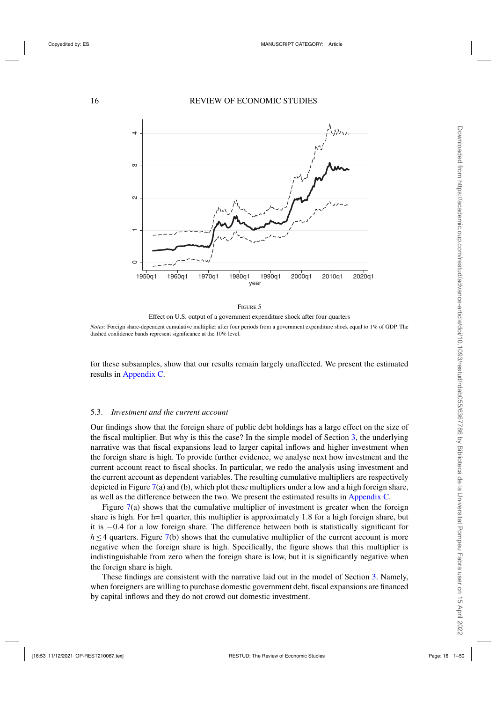<span id="page-15-0"></span>



*Notes:* Foreign share-dependent cumulative multiplier after four periods from a government expenditure shock equal to 1% of GDP. The dashed confidence bands represent significance at the 10% level.

for these subsamples, show that our results remain largely unaffected. We present the estimated results in [Appendix C.](https://academic.oup.com/restud/article-lookup/doi/10.1093/restud/rdab055#supplementary-data)

# 5.3. *Investment and the current account*

Our findings show that the foreign share of public debt holdings has a large effect on the size of the fiscal multiplier. But why is this the case? In the simple model of Section [3,](#page-6-0) the underlying narrative was that fiscal expansions lead to larger capital inflows and higher investment when the foreign share is high. To provide further evidence, we analyse next how investment and the current account react to fiscal shocks. In particular, we redo the analysis using investment and the current account as dependent variables. The resulting cumulative multipliers are respectively depicted in Figure [7\(](#page-17-0)a) and (b), which plot these multipliers under a low and a high foreign share, as well as the difference between the two. We present the estimated results in [Appendix C.](https://academic.oup.com/restud/article-lookup/doi/10.1093/restud/rdab055#supplementary-data)

Figure [7\(](#page-17-0)a) shows that the cumulative multiplier of investment is greater when the foreign share is high. For h=1 quarter, this multiplier is approximately 1.8 for a high foreign share, but it is −0.4 for a low foreign share. The difference between both is statistically significant for *h* ≤4 quarters. Figure [7\(](#page-17-0)b) shows that the cumulative multiplier of the current account is more negative when the foreign share is high. Specifically, the figure shows that this multiplier is indistinguishable from zero when the foreign share is low, but it is significantly negative when the foreign share is high.

These findings are consistent with the narrative laid out in the model of Section [3.](#page-6-0) Namely, when foreigners are willing to purchase domestic government debt, fiscal expansions are financed by capital inflows and they do not crowd out domestic investment.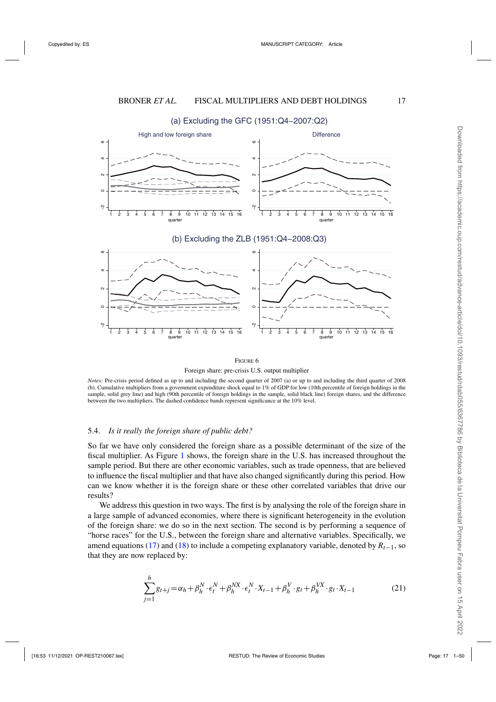<span id="page-16-0"></span>

# (a) Excluding the GFC (1951:Q4−2007:Q2)



*Notes:* Pre-crisis period defined as up to and including the second quarter of 2007 (a) or up to and including the third quarter of 2008 (b). Cumulative multipliers from a government expenditure shock equal to 1% of GDP for low (10th percentile of foreign holdings in the sample, solid grey line) and high (90th percentile of foreign holdings in the sample, solid black line) foreign shares, and the difference between the two multipliers. The dashed confidence bands represent significance at the 10% level.

# 5.4. *Is it really the foreign share of public debt?*

So far we have only considered the foreign share as a possible determinant of the size of the fiscal multiplier. As Figure [1](#page-4-0) shows, the foreign share in the U.S. has increased throughout the sample period. But there are other economic variables, such as trade openness, that are believed to influence the fiscal multiplier and that have also changed significantly during this period. How can we know whether it is the foreign share or these other correlated variables that drive our results?

We address this question in two ways. The first is by analysing the role of the foreign share in a large sample of advanced economies, where there is significant heterogeneity in the evolution of the foreign share: we do so in the next section. The second is by performing a sequence of "horse races" for the U.S., between the foreign share and alternative variables. Specifically, we amend equations [\(17\)](#page-11-0) and [\(18\)](#page-11-0) to include a competing explanatory variable, denoted by *Rt*−1, so that they are now replaced by:

$$
\sum_{j=1}^{h} g_{t+j} = \alpha_h + \beta_h^N \cdot \epsilon_t^N + \beta_h^{NX} \cdot \epsilon_t^N \cdot X_{t-1} + \beta_h^V \cdot g_t + \beta_h^{VX} \cdot g_t \cdot X_{t-1}
$$
 (21)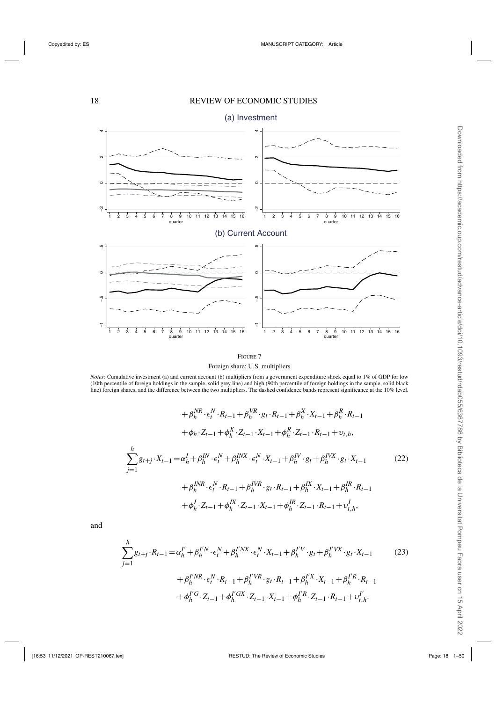<span id="page-17-0"></span>

Foreign share: U.S. multipliers

*Notes:* Cumulative investment (a) and current account (b) multipliers from a government expenditure shock equal to 1% of GDP for low<br>(10th percentile of foreign holdings in the sample, solid grey line) and high (90th perc line) foreign shares, and the difference between the two multipliers. The dashed confidence bands represent significance at the 10% level.

$$
+\beta_{h}^{NR} \cdot \epsilon_{t}^{N} \cdot R_{t-1} + \beta_{h}^{VR} \cdot g_{t} \cdot R_{t-1} + \beta_{h}^{X} \cdot X_{t-1} + \beta_{h}^{R} \cdot R_{t-1} \n+ \phi_{h} \cdot Z_{t-1} + \phi_{h}^{X} \cdot Z_{t-1} \cdot X_{t-1} + \phi_{h}^{R} \cdot Z_{t-1} \cdot R_{t-1} + \upsilon_{t,h},
$$
\n
$$
\sum_{j=1}^{h} g_{t+j} \cdot X_{t-1} = \alpha_{h}^{I} + \beta_{h}^{IN} \cdot \epsilon_{t}^{N} + \beta_{h}^{INX} \cdot \epsilon_{t}^{N} \cdot X_{t-1} + \beta_{h}^{IV} \cdot g_{t} + \beta_{h}^{IVX} \cdot g_{t} \cdot X_{t-1} \n+ \beta_{h}^{INR} \cdot \epsilon_{t}^{N} \cdot R_{t-1} + \beta_{h}^{IVR} \cdot g_{t} \cdot R_{t-1} + \beta_{h}^{IX} \cdot X_{t-1} + \beta_{h}^{IR} \cdot R_{t-1} \n+ \phi_{h}^{I} \cdot Z_{t-1} + \phi_{h}^{IX} \cdot Z_{t-1} \cdot X_{t-1} + \phi_{h}^{IR} \cdot Z_{t-1} \cdot R_{t-1} + \upsilon_{t,h}^{I},
$$
\n(22)

and

$$
\sum_{j=1}^{h} g_{t+j} \cdot R_{t-1} = \alpha_h^{I'} + \beta_h^{I'N} \cdot \epsilon_t^N + \beta_h^{I'NX} \cdot \epsilon_t^N \cdot X_{t-1} + \beta_h^{I'V} \cdot g_t + \beta_h^{I'VX} \cdot g_t \cdot X_{t-1}
$$
\n
$$
+ \beta_h^{I'NR} \cdot \epsilon_t^N \cdot R_{t-1} + \beta_h^{I'VR} \cdot g_t \cdot R_{t-1} + \beta_h^{I'X} \cdot X_{t-1} + \beta_h^{I'R} \cdot R_{t-1}
$$
\n
$$
+ \phi_h^{I'G} \cdot Z_{t-1} + \phi_h^{I'GX} \cdot Z_{t-1} \cdot X_{t-1} + \phi_h^{I'R} \cdot Z_{t-1} \cdot R_{t-1} + \upsilon_{t,h}^{I'}
$$
\n
$$
(23)
$$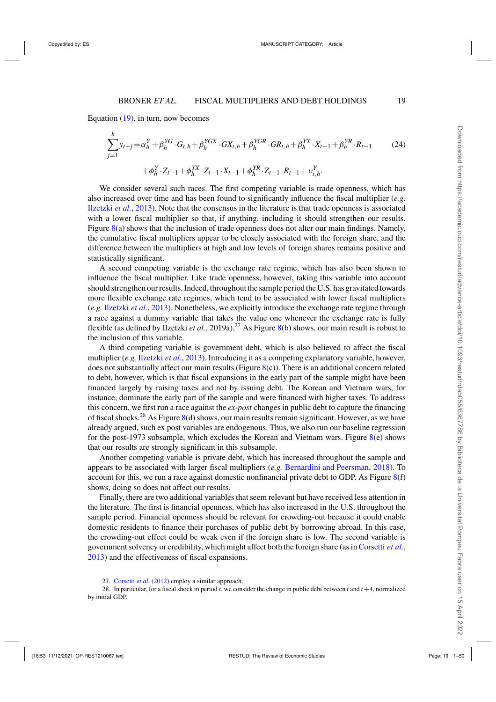Equation  $(19)$ , in turn, now becomes

$$
\sum_{j=1}^{h} y_{t+j} = \alpha_h^Y + \beta_h^{YG} \cdot G_{t,h} + \beta_h^{YGX} \cdot GX_{t,h} + \beta_h^{YGR} \cdot GR_{t,h} + \beta_h^{YX} \cdot X_{t-1} + \beta_h^{YR} \cdot R_{t-1}
$$
\n
$$
+ \phi_h^Y \cdot Z_{t-1} + \phi_h^{YX} \cdot Z_{t-1} \cdot X_{t-1} + \phi_h^{YR} \cdot Z_{t-1} \cdot R_{t-1} + \upsilon_{t,h}^Y.
$$
\n(24)

We consider several such races. The first competing variable is trade openness, which has also increased over time and has been found to significantly influence the fiscal multiplier (*e.g.* [Ilzetzki](#page-48-0) *et al.*, [2013\)](#page-48-0). Note that the consensus in the literature is that trade openness is associated with a lower fiscal multiplier so that, if anything, including it should strengthen our results. Figure [8\(](#page-19-0)a) shows that the inclusion of trade openness does not alter our main findings. Namely, the cumulative fiscal multipliers appear to be closely associated with the foreign share, and the difference between the multipliers at high and low levels of foreign shares remains positive and statistically significant.

A second competing variable is the exchange rate regime, which has also been shown to influence the fiscal multiplier. Like trade openness, however, taking this variable into account should strengthen our results. Indeed, throughout the sample period the U.S. has gravitated towards more flexible exchange rate regimes, which tend to be associated with lower fiscal multipliers (*e.g.* [Ilzetzki](#page-48-0) *et al.*, [2013\)](#page-48-0). Nonetheless, we explicitly introduce the exchange rate regime through a race against a dummy variable that takes the value one whenever the exchange rate is fully flexible (as defined by Ilzetzki *et al.*, 2019a).<sup>27</sup> As Figure [8\(](#page-19-0)b) shows, our main result is robust to the inclusion of this variable.

A third competing variable is government debt, which is also believed to affect the fiscal multiplier (*e.g.* [Ilzetzki](#page-48-0) *et al.*, [2013\)](#page-48-0). Introducing it as a competing explanatory variable, however, does not substantially affect our main results (Figure [8\(](#page-19-0)c)). There is an additional concern related to debt, however, which is that fiscal expansions in the early part of the sample might have been financed largely by raising taxes and not by issuing debt. The Korean and Vietnam wars, for instance, dominate the early part of the sample and were financed with higher taxes. To address this concern, we first run a race against the *ex-post* changes in public debt to capture the financing of fiscal shocks.<sup>28</sup> As Figure  $8(d)$  $8(d)$  shows, our main results remain significant. However, as we have already argued, such ex post variables are endogenous. Thus, we also run our baseline regression for the post-1973 subsample, which excludes the Korean and Vietnam wars. Figure  $8(e)$  $8(e)$  shows that our results are strongly significant in this subsample.

Another competing variable is private debt, which has increased throughout the sample and appears to be associated with larger fiscal multipliers (*e.g.* [Bernardini and Peersman,](#page-47-0) [2018](#page-47-0)). To account for this, we run a race against domestic nonfinancial private debt to GDP. As Figure  $8(f)$  $8(f)$ shows, doing so does not affect our results.

Finally, there are two additional variables that seem relevant but have received less attention in the literature. The first is financial openness, which has also increased in the U.S. throughout the sample period. Financial openness should be relevant for crowding-out because it could enable domestic residents to finance their purchases of public debt by borrowing abroad. In this case, the crowding-out effect could be weak even if the foreign share is low. The second variable is government solvency or credibility, which might affect both the foreign share (as in [Corsetti](#page-48-0) *et al.*, [2013\)](#page-48-0) and the effectiveness of fiscal expansions.

<sup>27.</sup> [Corsetti](#page-47-0) *et al.* [\(2012\)](#page-47-0) employ a similar approach.

<sup>28.</sup> In particular, for a fiscal shock in period *t*, we consider the change in public debt between *t* and *t*+4, normalized by initial GDP.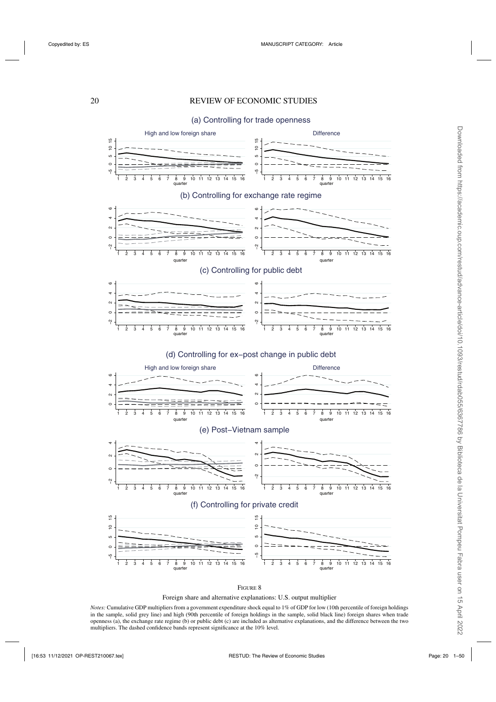# <span id="page-19-0"></span>20 REVIEW OF ECONOMIC STUDIES

(a) Controlling for trade openness



Foreign share and alternative explanations: U.S. output multiplier

*Notes:* Cumulative GDP multipliers from a government expenditure shock equal to 1% of GDP for low (10th percentile of foreign holdings in the sample, solid grey line) and high (90th percentile of foreign holdings in the sample, solid black line) foreign shares when trade openness (a), the exchange rate regime (b) or public debt (c) are included as alternative explanations, and the difference between the two multipliers. The dashed confidence bands represent significance at the 10% level.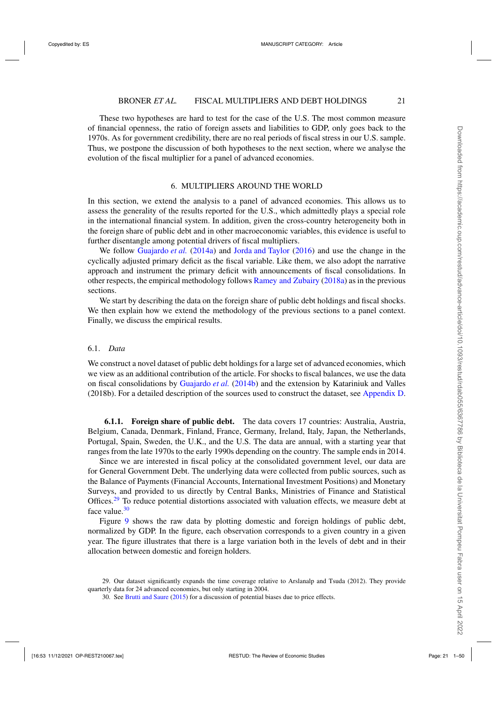<span id="page-20-0"></span>These two hypotheses are hard to test for the case of the U.S. The most common measure of financial openness, the ratio of foreign assets and liabilities to GDP, only goes back to the 1970s. As for government credibility, there are no real periods of fiscal stress in our U.S. sample. Thus, we postpone the discussion of both hypotheses to the next section, where we analyse the evolution of the fiscal multiplier for a panel of advanced economies.

# 6. MULTIPLIERS AROUND THE WORLD

In this section, we extend the analysis to a panel of advanced economies. This allows us to assess the generality of the results reported for the U.S., which admittedly plays a special role in the international financial system. In addition, given the cross-country heterogeneity both in the foreign share of public debt and in other macroeconomic variables, this evidence is useful to further disentangle among potential drivers of fiscal multipliers.

We follow [Guajardo](#page-48-0) *et al.* [\(2014a](#page-48-0)) and [Jorda and Taylor](#page-48-0) [\(2016\)](#page-48-0) and use the change in the cyclically adjusted primary deficit as the fiscal variable. Like them, we also adopt the narrative approach and instrument the primary deficit with announcements of fiscal consolidations. In other respects, the empirical methodology follows [Ramey and Zubairy](#page-49-0) [\(2018a\)](#page-49-0) as in the previous sections.

We start by describing the data on the foreign share of public debt holdings and fiscal shocks. We then explain how we extend the methodology of the previous sections to a panel context. Finally, we discuss the empirical results.

# 6.1. *Data*

We construct a novel dataset of public debt holdings for a large set of advanced economies, which we view as an additional contribution of the article. For shocks to fiscal balances, we use the data on fiscal consolidations by [Guajardo](#page-48-0) *et al.* [\(2014b\)](#page-48-0) and the extension by Katariniuk and Valles (2018b). For a detailed description of the sources used to construct the dataset, see [Appendix D.](https://academic.oup.com/restud/article-lookup/doi/10.1093/restud/rdab055#supplementary-data)

**6.1.1. Foreign share of public debt.** The data covers 17 countries: Australia, Austria, Belgium, Canada, Denmark, Finland, France, Germany, Ireland, Italy, Japan, the Netherlands, Portugal, Spain, Sweden, the U.K., and the U.S. The data are annual, with a starting year that ranges from the late 1970s to the early 1990s depending on the country. The sample ends in 2014.

Since we are interested in fiscal policy at the consolidated government level, our data are for General Government Debt. The underlying data were collected from public sources, such as the Balance of Payments (Financial Accounts, International Investment Positions) and Monetary Surveys, and provided to us directly by Central Banks, Ministries of Finance and Statistical Offices.<sup>29</sup> To reduce potential distortions associated with valuation effects, we measure debt at face value.<sup>30</sup>

Figure [9](#page-21-0) shows the raw data by plotting domestic and foreign holdings of public debt, normalized by GDP. In the figure, each observation corresponds to a given country in a given year. The figure illustrates that there is a large variation both in the levels of debt and in their allocation between domestic and foreign holders.

<sup>29.</sup> Our dataset significantly expands the time coverage relative to Arslanalp and Tsuda (2012). They provide quarterly data for 24 advanced economies, but only starting in 2004.

<sup>30.</sup> See [Brutti and Saure](#page-47-0) [\(2015](#page-47-0)) for a discussion of potential biases due to price effects.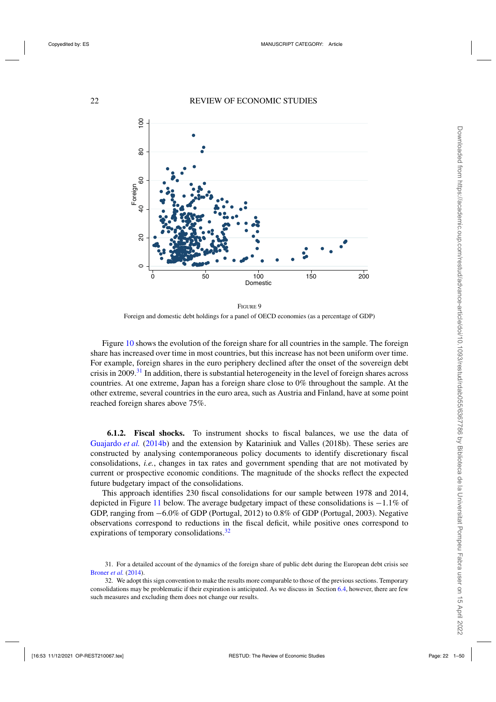<span id="page-21-0"></span>

FIGURE 9 Foreign and domestic debt holdings for a panel of OECD economies (as a percentage of GDP)

Figure [10](#page-22-0) shows the evolution of the foreign share for all countries in the sample. The foreign share has increased over time in most countries, but this increase has not been uniform over time. For example, foreign shares in the euro periphery declined after the onset of the sovereign debt crisis in 2009.<sup>31</sup> In addition, there is substantial heterogeneity in the level of foreign shares across countries. At one extreme, Japan has a foreign share close to 0% throughout the sample. At the other extreme, several countries in the euro area, such as Austria and Finland, have at some point reached foreign shares above 75%.

**6.1.2. Fiscal shocks.** To instrument shocks to fiscal balances, we use the data of [Guajardo](#page-48-0) *et al.* [\(2014b](#page-48-0)) and the extension by Katariniuk and Valles (2018b). These series are constructed by analysing contemporaneous policy documents to identify discretionary fiscal consolidations, *i.e.*, changes in tax rates and government spending that are not motivated by current or prospective economic conditions. The magnitude of the shocks reflect the expected future budgetary impact of the consolidations.

This approach identifies 230 fiscal consolidations for our sample between 1978 and 2014, depicted in Figure [11](#page-23-0) below. The average budgetary impact of these consolidations is −1.1% of GDP, ranging from −6.0% of GDP (Portugal, 2012) to 0.8% of GDP (Portugal, 2003). Negative observations correspond to reductions in the fiscal deficit, while positive ones correspond to expirations of temporary consolidations.<sup>32</sup>

<sup>31.</sup> For a detailed account of the dynamics of the foreign share of public debt during the European debt crisis see [Broner](#page-47-0) *et al.* [\(2014\)](#page-47-0).

<sup>32.</sup> We adopt this sign convention to make the results more comparable to those of the previous sections. Temporary consolidations may be problematic if their expiration is anticipated. As we discuss in Section [6.4,](#page-25-0) however, there are few such measures and excluding them does not change our results.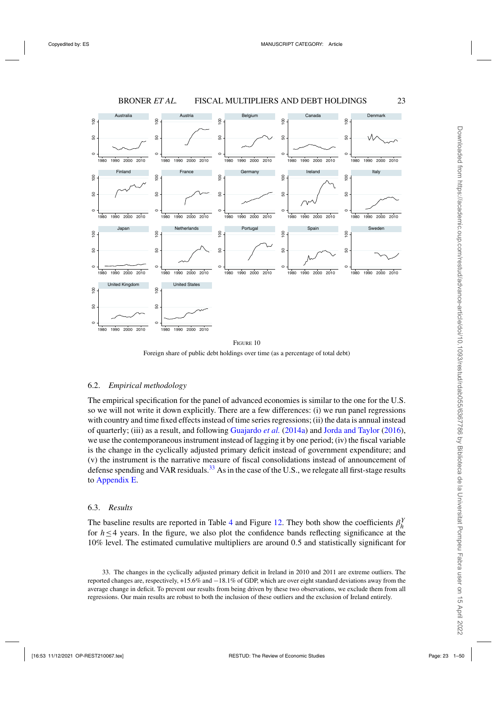<span id="page-22-0"></span>

Foreign share of public debt holdings over time (as a percentage of total debt)

#### 6.2. *Empirical methodology*

The empirical specification for the panel of advanced economies is similar to the one for the U.S. so we will not write it down explicitly. There are a few differences: (i) we run panel regressions with country and time fixed effects instead of time series regressions; (ii) the data is annual instead of quarterly; (iii) as a result, and following [Guajardo](#page-48-0) *et al.* [\(2014a\)](#page-48-0) and [Jorda and Taylor](#page-48-0) [\(2016](#page-48-0)), we use the contemporaneous instrument instead of lagging it by one period; (iv) the fiscal variable is the change in the cyclically adjusted primary deficit instead of government expenditure; and (v) the instrument is the narrative measure of fiscal consolidations instead of announcement of defense spending and VAR residuals.<sup>33</sup> As in the case of the U.S., we relegate all first-stage results to [Appendix E.](https://academic.oup.com/restud/article-lookup/doi/10.1093/restud/rdab055#supplementary-data)

#### 6.3. *Results*

The baseline results are reported in Table [4](#page-23-0) and Figure [12.](#page-24-0) They both show the coefficients  $\beta_h^Y$ for *h*≤4 years. In the figure, we also plot the confidence bands reflecting significance at the 10% level. The estimated cumulative multipliers are around 0.5 and statistically significant for

33. The changes in the cyclically adjusted primary deficit in Ireland in 2010 and 2011 are extreme outliers. The reported changes are, respectively, +15.6% and −18.1% of GDP, which are over eight standard deviations away from the average change in deficit. To prevent our results from being driven by these two observations, we exclude them from all regressions. Our main results are robust to both the inclusion of these outliers and the exclusion of Ireland entirely.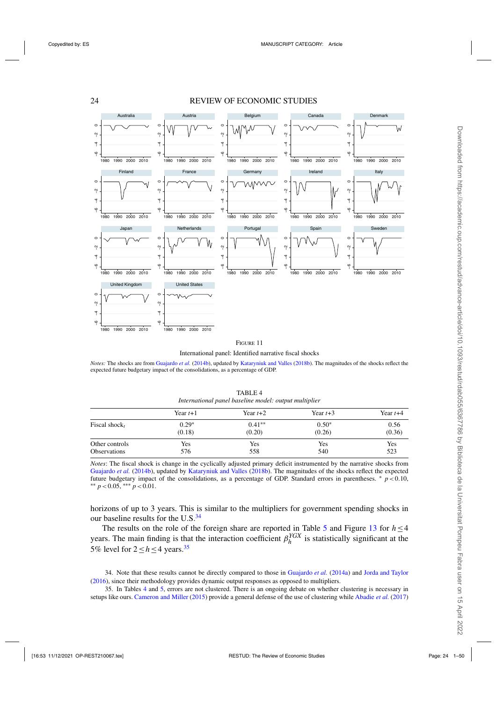#### 24 REVIEW OF ECONOMIC STUDIES

<span id="page-23-0"></span>

International panel: Identified narrative fiscal shocks

*Notes:* The shocks are from [Guajardo](#page-48-0) *et al.* [\(2014b\)](#page-48-0), updated by [Kataryniuk and Valles](#page-48-0) [\(2018b](#page-48-0)). The magnitudes of the shocks reflect the expected future budgetary impact of the consolidations, as a percentage of GDP.

| International panel baseline model: output multiplier |            |            |            |            |  |  |
|-------------------------------------------------------|------------|------------|------------|------------|--|--|
|                                                       | Year $t+1$ | Year $t+2$ | Year $t+3$ | Year $t+4$ |  |  |
| Fiscal shock,                                         | $0.29*$    | $0.41**$   | $0.50*$    | 0.56       |  |  |
|                                                       | (0.18)     | (0.20)     | (0.26)     | (0.36)     |  |  |
| Other controls                                        | Yes        | Yes        | Yes        | Yes        |  |  |
| Observations                                          | 576        | 558        | 540        | 523        |  |  |

TABLE 4 *International panel baseline model: output multiplier*

*Notes*: The fiscal shock is change in the cyclically adjusted primary deficit instrumented by the narrative shocks from [Guajardo](#page-48-0) *et al.* [\(2014b](#page-48-0)), updated by [Kataryniuk and Valles](#page-48-0) [\(2018b](#page-48-0)). The magnitudes of the shocks reflect the expected future budgetary impact of the consolidations, as a percentage of GDP. Standard errors in parentheses. <sup>∗</sup> *<sup>p</sup>*<0.10, ∗∗ *<sup>p</sup>*<0.05, ∗∗∗ *<sup>p</sup>*<0.01.

horizons of up to 3 years. This is similar to the multipliers for government spending shocks in our baseline results for the U.S. $34$ 

The results on the role of the foreign share are reported in Table [5](#page-25-0) and Figure [13](#page-25-0) for  $h \leq 4$ years. The main finding is that the interaction coefficient  $\beta_h^{YGX}$  is statistically significant at the 5% level for  $2 < h < 4$  years.<sup>35</sup>

34. Note that these results cannot be directly compared to those in [Guajardo](#page-48-0) *et al.* [\(2014a\)](#page-48-0) and [Jorda and Taylor](#page-48-0) [\(2016\)](#page-48-0), since their methodology provides dynamic output responses as opposed to multipliers.

35. In Tables 4 and [5,](#page-25-0) errors are not clustered. There is an ongoing debate on whether clustering is necessary in setups like ours. [Cameron and Miller](#page-47-0) [\(2015\)](#page-47-0) provide a general defense of the use of clustering while [Abadie](#page-47-0) *et al.* [\(2017\)](#page-47-0)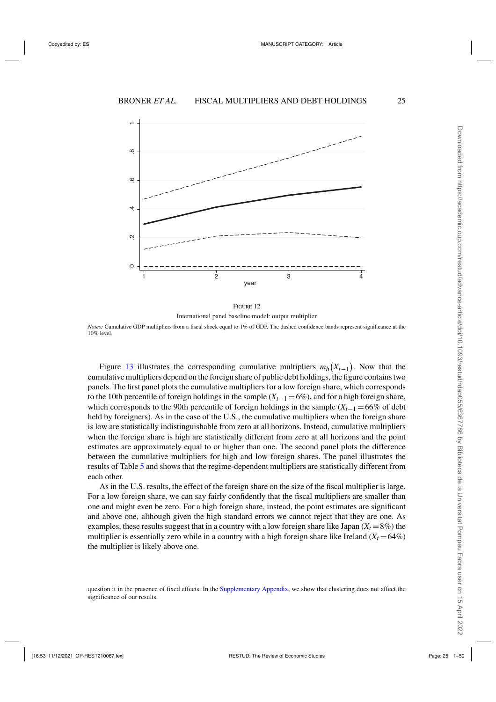<span id="page-24-0"></span>



*Notes:* Cumulative GDP multipliers from a fiscal shock equal to 1% of GDP. The dashed confidence bands represent significance at the 10% level.

Figure [13](#page-25-0) illustrates the corresponding cumulative multipliers  $m_h(X_{t-1})$ . Now that the cumulative multipliers depend on the foreign share of public debt holdings, the figure contains two panels. The first panel plots the cumulative multipliers for a low foreign share, which corresponds to the 10th percentile of foreign holdings in the sample (*Xt*−<sup>1</sup> =6%), and for a high foreign share, which corresponds to the 90th percentile of foreign holdings in the sample  $(X<sub>t</sub>−1 = 66\%$  of debt held by foreigners). As in the case of the U.S., the cumulative multipliers when the foreign share is low are statistically indistinguishable from zero at all horizons. Instead, cumulative multipliers when the foreign share is high are statistically different from zero at all horizons and the point estimates are approximately equal to or higher than one. The second panel plots the difference between the cumulative multipliers for high and low foreign shares. The panel illustrates the results of Table [5](#page-25-0) and shows that the regime-dependent multipliers are statistically different from each other.

As in the U.S. results, the effect of the foreign share on the size of the fiscal multiplier is large. For a low foreign share, we can say fairly confidently that the fiscal multipliers are smaller than one and might even be zero. For a high foreign share, instead, the point estimates are significant and above one, although given the high standard errors we cannot reject that they are one. As examples, these results suggest that in a country with a low foreign share like Japan  $(X_t = 8\%)$  the multiplier is essentially zero while in a country with a high foreign share like Ireland  $(X_t = 64\%)$ the multiplier is likely above one.

question it in the presence of fixed effects. In the [Supplementary Appendix,](https://academic.oup.com/restud/article-lookup/doi/10.1093/restud/rdab055#supplementary-data) we show that clustering does not affect the significance of our results.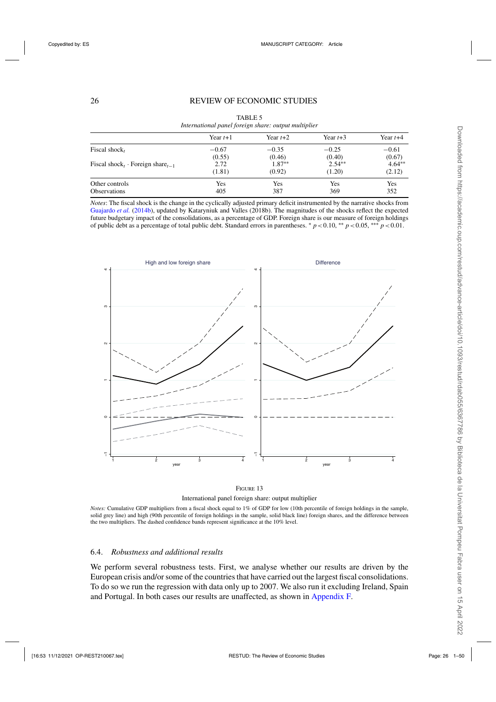# <span id="page-25-0"></span>26 REVIEW OF ECONOMIC STUDIES

| mernanonal panel jorcign share. Output manipuer          |            |            |            |            |  |  |
|----------------------------------------------------------|------------|------------|------------|------------|--|--|
|                                                          | Year $t+1$ | Year $t+2$ | Year $t+3$ | Year $t+4$ |  |  |
| Fiscal shock,                                            | $-0.67$    | $-0.35$    | $-0.25$    | $-0.61$    |  |  |
|                                                          | (0.55)     | (0.46)     | (0.40)     | (0.67)     |  |  |
| Fiscal shock <sub>t</sub> · Foreign share <sub>t-1</sub> | 2.72       | $1.87**$   | $2.54***$  | $4.64***$  |  |  |
|                                                          | (1.81)     | (0.92)     | (1.20)     | (2.12)     |  |  |
| Other controls                                           | Yes        | Yes        | Yes        | Yes        |  |  |
| <b>Observations</b>                                      | 405        | 387        | 369        | 352        |  |  |

TABLE 5 *International panel foreign share: output multiplier*

*Notes*: The fiscal shock is the change in the cyclically adjusted primary deficit instrumented by the narrative shocks from [Guajardo](#page-48-0) *et al.* [\(2014b](#page-48-0)), updated by Kataryniuk and Valles (2018b). The magnitudes of the shocks reflect the expected future budgetary impact of the consolidations, as a percentage of GDP. Foreign share is our measure of foreign holdings of public debt as a percentage of total public debt. Standard errors in parentheses.  $* p < 0.10$ , \*\*  $p < 0.05$ , \*\*\*  $p < 0.01$ .





*Notes:* Cumulative GDP multipliers from a fiscal shock equal to 1% of GDP for low (10th percentile of foreign holdings in the sample, solid grey line) and high (90th percentile of foreign holdings in the sample, solid black line) foreign shares, and the difference between the two multipliers. The dashed confidence bands represent significance at the 10% level.

# 6.4. *Robustness and additional results*

We perform several robustness tests. First, we analyse whether our results are driven by the European crisis and/or some of the countries that have carried out the largest fiscal consolidations. To do so we run the regression with data only up to 2007. We also run it excluding Ireland, Spain and Portugal. In both cases our results are unaffected, as shown in [Appendix F.](https://academic.oup.com/restud/article-lookup/doi/10.1093/restud/rdab055#supplementary-data)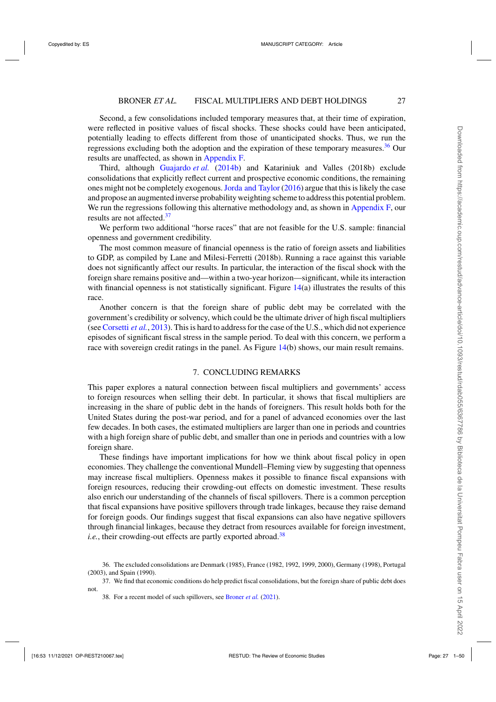Second, a few consolidations included temporary measures that, at their time of expiration, were reflected in positive values of fiscal shocks. These shocks could have been anticipated, potentially leading to effects different from those of unanticipated shocks. Thus, we run the regressions excluding both the adoption and the expiration of these temporary measures.<sup>36</sup> Our results are unaffected, as shown in [Appendix F.](https://academic.oup.com/restud/article-lookup/doi/10.1093/restud/rdab055#supplementary-data)

Third, although [Guajardo](#page-48-0) *et al.* [\(2014b\)](#page-48-0) and Katariniuk and Valles (2018b) exclude consolidations that explicitly reflect current and prospective economic conditions, the remaining ones might not be completely exogenous.[Jorda and Taylor](#page-48-0) [\(2016](#page-48-0)) argue that this is likely the case and propose an augmented inverse probability weighting scheme to address this potential problem. We run the regressions following this alternative methodology and, as shown in [Appendix F,](https://academic.oup.com/restud/article-lookup/doi/10.1093/restud/rdab055#supplementary-data) our results are not affected.<sup>37</sup>

We perform two additional "horse races" that are not feasible for the U.S. sample: financial openness and government credibility.

The most common measure of financial openness is the ratio of foreign assets and liabilities to GDP, as compiled by Lane and Milesi-Ferretti (2018b). Running a race against this variable does not significantly affect our results. In particular, the interaction of the fiscal shock with the foreign share remains positive and—within a two-year horizon—significant, while its interaction with financial openness is not statistically significant. Figure [14\(](#page-27-0)a) illustrates the results of this race.

Another concern is that the foreign share of public debt may be correlated with the government's credibility or solvency, which could be the ultimate driver of high fiscal multipliers (see [Corsetti](#page-48-0) *et al.*, [2013\)](#page-48-0). This is hard to address for the case of the U.S., which did not experience episodes of significant fiscal stress in the sample period. To deal with this concern, we perform a race with sovereign credit ratings in the panel. As Figure [14\(](#page-27-0)b) shows, our main result remains.

# 7. CONCLUDING REMARKS

This paper explores a natural connection between fiscal multipliers and governments' access to foreign resources when selling their debt. In particular, it shows that fiscal multipliers are increasing in the share of public debt in the hands of foreigners. This result holds both for the United States during the post-war period, and for a panel of advanced economies over the last few decades. In both cases, the estimated multipliers are larger than one in periods and countries with a high foreign share of public debt, and smaller than one in periods and countries with a low foreign share.

These findings have important implications for how we think about fiscal policy in open economies. They challenge the conventional Mundell–Fleming view by suggesting that openness may increase fiscal multipliers. Openness makes it possible to finance fiscal expansions with foreign resources, reducing their crowding-out effects on domestic investment. These results also enrich our understanding of the channels of fiscal spillovers. There is a common perception that fiscal expansions have positive spillovers through trade linkages, because they raise demand for foreign goods. Our findings suggest that fiscal expansions can also have negative spillovers through financial linkages, because they detract from resources available for foreign investment, *i.e.*, their crowding-out effects are partly exported abroad.<sup>38</sup>

<sup>36.</sup> The excluded consolidations are Denmark (1985), France (1982, 1992, 1999, 2000), Germany (1998), Portugal (2003), and Spain (1990).

<sup>37.</sup> We find that economic conditions do help predict fiscal consolidations, but the foreign share of public debt does not.

<sup>38.</sup> For a recent model of such spillovers, see [Broner](#page-47-0) *et al.* [\(2021\)](#page-47-0).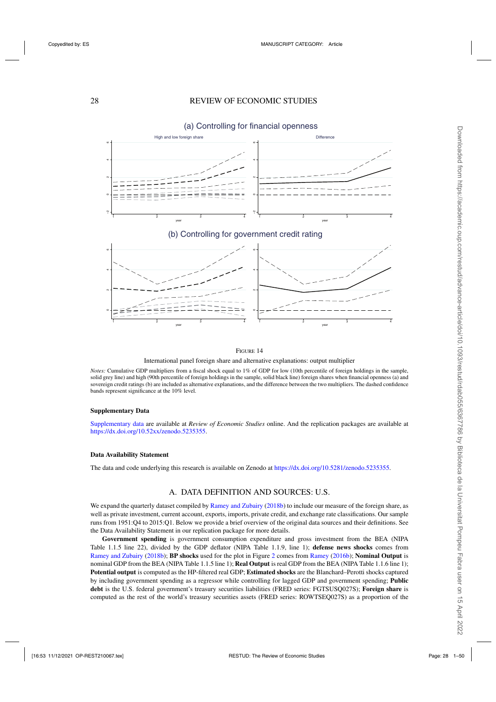<span id="page-27-0"></span>

#### (a) Controlling for financial openness

International panel foreign share and alternative explanations: output multiplier

*Notes:* Cumulative GDP multipliers from a fiscal shock equal to 1% of GDP for low (10th percentile of foreign holdings in the sample, solid grey line) and high (90th percentile of foreign holdings in the sample, solid black line) foreign shares when financial openness (a) and sovereign credit ratings (b) are included as alternative explanations, and the difference between the two multipliers. The dashed confidence bands represent significance at the 10% level.

#### **Supplementary Data**

[Supplementary data](https://academic.oup.com/restud/article-lookup/doi/10.1093/restud/rdab055#supplementary-data) are available at *Review of Economic Studies* online. And the replication packages are available at [https://dx.doi.org/10.52xx/zenodo.5235355.](https://dx.doi.org/10.52xx/zenodo.5235355)

#### **Data Availability Statement**

The data and code underlying this research is available on Zenodo at [https://dx.doi.org/10.5281/zenodo.5235355.](https://dx.doi.org/10.5281/zenodo.5235355)

# A. DATA DEFINITION AND SOURCES: U.S.

We expand the quarterly dataset compiled by [Ramey and Zubairy](#page-49-0) [\(2018b](#page-49-0)) to include our measure of the foreign share, as well as private investment, current account, exports, imports, private credit, and exchange rate classifications. Our sample runs from 1951:Q4 to 2015:Q1. Below we provide a brief overview of the original data sources and their definitions. See the Data Availability Statement in our replication package for more details.

**Government spending** is government consumption expenditure and gross investment from the BEA (NIPA Table 1.1.5 line 22), divided by the GDP deflator (NIPA Table 1.1.9, line 1); **defense news shocks** comes from [Ramey and Zubairy](#page-49-0) [\(2018b\)](#page-49-0); **BP shocks** used for the plot in Figure [2](#page-5-0) comes from [Ramey](#page-49-0) [\(2016b\)](#page-49-0); **Nominal Output** is nominal GDP from the BEA (NIPA Table 1.1.5 line 1); **Real Output** is real GDP from the BEA (NIPA Table 1.1.6 line 1); **Potential output** is computed as the HP-filtered real GDP; **Estimated shocks** are the Blanchard–Perotti shocks captured by including government spending as a regressor while controlling for lagged GDP and government spending; **Public debt** is the U.S. federal government's treasury securities liabilities (FRED series: FGTSUSQ027S); **Foreign share** is computed as the rest of the world's treasury securities assets (FRED series: ROWTSEQ027S) as a proportion of the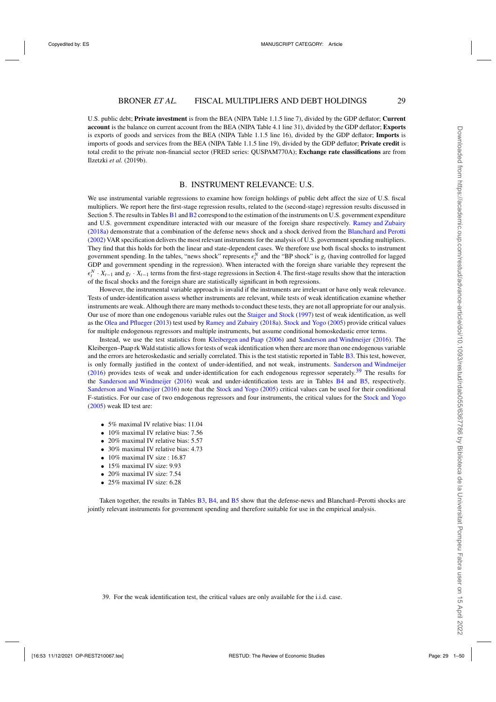U.S. public debt; **Private investment** is from the BEA (NIPA Table 1.1.5 line 7), divided by the GDP deflator; **Current account** is the balance on current account from the BEA (NIPA Table 4.1 line 31), divided by the GDP deflator; **Exports** is exports of goods and services from the BEA (NIPA Table 1.1.5 line 16), divided by the GDP deflator; **Imports** is imports of goods and services from the BEA (NIPA Table 1.1.5 line 19), divided by the GDP deflator; **Private credit** is total credit to the private non-financial sector (FRED series: QUSPAM770A); **Exchange rate classifications** are from Ilzetzki *et al.* (2019b).

#### B. INSTRUMENT RELEVANCE: U.S.

We use instrumental variable regressions to examine how foreign holdings of public debt affect the size of U.S. fiscal multipliers. We report here the first-stage regression results, related to the (second-stage) regression results discussed in Section 5. The results in Tables [B1](#page-9-0) and [B2](#page-12-0) correspond to the estimation of the instruments on U.S. government expenditure and U.S. government expenditure interacted with our measure of the foreign share respectively. [Ramey and Zubairy](#page-49-0) [\(2018a\)](#page-49-0) demonstrate that a combination of the defense news shock and a shock derived from the [Blanchard and Perotti](#page-47-0) [\(2002](#page-47-0)) VAR specification delivers the most relevant instruments for the analysis of U.S. government spending multipliers. They find that this holds for both the linear and state-dependent cases. We therefore use both fiscal shocks to instrument government spending. In the tables, "news shock" represents  $\epsilon_t^N$  and the "BP shock" is  $g_t$  (having controlled for lagged GDP and government spending in the regression). When interacted with the foreign share variable they represent the  $\epsilon_t^N$  ·  $X_{t-1}$  and  $g_t$  ·  $X_{t-1}$  terms from the first-stage regressions in Section 4. The first-stage results show that the interaction of the fiscal shocks and the foreign share are statistically significant in both regressions.

However, the instrumental variable approach is invalid if the instruments are irrelevant or have only weak relevance. Tests of under-identification assess whether instruments are relevant, while tests of weak identification examine whether instruments are weak. Although there are many methods to conduct these tests, they are not all appropriate for our analysis. Our use of more than one endogenous variable rules out the [Staiger and Stock](#page-49-0) [\(1997\)](#page-49-0) test of weak identification, as well as the [Olea and Pflueger](#page-48-0) [\(2013](#page-48-0)) test used by [Ramey and Zubairy](#page-49-0) [\(2018a\)](#page-49-0). [Stock and Yogo](#page-49-0) [\(2005](#page-49-0)) provide critical values for multiple endogenous regressors and multiple instruments, but assume conditional homoskedastic error terms.

Instead, we use the test statistics from [Kleibergen and Paap](#page-48-0) [\(2006](#page-48-0)) and [Sanderson and Windmeijer](#page-49-0) [\(2016\)](#page-49-0). The Kleibergen–Paap rk Wald statistic allows for tests of weak identification when there are more than one endogenous variable and the errors are heteroskedastic and serially correlated. This is the test statistic reported in Table [B3.](#page-13-0) This test, however, is only formally justified in the context of under-identified, and not weak, instruments. [Sanderson and Windmeijer](#page-49-0)  $(2016)$  $(2016)$  provides tests of weak and under-identification for each endogenous regressor seperately.<sup>39</sup> The results for the [Sanderson and Windmeijer](#page-49-0) [\(2016](#page-49-0)) weak and under-identification tests are in Tables [B4](#page-23-0) and [B5,](#page-25-0) respectively. [Sanderson and Windmeijer](#page-49-0) [\(2016](#page-49-0)) note that the [Stock and Yogo](#page-49-0) [\(2005](#page-49-0)) critical values can be used for their conditional F-statistics. For our case of two endogenous regressors and four instruments, the critical values for the [Stock and Yogo](#page-49-0) [\(2005](#page-49-0)) weak ID test are:

- 5% maximal IV relative bias: 11.04
- 10% maximal IV relative bias: 7.56
- 20% maximal IV relative bias: 5.57
- 30% maximal IV relative bias: 4.73
- 10% maximal IV size : 16.87
- 15% maximal IV size: 9.93
- 20% maximal IV size: 7.54
- 25% maximal IV size: 6.28

Taken together, the results in Tables [B3,](#page-13-0) [B4,](#page-23-0) and [B5](#page-25-0) show that the defense-news and Blanchard–Perotti shocks are jointly relevant instruments for government spending and therefore suitable for use in the empirical analysis.

Downloaded from https://academic.cup.com/restud/advance-article/dol/10.1093/restud/rdab055/6387786 by Biblicteca de la Universitat Pompeu Fabra user on 15 April 2022 Downloaded from https://academic.oup.com/restud/advance-article/doi/10.1093/restud/rdab055/6367786 by Biblioteca de la Universitat Pompeu Fabra user on 15 April 2022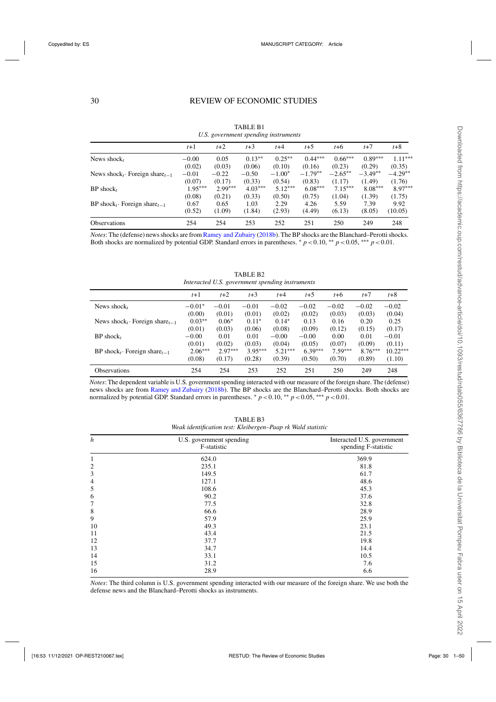|                                                        | $t+1$     | $t+2$     | $t+3$     | $t+4$     | $t+5$     | $t + 6$   | $t+7$     | $t+8$     |
|--------------------------------------------------------|-----------|-----------|-----------|-----------|-----------|-----------|-----------|-----------|
| News shock,                                            | $-0.00$   | 0.05      | $0.13**$  | $0.25***$ | $0.44***$ | $0.66***$ | $0.89***$ | $1.11***$ |
|                                                        | (0.02)    | (0.03)    | (0.06)    | (0.10)    | (0.16)    | (0.23)    | (0.29)    | (0.35)    |
| News shock <sub>t</sub> . Foreign share <sub>t-1</sub> | $-0.01$   | $-0.22$   | $-0.50$   | $-1.00*$  | $-1.79**$ | $-2.65**$ | $-3.49**$ | $-4.29**$ |
|                                                        | (0.07)    | (0.17)    | (0.33)    | (0.54)    | (0.83)    | (1.17)    | (1.49)    | (1.76)    |
| $BP$ shock <sub>t</sub>                                | $1.95***$ | $2.99***$ | $4.03***$ | $5.12***$ | $6.08***$ | $7.15***$ | $8.08***$ | 8.97***   |
|                                                        | (0.08)    | (0.21)    | (0.33)    | (0.50)    | (0.75)    | (1.04)    | (1.39)    | (1.75)    |
| $BP \, shock_t \cdot Foreign \, share_{t-1}$           | 0.67      | 0.65      | 1.03      | 2.29      | 4.26      | 5.59      | 7.39      | 9.92      |
|                                                        | (0.52)    | (1.09)    | (1.84)    | (2.93)    | (4.49)    | (6.13)    | (8.05)    | (10.05)   |
| <b>Observations</b>                                    | 254       | 254       | 253       | 252       | 251       | 250       | 249       | 248       |

TABLE B1 *U.S. government spending instruments*

*Notes*: The (defense) news shocks are from [Ramey and Zubairy](#page-49-0) [\(2018b](#page-49-0)). The BP shocks are the Blanchard–Perotti shocks. Both shocks are normalized by potential GDP. Standard errors in parentheses.  $\frac{*}{p}$  *p* < 0.05, \*\*\* *p* < 0.01.

TABLE B2

| Interacted U.S. government spending instruments        |           |           |           |           |           |           |           |            |
|--------------------------------------------------------|-----------|-----------|-----------|-----------|-----------|-----------|-----------|------------|
|                                                        | $t+1$     | $t+2$     | $t+3$     | $t+4$     | $t+5$     | $t + 6$   | $t+7$     | $t+8$      |
| News shock,                                            | $-0.01*$  | $-0.01$   | $-0.01$   | $-0.02$   | $-0.02$   | $-0.02$   | $-0.02$   | $-0.02$    |
|                                                        | (0.00)    | (0.01)    | (0.01)    | (0.02)    | (0.02)    | (0.03)    | (0.03)    | (0.04)     |
| News shock <sub>t</sub> . Foreign share <sub>t-1</sub> | $0.03**$  | $0.06*$   | $0.11*$   | $0.14*$   | 0.13      | 0.16      | 0.20      | 0.25       |
|                                                        | (0.01)    | (0.03)    | (0.06)    | (0.08)    | (0.09)    | (0.12)    | (0.15)    | (0.17)     |
| $BP$ shock,                                            | $-0.00$   | 0.01      | 0.01      | $-0.00$   | $-0.00$   | 0.00      | 0.01      | $-0.01$    |
|                                                        | (0.01)    | (0.02)    | (0.03)    | (0.04)    | (0.05)    | (0.07)    | (0.09)    | (0.11)     |
| $BP$ shock <sub>t</sub> . Foreign share <sub>t-1</sub> | $2.06***$ | $2.97***$ | $3.95***$ | $5.21***$ | $6.39***$ | $7.59***$ | $8.76***$ | $10.22***$ |
|                                                        | (0.08)    | (0.17)    | (0.28)    | (0.39)    | (0.50)    | (0.70)    | (0.89)    | (1.10)     |
| <b>Observations</b>                                    | 254       | 254       | 253       | 252       | 251       | 250       | 249       | 248        |

*Notes*: The dependent variable is U.S. government spending interacted with our measure of the foreign share. The (defense) news shocks are from [Ramey and Zubairy](#page-49-0) [\(2018b\)](#page-49-0). The BP shocks are the Blanchard–Perotti shocks. Both shocks are normalized by potential GDP. Standard errors in parentheses. <sup>∗</sup> *p*<0.10, ∗∗ *p*<0.05, ∗∗∗ *p*<0.01.

| Interacted U.S. government<br>spending F-statistic |  |  |  |  |  |
|----------------------------------------------------|--|--|--|--|--|
| 369.9                                              |  |  |  |  |  |
| 81.8                                               |  |  |  |  |  |
| 61.7                                               |  |  |  |  |  |
| 48.6                                               |  |  |  |  |  |
| 45.3                                               |  |  |  |  |  |
| 37.6                                               |  |  |  |  |  |
| 32.8                                               |  |  |  |  |  |
| 28.9                                               |  |  |  |  |  |
| 25.9                                               |  |  |  |  |  |
| 23.1                                               |  |  |  |  |  |
| 21.5                                               |  |  |  |  |  |
| 19.8                                               |  |  |  |  |  |
| 14.4                                               |  |  |  |  |  |
| 10.5                                               |  |  |  |  |  |
| 7.6                                                |  |  |  |  |  |
| 6.6                                                |  |  |  |  |  |
|                                                    |  |  |  |  |  |

TABLE B3 *Weak identification test: Kleibergen–Paap rk Wald statistic*

*Notes*: The third column is U.S. government spending interacted with our measure of the foreign share. We use both the defense news and the Blanchard–Perotti shocks as instruments.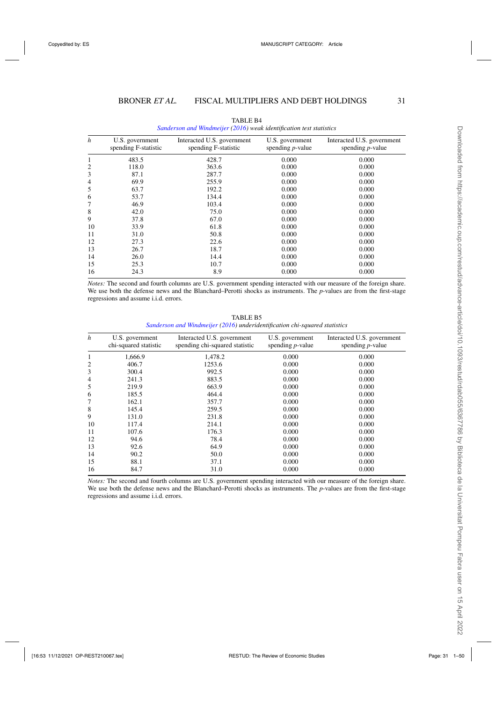| $\boldsymbol{h}$ | U.S. government<br>spending F-statistic | Interacted U.S. government<br>spending F-statistic | U.S. government<br>spending $p$ -value | Interacted U.S. government<br>spending $p$ -value |
|------------------|-----------------------------------------|----------------------------------------------------|----------------------------------------|---------------------------------------------------|
| 1                | 483.5                                   | 428.7                                              | 0.000                                  | 0.000                                             |
| 2                | 118.0                                   | 363.6                                              | 0.000                                  | 0.000                                             |
| 3                | 87.1                                    | 287.7                                              | 0.000                                  | 0.000                                             |
| 4                | 69.9                                    | 255.9                                              | 0.000                                  | 0.000                                             |
| 5                | 63.7                                    | 192.2                                              | 0.000                                  | 0.000                                             |
| 6                | 53.7                                    | 134.4                                              | 0.000                                  | 0.000                                             |
| 7                | 46.9                                    | 103.4                                              | 0.000                                  | 0.000                                             |
| 8                | 42.0                                    | 75.0                                               | 0.000                                  | 0.000                                             |
| 9                | 37.8                                    | 67.0                                               | 0.000                                  | 0.000                                             |
| 10               | 33.9                                    | 61.8                                               | 0.000                                  | 0.000                                             |
| 11               | 31.0                                    | 50.8                                               | 0.000                                  | 0.000                                             |
| 12               | 27.3                                    | 22.6                                               | 0.000                                  | 0.000                                             |
| 13               | 26.7                                    | 18.7                                               | 0.000                                  | 0.000                                             |
| 14               | 26.0                                    | 14.4                                               | 0.000                                  | 0.000                                             |
| 15               | 25.3                                    | 10.7                                               | 0.000                                  | 0.000                                             |
| 16               | 24.3                                    | 8.9                                                | 0.000                                  | 0.000                                             |

TABLE B4 *[Sanderson and Windmeijer](#page-49-0) [\(2016\)](#page-49-0) weak identification test statistics*

*Notes:* The second and fourth columns are U.S. government spending interacted with our measure of the foreign share. We use both the defense news and the Blanchard–Perotti shocks as instruments. The *p*-values are from the first-stage regressions and assume i.i.d. errors.

TABLE B5 *[Sanderson and Windmeijer](#page-49-0) [\(2016](#page-49-0)) underidentification chi-squared statistics*

| h  | U.S. government<br>chi-squared statistic | Interacted U.S. government<br>spending chi-squared statistic | U.S. government<br>spending $p$ -value | Interacted U.S. government<br>spending $p$ -value |
|----|------------------------------------------|--------------------------------------------------------------|----------------------------------------|---------------------------------------------------|
| 1  | 1,666.9                                  | 1,478.2                                                      | 0.000                                  | 0.000                                             |
| 2  | 406.7                                    | 1253.6                                                       | 0.000                                  | 0.000                                             |
| 3  | 300.4                                    | 992.5                                                        | 0.000                                  | 0.000                                             |
| 4  | 241.3                                    | 883.5                                                        | 0.000                                  | 0.000                                             |
| 5  | 219.9                                    | 663.9                                                        | 0.000                                  | 0.000                                             |
| 6  | 185.5                                    | 464.4                                                        | 0.000                                  | 0.000                                             |
| 7  | 162.1                                    | 357.7                                                        | 0.000                                  | 0.000                                             |
| 8  | 145.4                                    | 259.5                                                        | 0.000                                  | 0.000                                             |
| 9  | 131.0                                    | 231.8                                                        | 0.000                                  | 0.000                                             |
| 10 | 117.4                                    | 214.1                                                        | 0.000                                  | 0.000                                             |
| 11 | 107.6                                    | 176.3                                                        | 0.000                                  | 0.000                                             |
| 12 | 94.6                                     | 78.4                                                         | 0.000                                  | 0.000                                             |
| 13 | 92.6                                     | 64.9                                                         | 0.000                                  | 0.000                                             |
| 14 | 90.2                                     | 50.0                                                         | 0.000                                  | 0.000                                             |
| 15 | 88.1                                     | 37.1                                                         | 0.000                                  | 0.000                                             |
| 16 | 84.7                                     | 31.0                                                         | 0.000                                  | 0.000                                             |

*Notes:* The second and fourth columns are U.S. government spending interacted with our measure of the foreign share. We use both the defense news and the Blanchard–Perotti shocks as instruments. The *p*-values are from the first-stage regressions and assume i.i.d. errors.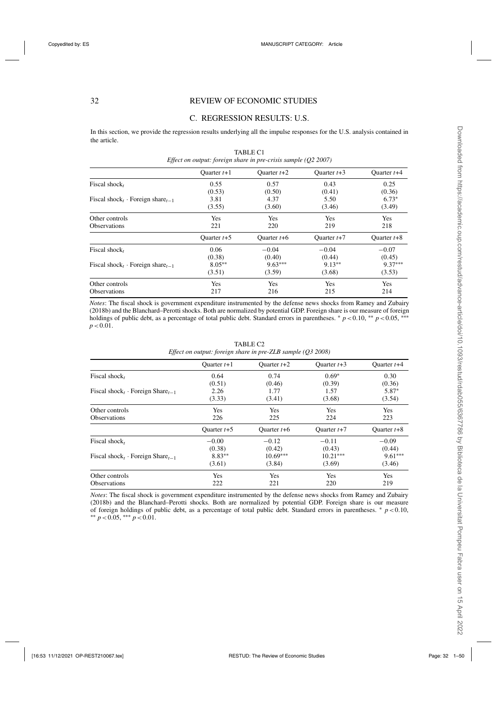# C. REGRESSION RESULTS: U.S.

In this section, we provide the regression results underlying all the impulse responses for the U.S. analysis contained in the article. TABLE C1

| Effect on output: foreign share in pre-crisis sample $(Q2 2007)$ |               |               |               |               |  |  |
|------------------------------------------------------------------|---------------|---------------|---------------|---------------|--|--|
|                                                                  | Ouarter $t+1$ | Ouarter $t+2$ | Ouarter $t+3$ | Quarter $t+4$ |  |  |
| Fiscal shock,                                                    | 0.55          | 0.57          | 0.43          | 0.25          |  |  |
|                                                                  | (0.53)        | (0.50)        | (0.41)        | (0.36)        |  |  |
| Fiscal shock, Foreign share $t_{-1}$                             | 3.81          | 4.37          | 5.50          | $6.73*$       |  |  |
|                                                                  | (3.55)        | (3.60)        | (3.46)        | (3.49)        |  |  |
| Other controls                                                   | Yes           | Yes           | Yes           | Yes           |  |  |
| <b>Observations</b>                                              | 221           | 220           | 219           | 218           |  |  |
|                                                                  | Quarter $t+5$ | Quarter $t+6$ | Ouarter $t+7$ | Ouarter $t+8$ |  |  |
| Fiscal shock,                                                    | 0.06          | $-0.04$       | $-0.04$       | $-0.07$       |  |  |
|                                                                  | (0.38)        | (0.40)        | (0.44)        | (0.45)        |  |  |
| Fiscal shock, Foreign share, $_{-1}$                             | $8.05**$      | $9.63***$     | $9.13**$      | $9.37***$     |  |  |
|                                                                  | (3.51)        | (3.59)        | (3.68)        | (3.53)        |  |  |
| Other controls                                                   | Yes           | Yes           | <b>Yes</b>    | <b>Yes</b>    |  |  |
| <b>Observations</b>                                              | 217           | 216           | 215           | 214           |  |  |

*Notes*: The fiscal shock is government expenditure instrumented by the defense news shocks from Ramey and Zubairy (2018b) and the Blanchard–Perotti shocks. Both are normalized by potential GDP. Foreign share is our measure of foreign holdings of public debt, as a percentage of total public debt. Standard errors in parentheses. \*  $p < 0.10$ , \*\*  $p < 0.05$ , \*\*\*  $p < 0.01$ .

|                                                          | Ouarter $t+1$ | Ouarter $t+2$ | Quarter $t+3$ | Ouarter $t+4$ |
|----------------------------------------------------------|---------------|---------------|---------------|---------------|
| Fiscal shock,                                            | 0.64          | 0.74          | $0.69*$       | 0.30          |
|                                                          | (0.51)        | (0.46)        | (0.39)        | (0.36)        |
| Fiscal shock <sub>t</sub> · Foreign Share <sub>t-1</sub> | 2.26          | 1.77          | 1.57          | 5.87*         |
|                                                          | (3.33)        | (3.41)        | (3.68)        | (3.54)        |
| Other controls                                           | Yes           | Yes           | Yes           | Yes           |
| <b>Observations</b>                                      | 226           | 225           | 224           | 223           |
|                                                          | Ouarter $t+5$ | Ouarter $t+6$ | Ouarter $t+7$ | Ouarter $t+8$ |
| Fiscal shock,                                            | $-0.00$       | $-0.12$       | $-0.11$       | $-0.09$       |
|                                                          | (0.38)        | (0.42)        | (0.43)        | (0.44)        |
| Fiscal shock <sub>t</sub> · Foreign Share <sub>t-1</sub> | $8.83**$      | $10.69***$    | $10.21***$    | $9.61***$     |
|                                                          | (3.61)        | (3.84)        | (3.69)        | (3.46)        |
| Other controls                                           | Yes           | Yes           | Yes           | Yes           |
| <b>Observations</b>                                      | 222           | 221           | 220           | 219           |

TABLE C2 *Effect on output: foreign share in pre-ZLB sample (Q3 2008)*

*Notes*: The fiscal shock is government expenditure instrumented by the defense news shocks from Ramey and Zubairy (2018b) and the Blanchard–Perotti shocks. Both are normalized by potential GDP. Foreign share is our measure of foreign holdings of public debt, as a percentage of total public debt. Standard errors in parentheses. <sup>∗</sup> *<sup>p</sup>*<0.10, ∗∗ *<sup>p</sup>*<0.05, ∗∗∗ *<sup>p</sup>*<0.01.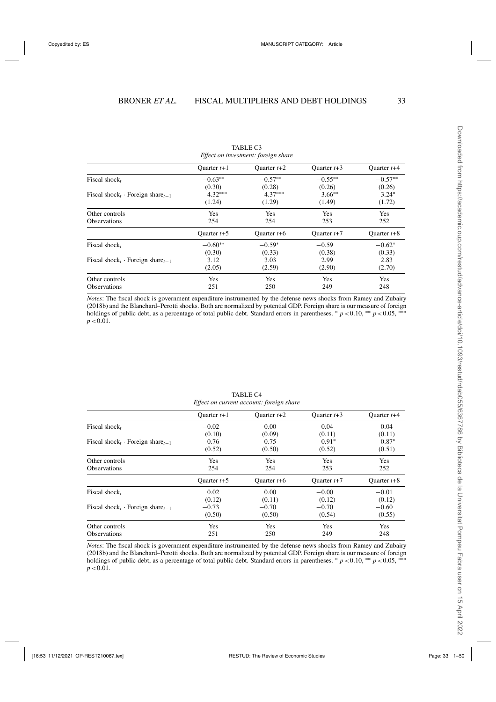|                                                          | Ouarter $t+1$ | Ouarter $t+2$ | Ouarter $t+3$ | Ouarter $t+4$ |
|----------------------------------------------------------|---------------|---------------|---------------|---------------|
| Fiscal shock,                                            | $-0.63**$     | $-0.57**$     | $-0.55**$     | $-0.57**$     |
|                                                          | (0.30)        | (0.28)        | (0.26)        | (0.26)        |
| Fiscal shock <sub>t</sub> · Foreign share <sub>t-1</sub> | $4.32***$     | $4.37***$     | $3.66**$      | $3.24*$       |
|                                                          | (1.24)        | (1.29)        | (1.49)        | (1.72)        |
| Other controls                                           | Yes           | Yes           | Yes           | Yes           |
| <b>Observations</b>                                      | 254           | 254           | 253           | 252           |
|                                                          | Ouarter $t+5$ | Ouarter $t+6$ | Quarter $t+7$ | Ouarter $t+8$ |
| Fiscal shock,                                            | $-0.60**$     | $-0.59*$      | $-0.59$       | $-0.62*$      |
|                                                          | (0.30)        | (0.33)        | (0.38)        | (0.33)        |
| Fiscal shock <sub>t</sub> · Foreign share <sub>t-1</sub> | 3.12          | 3.03          | 2.99          | 2.83          |
|                                                          | (2.05)        | (2.59)        | (2.90)        | (2.70)        |
| Other controls                                           | Yes           | Yes           | Yes           | Yes           |
| <b>Observations</b>                                      | 251           | 250           | 249           | 248           |

TABLE C3 *Effect on investment: foreign share*

*Notes*: The fiscal shock is government expenditure instrumented by the defense news shocks from Ramey and Zubairy (2018b) and the Blanchard–Perotti shocks. Both are normalized by potential GDP. Foreign share is our measure of foreign holdings of public debt, as a percentage of total public debt. Standard errors in parentheses. <sup>∗</sup> *p* <0.10, <sup>∗∗</sup> *p* <0.05, <sup>∗∗∗</sup>  $p < 0.01$ .

|                                                          | Ouarter $t+1$ | Quarter $t+2$ | Quarter $t+3$ | Ouarter $t+4$ |
|----------------------------------------------------------|---------------|---------------|---------------|---------------|
| Fiscal shock,                                            | $-0.02$       | 0.00          | 0.04          | 0.04          |
|                                                          | (0.10)        | (0.09)        | (0.11)        | (0.11)        |
| Fiscal shock <sub>t</sub> · Foreign share <sub>t-1</sub> | $-0.76$       | $-0.75$       | $-0.91*$      | $-0.87*$      |
|                                                          | (0.52)        | (0.50)        | (0.52)        | (0.51)        |
| Other controls                                           | Yes           | Yes           | Yes           | Yes           |
| <b>Observations</b>                                      | 254           | 254           | 253           | 252           |
|                                                          | Quarter $t+5$ | Ouarter $t+6$ | Quarter $t+7$ | Ouarter $t+8$ |
| Fiscal shock,                                            | 0.02          | 0.00          | $-0.00$       | $-0.01$       |
|                                                          | (0.12)        | (0.11)        | (0.12)        | (0.12)        |
| Fiscal shock <sub>t</sub> · Foreign share <sub>t-1</sub> | $-0.73$       | $-0.70$       | $-0.70$       | $-0.60$       |
|                                                          | (0.50)        | (0.50)        | (0.54)        | (0.55)        |
| Other controls                                           | Yes           | Yes           | Yes           | Yes           |
| <b>Observations</b>                                      | 251           | 250           | 249           | 248           |

TABLE C4 *Effect on current account: foreign share*

*Notes*: The fiscal shock is government expenditure instrumented by the defense news shocks from Ramey and Zubairy (2018b) and the Blanchard–Perotti shocks. Both are normalized by potential GDP. Foreign share is our measure of foreign holdings of public debt, as a percentage of total public debt. Standard errors in parentheses.  $* p < 0.10$ , \*\**p* < 0.05, \*\*\*  $p < 0.01$ .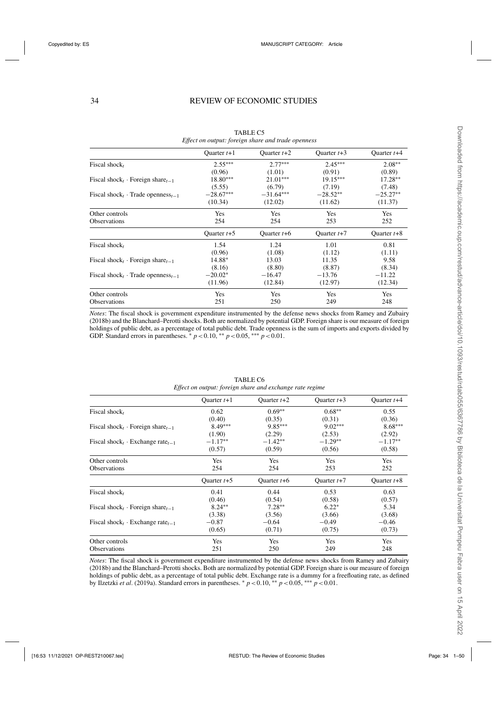|                                                          | Ouarter $t+1$ | Ouarter $t+2$ | Ouarter $t+3$ | Ouarter $t+4$ |
|----------------------------------------------------------|---------------|---------------|---------------|---------------|
| Fiscal shock $_t$                                        | $2.55***$     | $2.77***$     | $2.45***$     | $2.08**$      |
|                                                          | (0.96)        | (1.01)        | (0.91)        | (0.89)        |
| Fiscal shock <sub>t</sub> · Foreign share <sub>t-1</sub> | $18.80***$    | $21.01***$    | $19.15***$    | $17.28**$     |
|                                                          | (5.55)        | (6.79)        | (7.19)        | (7.48)        |
| Fiscal shock <sub>t</sub> Trade openness <sub>t-1</sub>  | $-28.67***$   | $-31.64***$   | $-28.52**$    | $-25.27**$    |
|                                                          | (10.34)       | (12.02)       | (11.62)       | (11.37)       |
| Other controls                                           | Yes           | Yes           | Yes           | Yes           |
| <b>Observations</b>                                      | 254           | 254           | 253           | 252           |
|                                                          | Ouarter $t+5$ | Ouarter $t+6$ | Ouarter $t+7$ | Quarter $t+8$ |
| Fiscal shock,                                            | 1.54          | 1.24          | 1.01          | 0.81          |
|                                                          | (0.96)        | (1.08)        | (1.12)        | (1.11)        |
| Fiscal shock <sub>t</sub> · Foreign share <sub>t-1</sub> | 14.88*        | 13.03         | 11.35         | 9.58          |
|                                                          | (8.16)        | (8.80)        | (8.87)        | (8.34)        |
| Fiscal shock <sub>t</sub> Trade openness <sub>t-1</sub>  | $-20.02*$     | $-16.47$      | $-13.76$      | $-11.22$      |
|                                                          | (11.96)       | (12.84)       | (12.97)       | (12.34)       |
| Other controls                                           | Yes           | Yes           | Yes           | Yes           |
| <b>Observations</b>                                      | 251           | 250           | 249           | 248           |

TABLE C5 *Effect on output: foreign share and trade openness*

*Notes*: The fiscal shock is government expenditure instrumented by the defense news shocks from Ramey and Zubairy (2018b) and the Blanchard–Perotti shocks. Both are normalized by potential GDP. Foreign share is our measure of foreign holdings of public debt, as a percentage of total public debt. Trade openness is the sum of imports and exports divided by GDP. Standard errors in parentheses.  $p < 0.10$ , \*\*  $p < 0.05$ , \*\*\*  $p < 0.01$ .

|                                                                | Ouarter $t+1$ | Ouarter $t+2$ | Ouarter $t+3$ | Ouarter $t+4$ |
|----------------------------------------------------------------|---------------|---------------|---------------|---------------|
| Fiscal shock,                                                  | 0.62          | $0.69**$      | $0.68**$      | 0.55          |
|                                                                | (0.40)        | (0.35)        | (0.31)        | (0.36)        |
| Fiscal shock <sub>t</sub> · Foreign share <sub>t-1</sub>       | $8.49***$     | $9.85***$     | $9.02***$     | $8.68***$     |
|                                                                | (1.90)        | (2.29)        | (2.53)        | (2.92)        |
| Fiscal shock <sub>t</sub> $\cdot$ Exchange rate <sub>t-1</sub> | $-1.17**$     | $-1.42**$     | $-1.29**$     | $-1.17**$     |
|                                                                | (0.57)        | (0.59)        | (0.56)        | (0.58)        |
| Other controls                                                 | Yes           | Yes           | Yes           | Yes           |
| <b>Observations</b>                                            | 254           | 254           | 253           | 252           |
|                                                                | Ouarter $t+5$ | Ouarter $t+6$ | Ouarter $t+7$ | Ouarter $t+8$ |
| Fiscal shock,                                                  | 0.41          | 0.44          | 0.53          | 0.63          |
|                                                                | (0.46)        | (0.54)        | (0.58)        | (0.57)        |
| Fiscal shock <sub>t</sub> · Foreign share <sub>t-1</sub>       | $8.24***$     | $7.28**$      | $6.22*$       | 5.34          |
|                                                                | (3.38)        | (3.56)        | (3.66)        | (3.68)        |
| Fiscal shock <sub>t</sub> $\cdot$ Exchange rate <sub>t-1</sub> | $-0.87$       | $-0.64$       | $-0.49$       | $-0.46$       |
|                                                                | (0.65)        | (0.71)        | (0.75)        | (0.73)        |
| Other controls                                                 | Yes           | Yes           | Yes           | Yes           |
| <b>Observations</b>                                            | 251           | 250           | 249           | 248           |
|                                                                |               |               |               |               |

TABLE C6 *Effect on output: foreign share and exchange rate regime*

*Notes*: The fiscal shock is government expenditure instrumented by the defense news shocks from Ramey and Zubairy (2018b) and the Blanchard–Perotti shocks. Both are normalized by potential GDP. Foreign share is our measure of foreign holdings of public debt, as a percentage of total public debt. Exchange rate is a dummy for a freefloating rate, as defined by Ilzetzki *et al*. (2019a). Standard errors in parentheses. <sup>∗</sup> *p*<0.10, ∗∗ *p*<0.05, ∗∗∗ *p*<0.01.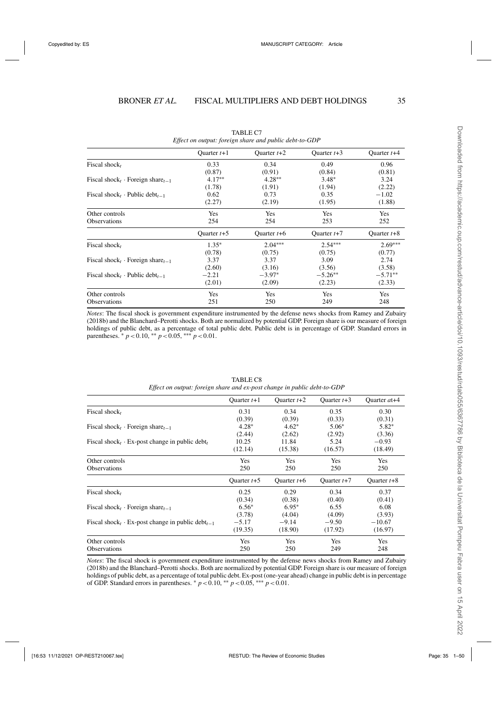|                                                          | Ouarter $t+1$ | Ouarter $t+2$ | Ouarter $t+3$ | Ouarter $t+4$ |
|----------------------------------------------------------|---------------|---------------|---------------|---------------|
| Fiscal shock,                                            | 0.33          | 0.34          | 0.49          | 0.96          |
|                                                          | (0.87)        | (0.91)        | (0.84)        | (0.81)        |
| Fiscal shock <sub>t</sub> · Foreign share <sub>t-1</sub> | $4.17**$      | $4.28**$      | $3.48*$       | 3.24          |
|                                                          | (1.78)        | (1.91)        | (1.94)        | (2.22)        |
| Fiscal shock, Public debt <sub>t-1</sub>                 | 0.62          | 0.73          | 0.35          | $-1.02$       |
|                                                          | (2.27)        | (2.19)        | (1.95)        | (1.88)        |
| Other controls                                           | Yes           | Yes           | Yes           | Yes           |
| <b>Observations</b>                                      | 254           | 254           | 253           | 252           |
|                                                          | Ouarter $t+5$ | Ouarter $t+6$ | Ouarter $t+7$ | Ouarter $t+8$ |
| Fiscal shock,                                            | $1.35*$       | $2.04***$     | $2.54***$     | $2.69***$     |
|                                                          | (0.78)        | (0.75)        | (0.75)        | (0.77)        |
| Fiscal shock <sub>t</sub> · Foreign share <sub>t-1</sub> | 3.37          | 3.37          | 3.09          | 2.74          |
|                                                          | (2.60)        | (3.16)        | (3.56)        | (3.58)        |
| Fiscal shock, Dublic debt <sub><math>t-1</math></sub>    | $-2.21$       | $-3.97*$      | $-5.26**$     | $-5.71**$     |
|                                                          | (2.01)        | (2.09)        | (2.23)        | (2.33)        |
| Other controls                                           | Yes           | Yes           | Yes           | Yes           |
| <b>Observations</b>                                      | 251           | 250           | 249           | 248           |

TABLE C7 *Effect on output: foreign share and public debt-to-GDP*

*Notes*: The fiscal shock is government expenditure instrumented by the defense news shocks from Ramey and Zubairy (2018b) and the Blanchard–Perotti shocks. Both are normalized by potential GDP. Foreign share is our measure of foreign holdings of public debt, as a percentage of total public debt. Public debt is in percentage of GDP. Standard errors in parentheses.  $* p < 0.10$ ,  $** p < 0.05$ ,  $** p < 0.01$ .

|                                                                                | Ouarter $t+1$ | Ouarter $t+2$ | Ouarter $t+3$ | Ouarter $at + 4$ |
|--------------------------------------------------------------------------------|---------------|---------------|---------------|------------------|
| Fiscal shock,                                                                  | 0.31          | 0.34          | 0.35          | 0.30             |
|                                                                                | (0.39)        | (0.39)        | (0.33)        | (0.31)           |
| Fiscal shock <sub>t</sub> · Foreign share <sub>t-1</sub>                       | $4.28*$       | $4.62*$       | $5.06*$       | $5.82*$          |
|                                                                                | (2.44)        | (2.62)        | (2.92)        | (3.36)           |
| Fiscal shock <sub>t</sub> $\cdot$ Ex-post change in public debt <sub>t</sub>   | 10.25         | 11.84         | 5.24          | $-0.93$          |
|                                                                                | (12.14)       | (15.38)       | (16.57)       | (18.49)          |
| Other controls                                                                 | Yes           | Yes           | Yes           | Yes              |
| <b>Observations</b>                                                            | 250           | 250           | 250           | 250              |
|                                                                                | Ouarter $t+5$ | Ouarter $t+6$ | Ouarter $t+7$ | Ouarter $t+8$    |
| Fiscal shock,                                                                  | 0.25          | 0.29          | 0.34          | 0.37             |
|                                                                                | (0.34)        | (0.38)        | (0.40)        | (0.41)           |
| Fiscal shock, Foreign share $t_{-1}$                                           | $6.56*$       | $6.95*$       | 6.55          | 6.08             |
|                                                                                | (3.78)        | (4.04)        | (4.09)        | (3.93)           |
| Fiscal shock <sub>t</sub> $\cdot$ Ex-post change in public debt <sub>t-1</sub> | $-5.17$       | $-9.14$       | $-9.50$       | $-10.67$         |
|                                                                                | (19.35)       | (18.90)       | (17.92)       | (16.97)          |
| Other controls                                                                 | <b>Yes</b>    | Yes           | <b>Yes</b>    | Yes              |
| <b>Observations</b>                                                            | 250           | 250           | 249           | 248              |

TABLE C8 *Effect on output: foreign share and ex-post change in public debt-to-GDP*

*Notes*: The fiscal shock is government expenditure instrumented by the defense news shocks from Ramey and Zubairy (2018b) and the Blanchard–Perotti shocks. Both are normalized by potential GDP. Foreign share is our measure of foreign holdings of public debt, as a percentage of total public debt. Ex-post (one-year ahead) change in public debt is in percentage of GDP. Standard errors in parentheses.  $* p < 0.10$ ,  $* p < 0.05$ ,  $* * p < 0.01$ .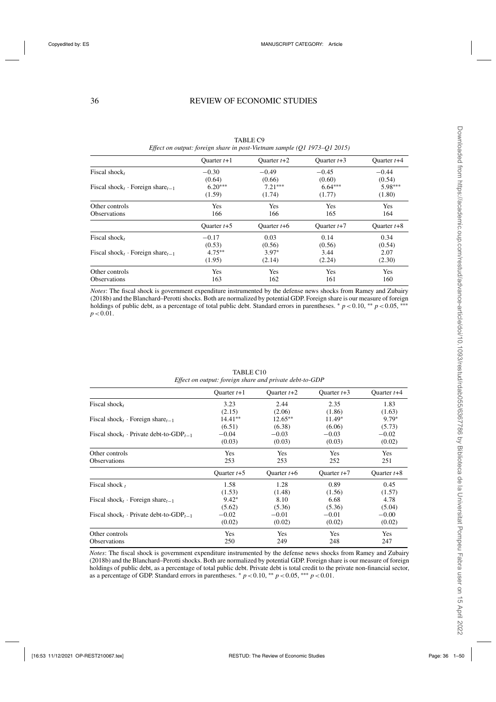|                                      | Ouarter $t+1$ | Ouarter $t+2$ | Ouarter $t+3$ | Ouarter $t+4$ |
|--------------------------------------|---------------|---------------|---------------|---------------|
| Fiscal shock,                        | $-0.30$       | $-0.49$       | $-0.45$       | $-0.44$       |
|                                      | (0.64)        | (0.66)        | (0.60)        | (0.54)        |
| Fiscal shock, Foreign share $t-1$    | $6.20***$     | $7.21***$     | $6.64***$     | 5.98***       |
|                                      | (1.59)        | (1.74)        | (1.77)        | (1.80)        |
| Other controls                       | Yes           | <b>Yes</b>    | <b>Yes</b>    | <b>Yes</b>    |
| <b>Observations</b>                  | 166           | 166           | 165           | 164           |
|                                      | Ouarter $t+5$ | Ouarter $t+6$ | Ouarter $t+7$ | Ouarter $t+8$ |
| Fiscal shock $_t$                    | $-0.17$       | 0.03          | 0.14          | 0.34          |
|                                      | (0.53)        | (0.56)        | (0.56)        | (0.54)        |
| Fiscal shock, Foreign share $t_{-1}$ | $4.75***$     | $3.97*$       | 3.44          | 2.07          |
|                                      | (1.95)        | (2.14)        | (2.24)        | (2.30)        |
| Other controls                       | Yes           | <b>Yes</b>    | <b>Yes</b>    | <b>Yes</b>    |
| <b>Observations</b>                  | 163           | 162           | 161           | 160           |

TABLE C9 *Effect on output: foreign share in post-Vietnam sample (Q1 1973–Q1 2015)*

*Notes*: The fiscal shock is government expenditure instrumented by the defense news shocks from Ramey and Zubairy (2018b) and the Blanchard–Perotti shocks. Both are normalized by potential GDP. Foreign share is our measure of foreign holdings of public debt, as a percentage of total public debt. Standard errors in parentheses. *\* p* <0.10, *\*\* p* <0.05, <sup>∗∗∗</sup>  $p < 0.01$ .

|                                                          | Ouarter $t+1$ | Ouarter $t+2$ | Ouarter $t+3$ | Ouarter $t+4$ |
|----------------------------------------------------------|---------------|---------------|---------------|---------------|
| Fiscal shock,                                            | 3.23          | 2.44          | 2.35          | 1.83          |
|                                                          | (2.15)        | (2.06)        | (1.86)        | (1.63)        |
| Fiscal shock <sub>t</sub> · Foreign share <sub>t-1</sub> | $14.41**$     | $12.65**$     | 11.49*        | $9.79*$       |
|                                                          | (6.51)        | (6.38)        | (6.06)        | (5.73)        |
| Fiscal shock, Private debt-to-GDP <sub>t-1</sub>         | $-0.04$       | $-0.03$       | $-0.03$       | $-0.02$       |
|                                                          | (0.03)        | (0.03)        | (0.03)        | (0.02)        |
| Other controls                                           | Yes           | Yes           | Yes           | Yes           |
| <b>Observations</b>                                      | 253           | 253           | 252           | 251           |
|                                                          | Ouarter $t+5$ | Ouarter $t+6$ | Ouarter $t+7$ | Ouarter $t+8$ |
| Fiscal shock $t$                                         | 1.58          | 1.28          | 0.89          | 0.45          |
|                                                          | (1.53)        | (1.48)        | (1.56)        | (1.57)        |
| Fiscal shock <sub>t</sub> · Foreign share <sub>t-1</sub> | $9.42*$       | 8.10          | 6.68          | 4.78          |
|                                                          | (5.62)        | (5.36)        | (5.36)        | (5.04)        |
| Fiscal shock, Private debt-to-GDP <sub>t-1</sub>         | $-0.02$       | $-0.01$       | $-0.01$       | $-0.00$       |
|                                                          | (0.02)        | (0.02)        | (0.02)        | (0.02)        |
| Other controls                                           | Yes           | Yes           | Yes           | Yes           |
| <b>Observations</b>                                      | 250           | 249           | 248           | 247           |

TABLE C10 *Effect on output: foreign share and private debt-to-GDP*

*Notes*: The fiscal shock is government expenditure instrumented by the defense news shocks from Ramey and Zubairy (2018b) and the Blanchard–Perotti shocks. Both are normalized by potential GDP. Foreign share is our measure of foreign holdings of public debt, as a percentage of total public debt. Private debt is total credit to the private non-financial sector, as a percentage of GDP. Standard errors in parentheses.  $* p < 0.10, ** p < 0.05, ** p < 0.01$ .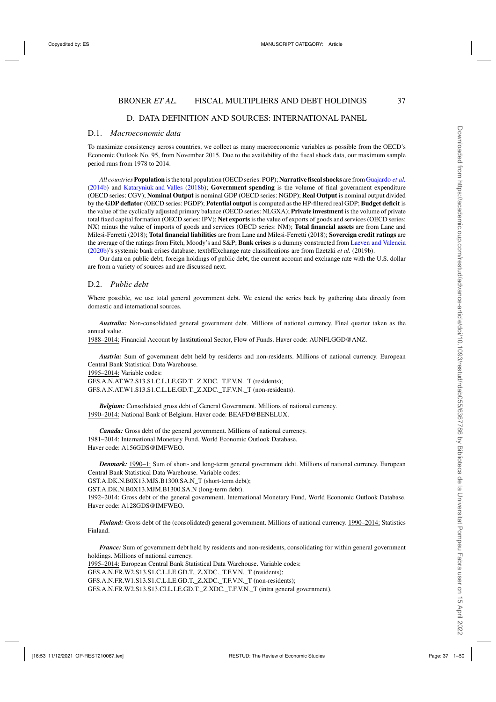# D. DATA DEFINITION AND SOURCES: INTERNATIONAL PANEL

# D.1. *Macroeconomic data*

To maximize consistency across countries, we collect as many macroeconomic variables as possible from the OECD's Economic Outlook No. 95, from November 2015. Due to the availability of the fiscal shock data, our maximum sample period runs from 1978 to 2014.

*All countries* **Population** is the total population (OECD series: POP); **Narrative fiscal shocks** are from[Guajardo](#page-48-0) *et al.* [\(2014b](#page-48-0)) and [Kataryniuk and Valles](#page-48-0) [\(2018b](#page-48-0)); **Government spending** is the volume of final government expenditure (OECD series: CGV); **Nominal Output** is nominal GDP (OECD series: NGDP); **Real Output** is nominal output divided by the **GDP deflator** (OECD series: PGDP); **Potential output** is computed as the HP-filtered real GDP; **Budget deficit** is the value of the cyclically adjusted primary balance (OECD series: NLGXA); **Private investment** is the volume of private total fixed capital formation (OECD series: IPV); **Net exports** is the value of exports of goods and services (OECD series: NX) minus the value of imports of goods and services (OECD series: NM); **Total financial assets** are from Lane and Milesi-Ferretti (2018); **Total financial liabilities** are from Lane and Milesi-Ferretti (2018); **Sovereign credit ratings** are the average of the ratings from Fitch, Moody's and S&P; **Bank crises** is a dummy constructed from [Laeven and Valencia](#page-48-0) [\(2020b](#page-48-0))'s systemic bank crises database; textbfExchange rate classifications are from Ilzetzki *et al.* (2019b).

Our data on public debt, foreign holdings of public debt, the current account and exchange rate with the U.S. dollar are from a variety of sources and are discussed next.

# D.2. *Public debt*

Where possible, we use total general government debt. We extend the series back by gathering data directly from domestic and international sources.

*Australia:* Non-consolidated general government debt. Millions of national currency. Final quarter taken as the annual value.

1988–2014: Financial Account by Institutional Sector, Flow of Funds. Haver code: AUNFLGGD@ANZ.

*Austria:* Sum of government debt held by residents and non-residents. Millions of national currency. European Central Bank Statistical Data Warehouse.

1995–2014: Variable codes:

GFS.A.N.AT.W2.S13.S1.C.L.LE.GD.T.\_Z.XDC.\_T.F.V.N.\_T (residents); GFS.A.N.AT.W1.S13.S1.C.L.LE.GD.T.\_Z.XDC.\_T.F.V.N.\_T (non-residents).

*Belgium:* Consolidated gross debt of General Government. Millions of national currency. 1990–2014: National Bank of Belgium. Haver code: BEAFD@BENELUX.

*Canada:* Gross debt of the general government. Millions of national currency. 1981–2014: International Monetary Fund, World Economic Outlook Database. Haver code: A156GDS@IMFWEO.

*Denmark:* 1990–1: Sum of short- and long-term general government debt. Millions of national currency. European Central Bank Statistical Data Warehouse. Variable codes:

GST.A.DK.N.B0X13.MJS.B1300.SA.N\_T (short-term debt);

GST.A.DK.N.B0X13.MJM.B1300.SA.N (long-term debt).

1992–2014: Gross debt of the general government. International Monetary Fund, World Economic Outlook Database. Haver code: A128GDS@IMFWEO.

*Finland:* Gross debt of the (consolidated) general government. Millions of national currency. 1990–2014: Statistics Finland.

*France:* Sum of government debt held by residents and non-residents, consolidating for within general government holdings. Millions of national currency.

1995–2014: European Central Bank Statistical Data Warehouse. Variable codes:

GFS.A.N.FR.W2.S13.S1.C.L.LE.GD.T.\_Z.XDC.\_T.F.V.N.\_T (residents);

GFS.A.N.FR.W1.S13.S1.C.L.LE.GD.T.\_Z.XDC.\_T.F.V.N.\_T (non-residents);

GFS.A.N.FR.W2.S13.S13.CI.L.LE.GD.T.\_Z.XDC.\_T.F.V.N.\_T (intra general government).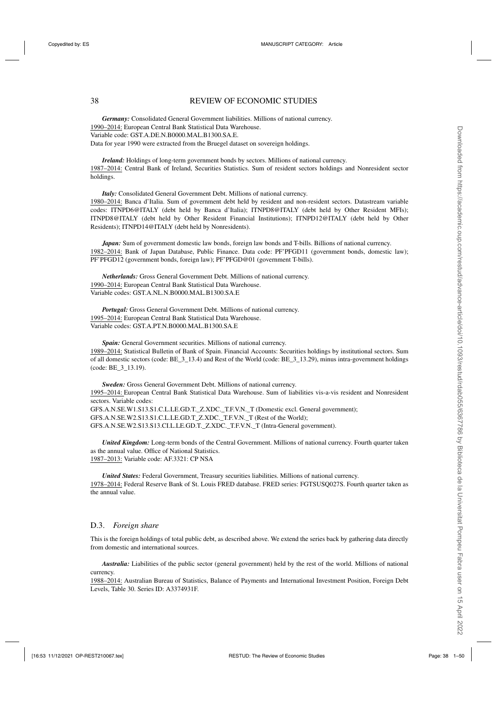# 38 REVIEW OF ECONOMIC STUDIES

*Germany:* Consolidated General Government liabilities. Millions of national currency. 1990–2014: European Central Bank Statistical Data Warehouse. Variable code: GST.A.DE.N.B0000.MAL.B1300.SA.E. Data for year 1990 were extracted from the Bruegel dataset on sovereign holdings.

*Ireland:* Holdings of long-term government bonds by sectors. Millions of national currency. 1987–2014: Central Bank of Ireland, Securities Statistics. Sum of resident sectors holdings and Nonresident sector holdings.

*Italy:* Consolidated General Government Debt. Millions of national currency. 1980–2014: Banca d'Italia. Sum of government debt held by resident and non-resident sectors. Datastream variable codes: ITNPD6@ITALY (debt held by Banca d'Italia); ITNPD8@ITALY (debt held by Other Resident MFIs); ITNPD8@ITALY (debt held by Other Resident Financial Institutions); ITNPD12@ITALY (debt held by Other Residents); ITNPD14@ITALY (debt held by Nonresidents).

*Japan:* Sum of government domestic law bonds, foreign law bonds and T-bills. Billions of national currency. 1982–2014: Bank of Japan Database, Public Finance. Data code: PF'PFGD11 (government bonds, domestic law); PF'PFGD12 (government bonds, foreign law); PF'PFGD@01 (government T-bills).

*Netherlands:* Gross General Government Debt. Millions of national currency. 1990–2014: European Central Bank Statistical Data Warehouse. Variable codes: GST.A.NL.N.B0000.MAL.B1300.SA.E

*Portugal:* Gross General Government Debt. Millions of national currency. 1995–2014: European Central Bank Statistical Data Warehouse. Variable codes: GST.A.PT.N.B0000.MAL.B1300.SA.E

*Spain:* General Government securities. Millions of national currency. 1989–2014: Statistical Bulletin of Bank of Spain. Financial Accounts: Securities holdings by institutional sectors. Sum of all domestic sectors (code: BE\_3\_13.4) and Rest of the World (code: BE\_3\_13.29), minus intra-government holdings (code: BE\_3\_13.19).

*Sweden:* Gross General Government Debt. Millions of national currency. 1995–2014: European Central Bank Statistical Data Warehouse. Sum of liabilities vis-a-vis resident and Nonresident sectors. Variable codes: GFS.A.N.SE.W1.S13.S1.C.L.LE.GD.T.\_Z.XDC.\_T.F.V.N.\_T (Domestic excl. General government); GFS.A.N.SE.W2.S13.S1.C.L.LE.GD.T\_Z.XDC.\_T.F.V.N.\_T (Rest of the World); GFS.A.N.SE.W2.S13.S13.CI.L.LE.GD.T. Z.XDC. T.F.V.N. T (Intra-General government).

*United Kingdom:* Long-term bonds of the Central Government. Millions of national currency. Fourth quarter taken as the annual value. Office of National Statistics. 1987–2013: Variable code: AF.3321: CP NSA

*United States:* Federal Government, Treasury securities liabilities. Millions of national currency. 1978–2014: Federal Reserve Bank of St. Louis FRED database. FRED series: FGTSUSQ027S. Fourth quarter taken as the annual value.

#### D.3. *Foreign share*

This is the foreign holdings of total public debt, as described above. We extend the series back by gathering data directly from domestic and international sources.

*Australia:* Liabilities of the public sector (general government) held by the rest of the world. Millions of national currency.

1988–2014: Australian Bureau of Statistics, Balance of Payments and International Investment Position, Foreign Debt Levels, Table 30. Series ID: A3374931F.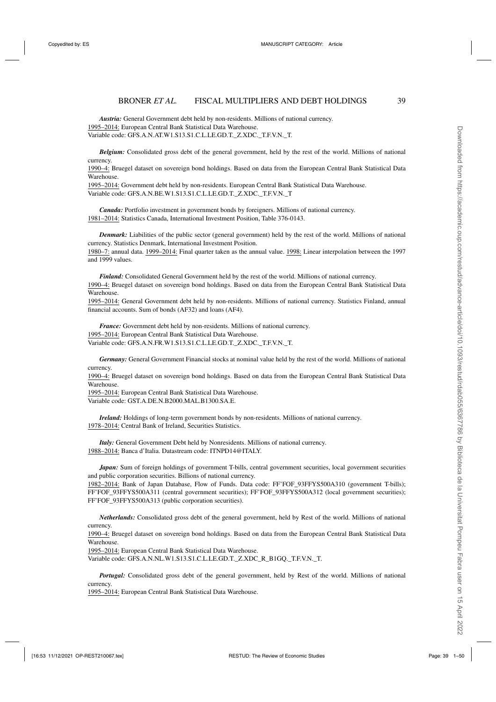# BRONER *ET AL.* FISCAL MULTIPLIERS AND DEBT HOLDINGS 39

*Austria:* General Government debt held by non-residents. Millions of national currency. 1995–2014: European Central Bank Statistical Data Warehouse. Variable code: GFS.A.N.AT.W1.S13.S1.C.L.LE.GD.T.\_Z.XDC.\_T.F.V.N.\_T.

*Belgium:* Consolidated gross debt of the general government, held by the rest of the world. Millions of national currency.

1990–4: Bruegel dataset on sovereign bond holdings. Based on data from the European Central Bank Statistical Data Warehouse.

1995–2014: Government debt held by non-residents. European Central Bank Statistical Data Warehouse. Variable code: GFS.A.N.BE.W1.S13.S1.C.L.LE.GD.T.\_Z.XDC.\_T.F.V.N.\_T

*Canada:* Portfolio investment in government bonds by foreigners. Millions of national currency. 1981–2014: Statistics Canada, International Investment Position, Table 376-0143.

*Denmark:* Liabilities of the public sector (general government) held by the rest of the world. Millions of national currency. Statistics Denmark, International Investment Position.

1980–7: annual data. 1999–2014: Final quarter taken as the annual value. 1998: Linear interpolation between the 1997 and 1999 values.

*Finland:* Consolidated General Government held by the rest of the world. Millions of national currency. 1990–4: Bruegel dataset on sovereign bond holdings. Based on data from the European Central Bank Statistical Data Warehouse.

1995–2014: General Government debt held by non-residents. Millions of national currency. Statistics Finland, annual financial accounts. Sum of bonds (AF32) and loans (AF4).

*France:* Government debt held by non-residents. Millions of national currency. 1995–2014: European Central Bank Statistical Data Warehouse. Variable code: GFS.A.N.FR.W1.S13.S1.C.L.LE.GD.T.\_Z.XDC.\_T.F.V.N.\_T.

*Germany:* General Government Financial stocks at nominal value held by the rest of the world. Millions of national currency.

1990–4: Bruegel dataset on sovereign bond holdings. Based on data from the European Central Bank Statistical Data Warehouse.

1995–2014: European Central Bank Statistical Data Warehouse. Variable code: GST.A.DE.N.B2000.MAL.B1300.SA.E.

*Ireland:* Holdings of long-term government bonds by non-residents. Millions of national currency. 1978–2014: Central Bank of Ireland, Securities Statistics.

*Italy:* General Government Debt held by Nonresidents. Millions of national currency. 1988–2014: Banca d'Italia. Datastream code: ITNPD14@ITALY.

*Japan:* Sum of foreign holdings of government T-bills, central government securities, local government securities and public corporation securities. Billions of national currency.

1982–2014: Bank of Japan Database, Flow of Funds. Data code: FF'FOF\_93FFYS500A310 (government T-bills); FF'FOF\_93FFYS500A311 (central government securities); FF'FOF\_93FFYS500A312 (local government securities); FF'FOF\_93FFYS500A313 (public corporation securities).

*Netherlands:* Consolidated gross debt of the general government, held by Rest of the world. Millions of national currency.

1990–4: Bruegel dataset on sovereign bond holdings. Based on data from the European Central Bank Statistical Data Warehouse.

1995–2014: European Central Bank Statistical Data Warehouse.

Variable code: GFS.A.N.NL.W1.S13.S1.C.L.LE.GD.T.\_Z.XDC\_R\_B1GQ.\_T.F.V.N.\_T.

*Portugal:* Consolidated gross debt of the general government, held by Rest of the world. Millions of national currency.

1995–2014: European Central Bank Statistical Data Warehouse.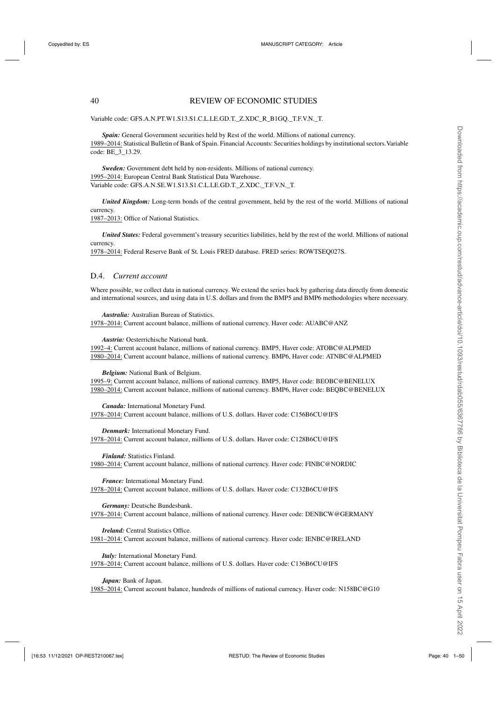Variable code: GFS.A.N.PT.W1.S13.S1.C.L.LE.GD.T.\_Z.XDC\_R\_B1GQ.\_T.F.V.N.\_T.

*Spain:* General Government securities held by Rest of the world. Millions of national currency. 1989–2014: Statistical Bulletin of Bank of Spain. Financial Accounts: Securities holdings by institutional sectors.Variable code: BE\_3\_13.29.

*Sweden:* Government debt held by non-residents. Millions of national currency. 1995–2014: European Central Bank Statistical Data Warehouse. Variable code: GFS.A.N.SE.W1.S13.S1.C.L.LE.GD.T.\_Z.XDC.\_T.F.V.N.\_T.

*United Kingdom:* Long-term bonds of the central government, held by the rest of the world. Millions of national currency.

1987–2013: Office of National Statistics.

*United States:* Federal government's treasury securities liabilities, held by the rest of the world. Millions of national currency.

1978–2014: Federal Reserve Bank of St. Louis FRED database. FRED series: ROWTSEQ027S.

#### D.4. *Current account*

Where possible, we collect data in national currency. We extend the series back by gathering data directly from domestic and international sources, and using data in U.S. dollars and from the BMP5 and BMP6 methodologies where necessary.

*Australia:* Australian Bureau of Statistics.

1978–2014: Current account balance, millions of national currency. Haver code: AUABC@ANZ

*Austria:* Oesterrichische National bank.

1992–4: Current account balance, millions of national currency. BMP5, Haver code: ATOBC@ALPMED 1980–2014: Current account balance, millions of national currency. BMP6, Haver code: ATNBC@ALPMED

*Belgium:* National Bank of Belgium.

1995–9: Current account balance, millions of national currency. BMP5, Haver code: BEOBC@BENELUX 1980–2014: Current account balance, millions of national currency. BMP6, Haver code: BEQBC@BENELUX

*Canada:* International Monetary Fund. 1978–2014: Current account balance, millions of U.S. dollars. Haver code: C156B6CU@IFS

*Denmark:* International Monetary Fund. 1978–2014: Current account balance, millions of U.S. dollars. Haver code: C128B6CU@IFS

*Finland:* Statistics Finland.

1980–2014: Current account balance, millions of national currency. Haver code: FINBC@NORDIC

*France:* International Monetary Fund. 1978–2014: Current account balance, millions of U.S. dollars. Haver code: C132B6CU@IFS

*Germany:* Deutsche Bundesbank. 1978–2014: Current account balance, millions of national currency. Haver code: DENBCW@GERMANY

*Ireland:* Central Statistics Office. 1981–2014: Current account balance, millions of national currency. Haver code: IENBC@IRELAND

*Italy:* International Monetary Fund. 1978–2014: Current account balance, millions of U.S. dollars. Haver code: C136B6CU@IFS

*Japan:* Bank of Japan. 1985–2014: Current account balance, hundreds of millions of national currency. Haver code: N158BC@G10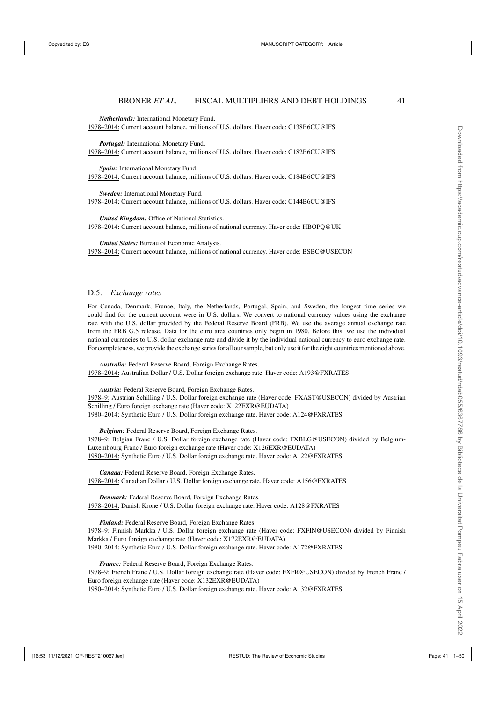Downloaded from https://academic.oup.com/restud/advance-article/doi/10.1093/restud/rdab055/6367786 by Biblioteca de la Universitat Pompeu Fabra user on 15 April 2022 Downloaded from https://academic.oup.com/restud/advance-article/doi/10.1093/restud/rdab055/6367786 by Biblioteca de la Universitat Pompeu Fabra user on 15 April 2022

*Netherlands:* International Monetary Fund. 1978–2014: Current account balance, millions of U.S. dollars. Haver code: C138B6CU@IFS

*Portugal:* International Monetary Fund. 1978–2014: Current account balance, millions of U.S. dollars. Haver code: C182B6CU@IFS

*Spain:* International Monetary Fund. 1978–2014: Current account balance, millions of U.S. dollars. Haver code: C184B6CU@IFS

*Sweden:* International Monetary Fund. 1978–2014: Current account balance, millions of U.S. dollars. Haver code: C144B6CU@IFS

*United Kingdom:* Office of National Statistics. 1978–2014: Current account balance, millions of national currency. Haver code: HBOPQ@UK

*United States:* Bureau of Economic Analysis. 1978–2014: Current account balance, millions of national currency. Haver code: BSBC@USECON

### D.5. *Exchange rates*

For Canada, Denmark, France, Italy, the Netherlands, Portugal, Spain, and Sweden, the longest time series we could find for the current account were in U.S. dollars. We convert to national currency values using the exchange rate with the U.S. dollar provided by the Federal Reserve Board (FRB). We use the average annual exchange rate from the FRB G.5 release. Data for the euro area countries only begin in 1980. Before this, we use the individual national currencies to U.S. dollar exchange rate and divide it by the individual national currency to euro exchange rate. For completeness, we provide the exchange series for all our sample, but only use it for the eight countries mentioned above.

*Australia:* Federal Reserve Board, Foreign Exchange Rates. 1978–2014: Australian Dollar / U.S. Dollar foreign exchange rate. Haver code: A193@FXRATES

*Austria:* Federal Reserve Board, Foreign Exchange Rates. 1978–9: Austrian Schilling / U.S. Dollar foreign exchange rate (Haver code: FXAST@USECON) divided by Austrian Schilling / Euro foreign exchange rate (Haver code: X122EXR@EUDATA) 1980–2014: Synthetic Euro / U.S. Dollar foreign exchange rate. Haver code: A124@FXRATES

*Belgium:* Federal Reserve Board, Foreign Exchange Rates. 1978–9: Belgian Franc / U.S. Dollar foreign exchange rate (Haver code: FXBLG@USECON) divided by Belgium-Luxembourg Franc / Euro foreign exchange rate (Haver code: X126EXR@EUDATA) 1980–2014: Synthetic Euro / U.S. Dollar foreign exchange rate. Haver code: A122@FXRATES

*Canada:* Federal Reserve Board, Foreign Exchange Rates. 1978–2014: Canadian Dollar / U.S. Dollar foreign exchange rate. Haver code: A156@FXRATES

*Denmark:* Federal Reserve Board, Foreign Exchange Rates. 1978–2014: Danish Krone / U.S. Dollar foreign exchange rate. Haver code: A128@FXRATES

*Finland:* Federal Reserve Board, Foreign Exchange Rates. 1978–9: Finnish Markka / U.S. Dollar foreign exchange rate (Haver code: FXFIN@USECON) divided by Finnish Markka / Euro foreign exchange rate (Haver code: X172EXR@EUDATA) 1980–2014: Synthetic Euro / U.S. Dollar foreign exchange rate. Haver code: A172@FXRATES

*France:* Federal Reserve Board, Foreign Exchange Rates. 1978–9: French Franc / U.S. Dollar foreign exchange rate (Haver code: FXFR@USECON) divided by French Franc / Euro foreign exchange rate (Haver code: X132EXR@EUDATA) 1980–2014: Synthetic Euro / U.S. Dollar foreign exchange rate. Haver code: A132@FXRATES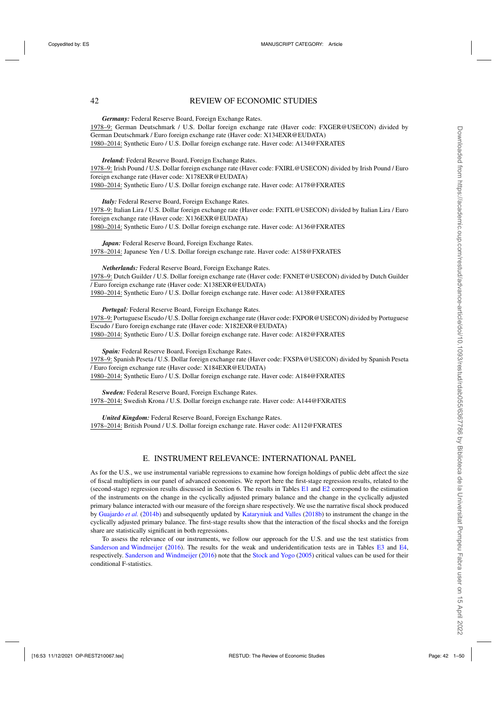# 42 REVIEW OF ECONOMIC STUDIES

*Germany:* Federal Reserve Board, Foreign Exchange Rates. 1978–9: German Deutschmark / U.S. Dollar foreign exchange rate (Haver code: FXGER@USECON) divided by German Deutschmark / Euro foreign exchange rate (Haver code: X134EXR@EUDATA) 1980–2014: Synthetic Euro / U.S. Dollar foreign exchange rate. Haver code: A134@FXRATES

*Ireland:* Federal Reserve Board, Foreign Exchange Rates. 1978–9: Irish Pound / U.S. Dollar foreign exchange rate (Haver code: FXIRL@USECON) divided by Irish Pound / Euro foreign exchange rate (Haver code: X178EXR@EUDATA) 1980–2014: Synthetic Euro / U.S. Dollar foreign exchange rate. Haver code: A178@FXRATES

*Italy:* Federal Reserve Board, Foreign Exchange Rates. 1978–9: Italian Lira / U.S. Dollar foreign exchange rate (Haver code: FXITL@USECON) divided by Italian Lira / Euro foreign exchange rate (Haver code: X136EXR@EUDATA) 1980–2014: Synthetic Euro / U.S. Dollar foreign exchange rate. Haver code: A136@FXRATES

*Japan:* Federal Reserve Board, Foreign Exchange Rates. 1978–2014: Japanese Yen / U.S. Dollar foreign exchange rate. Haver code: A158@FXRATES

*Netherlands:* Federal Reserve Board, Foreign Exchange Rates. 1978–9: Dutch Guilder / U.S. Dollar foreign exchange rate (Haver code: FXNET@USECON) divided by Dutch Guilder / Euro foreign exchange rate (Haver code: X138EXR@EUDATA) 1980–2014: Synthetic Euro / U.S. Dollar foreign exchange rate. Haver code: A138@FXRATES

*Portugal:* Federal Reserve Board, Foreign Exchange Rates. 1978–9: Portuguese Escudo / U.S. Dollar foreign exchange rate (Haver code: FXPOR@USECON) divided by Portuguese Escudo / Euro foreign exchange rate (Haver code: X182EXR@EUDATA) 1980–2014: Synthetic Euro / U.S. Dollar foreign exchange rate. Haver code: A182@FXRATES

*Spain:* Federal Reserve Board, Foreign Exchange Rates. 1978–9: Spanish Peseta / U.S. Dollar foreign exchange rate (Haver code: FXSPA@USECON) divided by Spanish Peseta / Euro foreign exchange rate (Haver code: X184EXR@EUDATA) 1980–2014: Synthetic Euro / U.S. Dollar foreign exchange rate. Haver code: A184@FXRATES

*Sweden:* Federal Reserve Board, Foreign Exchange Rates. 1978–2014: Swedish Krona / U.S. Dollar foreign exchange rate. Haver code: A144@FXRATES

*United Kingdom:* Federal Reserve Board, Foreign Exchange Rates. 1978–2014: British Pound / U.S. Dollar foreign exchange rate. Haver code: A112@FXRATES

### E. INSTRUMENT RELEVANCE: INTERNATIONAL PANEL

As for the U.S., we use instrumental variable regressions to examine how foreign holdings of public debt affect the size of fiscal multipliers in our panel of advanced economies. We report here the first-stage regression results, related to the (second-stage) regression results discussed in Section 6. The results in Tables [E1](#page-9-0) and [E2](#page-12-0) correspond to the estimation of the instruments on the change in the cyclically adjusted primary balance and the change in the cyclically adjusted primary balance interacted with our measure of the foreign share respectively. We use the narrative fiscal shock produced by [Guajardo](#page-48-0) *et al.* [\(2014b](#page-48-0)) and subsequently updated by [Kataryniuk and Valles](#page-48-0) [\(2018b](#page-48-0)) to instrument the change in the cyclically adjusted primary balance. The first-stage results show that the interaction of the fiscal shocks and the foreign share are statistically significant in both regressions.

To assess the relevance of our instruments, we follow our approach for the U.S. and use the test statistics from [Sanderson and Windmeijer](#page-49-0) [\(2016](#page-49-0)). The results for the weak and underidentification tests are in Tables [E3](#page-13-0) and [E4,](#page-23-0) respectively. [Sanderson and Windmeijer](#page-49-0) [\(2016\)](#page-49-0) note that the [Stock and Yogo](#page-49-0) [\(2005\)](#page-49-0) critical values can be used for their conditional F-statistics.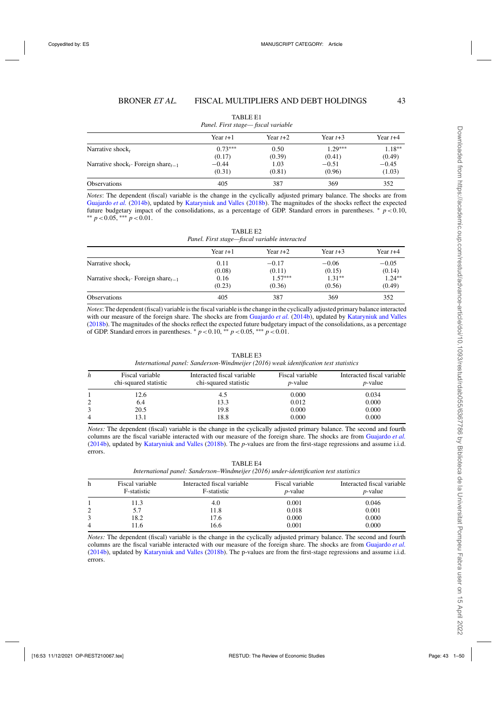| Panel. First stage— fiscal variable  |            |            |            |            |
|--------------------------------------|------------|------------|------------|------------|
|                                      | Year $t+1$ | Year $t+2$ | Year $t+3$ | Year $t+4$ |
| Narrative shock,                     | $0.73***$  | 0.50       | $1.29***$  | $1.18**$   |
|                                      | (0.17)     | (0.39)     | (0.41)     | (0.49)     |
| Narrative shock, Foreign share $t-1$ | $-0.44$    | 1.03       | $-0.51$    | $-0.45$    |
|                                      | (0.31)     | (0.81)     | (0.96)     | (1.03)     |
| <b>Observations</b>                  | 405        | 387        | 369        | 352        |

|  | <b>TABLE E1</b>                  |  |
|--|----------------------------------|--|
|  | anel. First stage— fiscal variab |  |

*Notes*: The dependent (fiscal) variable is the change in the cyclically adjusted primary balance. The shocks are from [Guajardo](#page-48-0) *et al.* [\(2014b](#page-48-0)), updated by [Kataryniuk and Valles](#page-48-0) [\(2018b\)](#page-48-0). The magnitudes of the shocks reflect the expected future budgetary impact of the consolidations, as a percentage of GDP. Standard errors in parentheses. <sup>\*</sup> *p* <0.10, \*\* *p* <0.05, \*\*\* *p* <0.01.

| TABLE E2                                      |  |
|-----------------------------------------------|--|
| Panel. First stage—fiscal variable interacted |  |

| Year $t+1$ | Year $t+2$ | Year $t+3$ | Year $t+4$ |
|------------|------------|------------|------------|
| 0.11       | $-0.17$    | $-0.06$    | $-0.05$    |
|            | (0.11)     |            | (0.14)     |
| 0.16       | $1.57***$  | $1.31**$   | $1.24***$  |
| (0.23)     | (0.36)     | (0.56)     | (0.49)     |
| 405        | 387        | 369        | 352        |
|            | (0.08)     |            | (0.15)     |

*Notes*: The dependent (fiscal) variable is the fiscal variable is the change in the cyclically adjusted primary balance interacted with our measure of the foreign share. The shocks are from [Guajardo](#page-48-0) *et al.* [\(2014b](#page-48-0)), updated by [Kataryniuk and Valles](#page-48-0) [\(2018b](#page-48-0)). The magnitudes of the shocks reflect the expected future budgetary impact of the consolidations, as a percentage of GDP. Standard errors in parentheses.  $* p < 0.10, ** p < 0.05, ** p < 0.01$ .

| h | Fiscal variable       | Interacted fiscal variable | Fiscal variable | Interacted fiscal variable |
|---|-----------------------|----------------------------|-----------------|----------------------------|
|   | chi-squared statistic | chi-squared statistic      | $p$ -value      | <i>p</i> -value            |
|   | 12.6                  | 4.5                        | 0.000           | 0.034                      |
| 2 | 6.4                   | 13.3                       | 0.012           | 0.000                      |
| 4 | 20.5                  | 19.8                       | 0.000           | 0.000                      |
|   | l 3.1                 | 18.8                       | 0.000           | 0.000                      |

TABLE E3 *International panel: Sanderson-Windmeijer (2016) weak identification test statistics*

*Notes:* The dependent (fiscal) variable is the change in the cyclically adjusted primary balance. The second and fourth columns are the fiscal variable interacted with our measure of the foreign share. The shocks are from [Guajardo](#page-48-0) *et al.* [\(2014b](#page-48-0)), updated by [Kataryniuk and Valles](#page-48-0) [\(2018b\)](#page-48-0). The *p*-values are from the first-stage regressions and assume i.i.d. errors.

TABLE E4 *International panel: Sanderson–Windmeijer (2016) under-identification test statistics*

| h | Fiscal variable<br>F-statistic | Interacted fiscal variable<br>F-statistic | Fiscal variable<br>$p$ -value | Interacted fiscal variable<br>$p$ -value |
|---|--------------------------------|-------------------------------------------|-------------------------------|------------------------------------------|
|   | 11.3                           | 4.0                                       | 0.001                         | 0.046                                    |
|   | 5.7                            | 11.8                                      | 0.018                         | 0.001                                    |
|   | 18.2                           | 17.6                                      | 0.000                         | 0.000                                    |
| 4 | 11.6                           | 16.6                                      | 0.001                         | 0.000                                    |

*Notes:* The dependent (fiscal) variable is the change in the cyclically adjusted primary balance. The second and fourth columns are the fiscal variable interacted with our measure of the foreign share. The shocks are from [Guajardo](#page-48-0) *et al.* [\(2014b](#page-48-0)), updated by [Kataryniuk and Valles](#page-48-0) [\(2018b\)](#page-48-0). The p-values are from the first-stage regressions and assume i.i.d. errors.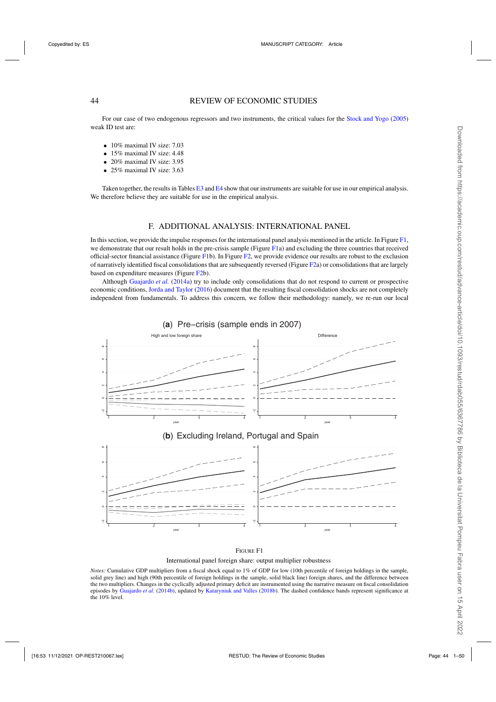# 44 REVIEW OF ECONOMIC STUDIES

For our case of two endogenous regressors and two instruments, the critical values for the [Stock and Yogo](#page-49-0) [\(2005\)](#page-49-0) weak ID test are:

- 10% maximal IV size: 7.03
- 15% maximal IV size: 4.48
- 20% maximal IV size: 3.95
- 25% maximal IV size: 3.63

Taken together, the results in Tables [E3](#page-13-0) and [E4](#page-23-0) show that our instruments are suitable for use in our empirical analysis. We therefore believe they are suitable for use in the empirical analysis.

# F. ADDITIONAL ANALYSIS: INTERNATIONAL PANEL

In this section, we provide the impulse responses for the international panel analysis mentioned in the article. In Figure [F1,](#page-4-0) we demonstrate that our result holds in the pre-crisis sample (Figure [F1a](#page-4-0)) and excluding the three countries that received official-sector financial assistance (Figure [F1b](#page-4-0)). In Figure [F2,](#page-5-0) we provide evidence our results are robust to the exclusion of narratively identified fiscal consolidations that are subsequently reversed (Figure [F2a](#page-5-0)) or consolidations that are largely based on expenditure measures (Figure [F2b](#page-5-0)).

Although [Guajardo](#page-48-0) *et al.* [\(2014a\)](#page-48-0) try to include only consolidations that do not respond to current or prospective economic conditions, [Jorda and Taylor](#page-48-0) [\(2016](#page-48-0)) document that the resulting fiscal consolidation shocks are not completely independent from fundamentals. To address this concern, we follow their methodology: namely, we re-run our local



International panel foreign share: output multiplier robustness

*Notes:* Cumulative GDP multipliers from a fiscal shock equal to 1% of GDP for low (10th percentile of foreign holdings in the sample, solid grey line) and high (90th percentile of foreign holdings in the sample, solid black line) foreign shares, and the difference between the two multipliers. Changes in the cyclically adjusted primary deficit are instrumented using the narrative measure on fiscal consolidation episodes by [Guajardo](#page-48-0) *et al.* [\(2014b\)](#page-48-0), updated by [Kataryniuk and Valles](#page-48-0) [\(2018b\)](#page-48-0). The dashed confidence bands represent significance at the 10% level.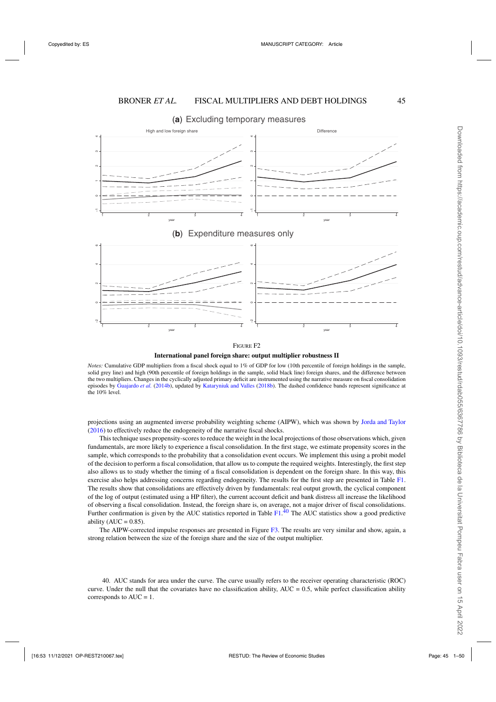Excluding temporary measures (**a**)





**International panel foreign share: output multiplier robustness II** 

*Notes:* Cumulative GDP multipliers from a fiscal shock equal to 1% of GDP for low (10th percentile of foreign holdings in the sample, solid grey line) and high (90th percentile of foreign holdings in the sample, solid black line) foreign shares, and the difference between the two multipliers. Changes in the cyclically adjusted primary deficit are instrumented using the narrative measure on fiscal consolidation episodes by [Guajardo](#page-48-0) *et al.* [\(2014b](#page-48-0)), updated by [Kataryniuk and Valles](#page-48-0) [\(2018b\)](#page-48-0). The dashed confidence bands represent significance at the 10% level.

projections using an augmented inverse probability weighting scheme (AIPW), which was shown by [Jorda and Taylor](#page-48-0) [\(2016](#page-48-0)) to effectively reduce the endogeneity of the narrative fiscal shocks.

This technique uses propensity-scores to reduce the weight in the local projections of those observations which, given fundamentals, are more likely to experience a fiscal consolidation. In the first stage, we estimate propensity scores in the sample, which corresponds to the probability that a consolidation event occurs. We implement this using a probit model of the decision to perform a fiscal consolidation, that allow us to compute the required weights. Interestingly, the first step also allows us to study whether the timing of a fiscal consolidation is dependent on the foreign share. In this way, this exercise also helps addressing concerns regarding endogeneity. The results for the first step are presented in Table [F1.](#page-9-0) The results show that consolidations are effectively driven by fundamentals: real output growth, the cyclical component of the log of output (estimated using a HP filter), the current account deficit and bank distress all increase the likelihood of observing a fiscal consolidation. Instead, the foreign share is, on average, not a major driver of fiscal consolidations. Further confirmation is given by the AUC statistics reported in Table [F1.](#page-9-0)<sup>40</sup> The AUC statistics show a good predictive ability ( $AUC = 0.85$ ).

The AIPW-corrected impulse responses are presented in Figure [F3.](#page-13-0) The results are very similar and show, again, a strong relation between the size of the foreign share and the size of the output multiplier.

40. AUC stands for area under the curve. The curve usually refers to the receiver operating characteristic (ROC) curve. Under the null that the covariates have no classification ability,  $AUC = 0.5$ , while perfect classification ability corresponds to  $AUC = 1$ .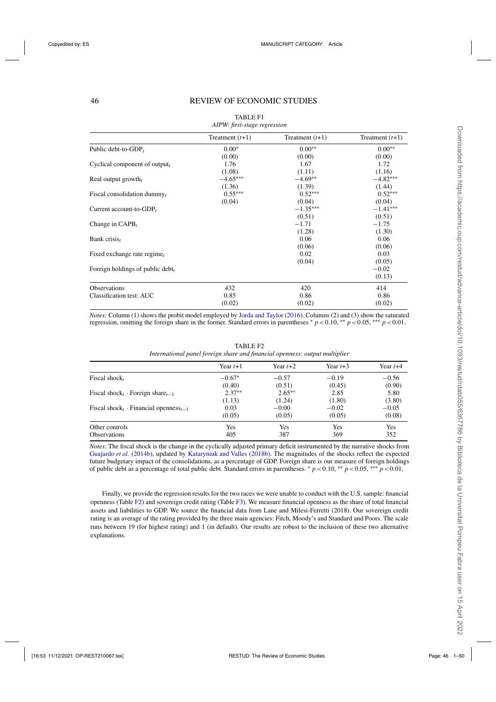# 46 REVIEW OF ECONOMIC STUDIES

|                                     | Treatment $(t+1)$ | Treatment $(t+1)$ | Treatment $(t+1)$ |
|-------------------------------------|-------------------|-------------------|-------------------|
| Public debt-to-GDP,                 | $0.00*$           | $0.00**$          | $0.00**$          |
|                                     | (0.00)            | (0.00)            | (0.00)            |
| Cyclical component of output,       | 1.76              | 1.67              | 1.72              |
|                                     | (1.08)            | (1.11)            | (1.16)            |
| Real output growth,                 | $-4.65***$        | $-4.69**$         | $-4.82***$        |
|                                     | (1.36)            | (1.39)            | (1.44)            |
| Fiscal consolidation dummy $_t$     | $0.55***$         | $0.52***$         | $0.52***$         |
|                                     | (0.04)            | (0.04)            | (0.04)            |
| Current account-to-GDP <sub>t</sub> |                   | $-1.35***$        | $-1.41***$        |
|                                     |                   | (0.51)            | (0.51)            |
| Change in $CAPB_t$                  |                   | $-1.71$           | $-1.75$           |
|                                     |                   | (1.28)            | (1.30)            |
| Bank crisis,                        |                   | 0.06              | 0.06              |
|                                     |                   | (0.06)            | (0.06)            |
| Fixed exchange rate regime,         |                   | 0.02              | 0.03              |
|                                     |                   | (0.04)            | (0.05)            |
| Foreign holdings of public debt,    |                   |                   | $-0.02$           |
|                                     |                   |                   | (0.13)            |
| <b>Observations</b>                 | 432               | 420               | 414               |
| Classification test: AUC            | 0.85              | 0.86              | 0.86              |
|                                     | (0.02)            | (0.02)            | (0.02)            |

#### TABLE F1 *AIPW: first-stage regression*

*Notes:* Column (1) shows the probit model employed by [Jorda and Taylor](#page-48-0) [\(2016\)](#page-48-0). Columns (2) and (3) show the saturated regression, omitting the foreign share in the former. Standard errors in parentheses  $p < 0.10$ , \*\*  $p < 0.05$ , \*\*\*  $p < 0.01$ .

|                                                          | Year $t+1$ | Year $t+2$ | Year $t+3$ | Year $t+4$ |
|----------------------------------------------------------|------------|------------|------------|------------|
| Fiscal shock,                                            | $-0.67*$   | $-0.57$    | $-0.19$    | $-0.56$    |
|                                                          | (0.40)     | (0.51)     | (0.45)     | (0.90)     |
| Fiscal shock <sub>t</sub> · Foreign share <sub>t-1</sub> | $2.37**$   | $2.65***$  | 2.85       | 5.80       |
|                                                          | (1.13)     | (1.24)     | (1.80)     | (3.80)     |
| Fiscal shock, Financial openness <sub>t-1</sub>          | 0.03       | $-0.00$    | $-0.02$    | $-0.05$    |
|                                                          | (0.05)     | (0.05)     | (0.05)     | (0.08)     |
| Other controls                                           | Yes        | Yes        | Yes        | Yes        |
| <b>Observations</b>                                      | 405        | 387        | 369        | 352        |

TABLE F2 *International panel foreign share and financial openness: output multiplier*

*Notes*: The fiscal shock is the change in the cyclically adjusted primary deficit instrumented by the narrative shocks from [Guajardo](#page-48-0) *et al.* [\(2014b\)](#page-48-0), updated by [Kataryniuk and Valles](#page-48-0) [\(2018b\)](#page-48-0). The magnitudes of the shocks reflect the expected future budgetary impact of the consolidations, as a percentage of GDP. Foreign share is our measure of foreign holdings of public debt as a percentage of total public debt. Standard errors in parentheses. <sup>∗</sup> *p*<0.10, ∗∗ *p*<0.05, ∗∗∗ *p*<0.01.

Finally, we provide the regression results for the two races we were unable to conduct with the U.S. sample: financial openness (Table [F2\)](#page-12-0) and sovereign credit rating (Table [F3\)](#page-13-0). We measure financial openness as the share of total financial assets and liabilities to GDP. We source the financial data from Lane and Milesi-Ferretti (2018). Our sovereign credit rating is an average of the rating provided by the three main agencies: Fitch, Moody's and Standard and Poors. The scale runs between 19 (for highest rating) and 1 (in default). Our results are robust to the inclusion of these two alternative explanations.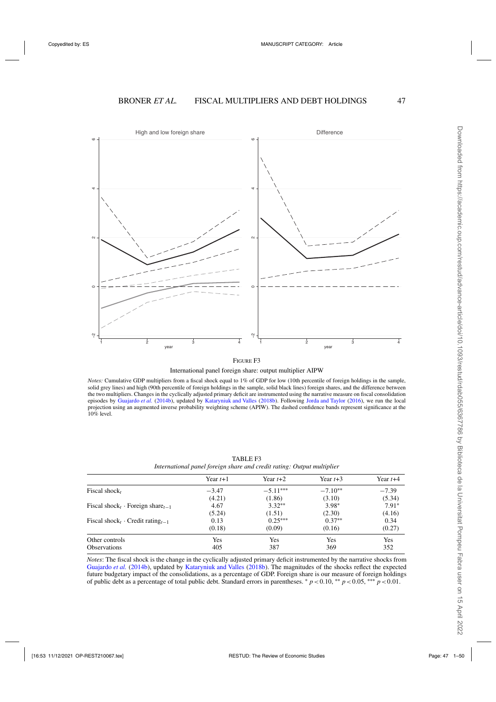

FIGURE F3

International panel foreign share: output multiplier AIPW

*Notes:* Cumulative GDP multipliers from a fiscal shock equal to 1% of GDP for low (10th percentile of foreign holdings in the sample, solid grey lines) and high (90th percentile of foreign holdings in the sample, solid black lines) foreign shares, and the difference between the two multipliers. Changes in the cyclically adjusted primary deficit are instrumented using the narrative measure on fiscal consolidation episodes by [Guajardo](#page-48-0) *et al.* [\(2014b\)](#page-48-0), updated by [Kataryniuk and Valles](#page-48-0) [\(2018b\)](#page-48-0). Following [Jorda and Taylor](#page-48-0) [\(2016\)](#page-48-0), we run the local projection using an augmented inverse probability weighting scheme (APIW). The dashed confidence bands represent significance at the 10% level.

|                                                          | Year $t+1$ | Year $t+2$ | Year $t+3$ | Year $t+4$ |
|----------------------------------------------------------|------------|------------|------------|------------|
| Fiscal shock,                                            | $-3.47$    | $-5.11***$ | $-7.10**$  | $-7.39$    |
|                                                          | (4.21)     | (1.86)     | (3.10)     | (5.34)     |
| Fiscal shock <sub>t</sub> · Foreign share <sub>t-1</sub> | 4.67       | $3.32**$   | $3.98*$    | $7.91*$    |
|                                                          | (5.24)     | (1.51)     | (2.30)     | (4.16)     |
| Fiscal shock <sub>t</sub> Credit rating <sub>t-1</sub>   | 0.13       | $0.25***$  | $0.37**$   | 0.34       |
|                                                          | (0.18)     | (0.09)     | (0.16)     | (0.27)     |
| Other controls                                           | Yes        | Yes        | Yes        | Yes        |
| <b>Observations</b>                                      | 405        | 387        | 369        | 352        |

TABLE F3 *International panel foreign share and credit rating: Output multiplier*

*Notes*: The fiscal shock is the change in the cyclically adjusted primary deficit instrumented by the narrative shocks from [Guajardo](#page-48-0) *et al.* [\(2014b](#page-48-0)), updated by [Kataryniuk and Valles](#page-48-0) [\(2018b\)](#page-48-0). The magnitudes of the shocks reflect the expected future budgetary impact of the consolidations, as a percentage of GDP. Foreign share is our measure of foreign holdings of public debt as a percentage of total public debt. Standard errors in parentheses. <sup>∗</sup> *p*<0.10, ∗∗ *p*<0.05, ∗∗∗ *p*<0.01.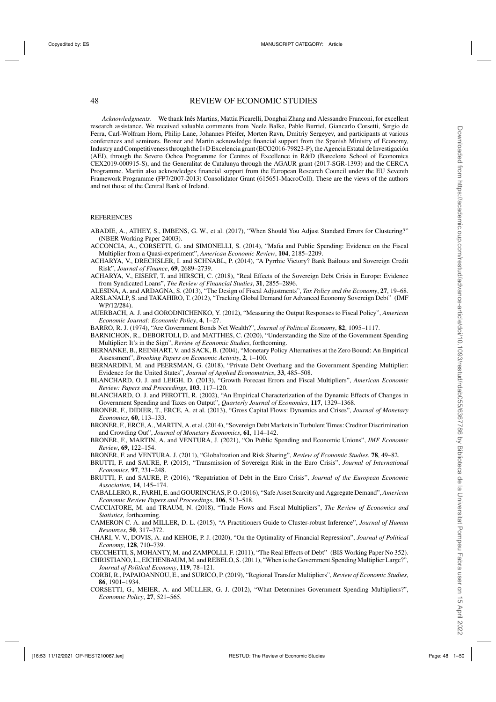<span id="page-47-0"></span>*Acknowledgments*. We thank Inês Martins, Mattia Picarelli, Donghai Zhang and Alessandro Franconi, for excellent research assistance. We received valuable comments from Neele Balke, Pablo Burriel, Giancarlo Corsetti, Sergio de Ferra, Carl-Wolfram Horn, Philip Lane, Johannes Pfeifer, Morten Ravn, Dmitriy Sergeyev, and participants at various conferences and seminars. Broner and Martin acknowledge financial support from the Spanish Ministry of Economy, Industry and Competitiveness through the I+D Excelencia grant (ECO2016-79823-P), the Agencia Estatal de Investigación (AEI), through the Severo Ochoa Programme for Centres of Excellence in R&D (Barcelona School of Economics CEX2019-000915-S), and the Generalitat de Catalunya through the AGAUR grant (2017-SGR-1393) and the CERCA Programme. Martin also acknowledges financial support from the European Research Council under the EU Seventh Framework Programme (FP7/2007-2013) Consolidator Grant (615651-MacroColl). These are the views of the authors and not those of the Central Bank of Ireland.

#### REFERENCES

- ABADIE, A., ATHEY, S., IMBENS, G. W., et al. (2017), "When Should You Adjust Standard Errors for Clustering?" (NBER Working Paper 24003).
- ACCONCIA, A., CORSETTI, G. and SIMONELLI, S. (2014), "Mafia and Public Spending: Evidence on the Fiscal Multiplier from a Quasi-experiment", *American Economic Review*, **104**, 2185–2209.
- ACHARYA, V., DRECHSLER, I. and SCHNABL, P. (2014), "A Pyrrhic Victory? Bank Bailouts and Sovereign Credit Risk", *Journal of Finance*, **69**, 2689–2739.
- ACHARYA, V., EISERT, T. and HIRSCH, C. (2018), "Real Effects of the Sovereign Debt Crisis in Europe: Evidence from Syndicated Loans", *The Review of Financial Studies*, **31**, 2855–2896.
- ALESINA, A. and ARDAGNA, S. (2013), "The Design of Fiscal Adjustments", *Tax Policy and the Economy*, **27**, 19–68.
- ARSLANALP, S. and TAKAHIRO, T. (2012), "Tracking Global Demand for Advanced Economy Sovereign Debt" (IMF WP/12/284).
- AUERBACH, A. J. and GORODNICHENKO, Y. (2012), "Measuring the Output Responses to Fiscal Policy", *American Economic Journal: Economic Policy*, **4**, 1–27.
- BARRO, R. J. (1974), "Are Government Bonds Net Wealth?", *Journal of Political Economy*, **82**, 1095–1117.
- BARNICHON, R., DEBORTOLI, D. and MATTHES, C. (2020), "Understanding the Size of the Government Spending Multiplier: It's in the Sign", *Review of Economic Studies*, forthcoming.
- BERNANKE, B., REINHART, V. and SACK, B. (2004), "Monetary Policy Alternatives at the Zero Bound: An Empirical Assessment", *Brooking Papers on Economic Activity*, **2**, 1–100.
- BERNARDINI, M. and PEERSMAN, G. (2018), "Private Debt Overhang and the Government Spending Multiplier: Evidence for the United States", *Journal of Applied Econometrics*, **33**, 485–508.
- BLANCHARD, O. J. and LEIGH, D. (2013), "Growth Forecast Errors and Fiscal Multipliers", *American Economic Review: Papers and Proceedings*, **103**, 117–120.
- BLANCHARD, O. J. and PEROTTI, R. (2002), "An Empirical Characterization of the Dynamic Effects of Changes in Government Spending and Taxes on Output", *Quarterly Journal of Economics*, **117**, 1329–1368.
- BRONER, F., DIDIER, T., ERCE, A. et al. (2013), "Gross Capital Flows: Dynamics and Crises", *Journal of Monetary Economics*, **60**, 113–133.
- BRONER, F., ERCE, A., MARTIN, A. et al. (2014), "Sovereign Debt Markets in Turbulent Times: Creditor Discrimination and Crowding Out", *Journal of Monetary Economics*, **61**, 114–142.
- BRONER, F., MARTIN, A. and VENTURA, J. (2021), "On Public Spending and Economic Unions", *IMF Economic Review*, **69**, 122–154.

BRONER, F. and VENTURA, J. (2011), "Globalization and Risk Sharing", *Review of Economic Studies*, **78**, 49–82.

- BRUTTI, F. and SAURE, P. (2015), "Transmission of Sovereign Risk in the Euro Crisis", *Journal of International Economics*, **97**, 231–248.
- BRUTTI, F. and SAURE, P. (2016), "Repatriation of Debt in the Euro Crisis", *Journal of the European Economic Association*, **14**, 145–174.
- CABALLERO, R., FARHI, E. and GOURINCHAS, P. O. (2016), "Safe Asset Scarcity and Aggregate Demand", *American Economic Review Papers and Proceedings*, **106**, 513–518.
- CACCIATORE, M. and TRAUM, N. (2018), "Trade Flows and Fiscal Multipliers", *The Review of Economics and Statistics*, forthcoming.
- CAMERON C. A. and MILLER, D. L. (2015), "A Practitioners Guide to Cluster-robust Inference", *Journal of Human Resources*, **50**, 317–372.
- CHARI, V. V., DOVIS, A. and KEHOE, P. J. (2020), "On the Optimality of Financial Repression", *Journal of Political Economy*, **128**, 710–739.

CECCHETTI, S, MOHANTY, M. and ZAMPOLLI, F. (2011), "The Real Effects of Debt" (BIS Working Paper No 352).

- CHRISTIANO, L., EICHENBAUM, M. and REBELO, S. (2011), "When is the Government Spending Multiplier Large?", *Journal of Political Economy*, **119**, 78–121.
- CORBI, R., PAPAIOANNOU, E., and SURICO, P. (2019), "Regional Transfer Multipliers", *Review of Economic Studies*, **86**, 1901–1934.
- CORSETTI, G., MEIER, A. and MÜLLER, G. J. (2012), "What Determines Government Spending Multipliers?", *Economic Policy*, **27**, 521–565.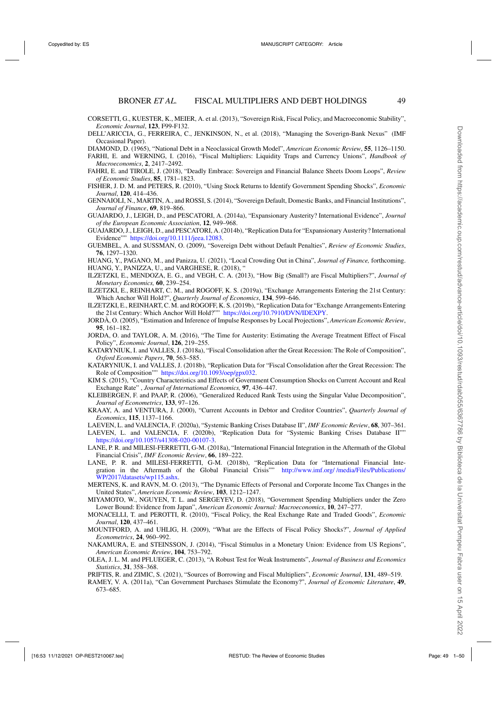- <span id="page-48-0"></span>CORSETTI, G., KUESTER, K., MEIER, A. et al. (2013), "Sovereign Risk, Fiscal Policy, and Macroeconomic Stability", *Economic Journal*, **123**, F99-F132.
- DELL'ARICCIA, G., FERREIRA, C., JENKINSON, N., et al. (2018), "Managing the Soverign-Bank Nexus" (IMF Occasional Paper).
- DIAMOND, D. (1965), "National Debt in a Neoclassical Growth Model", *American Economic Review*, **55**, 1126–1150.
- FARHI, E. and WERNING, I. (2016), "Fiscal Multipliers: Liquidity Traps and Currency Unions", *Handbook of Macroeconomics*, **2**, 2417–2492.
- FAHRI, E. and TIROLE, J. (2018), "Deadly Embrace: Sovereign and Financial Balance Sheets Doom Loops", *Review of Economic Studies*, **85**, 1781–1823.
- FISHER, J. D. M. and PETERS, R. (2010), "Using Stock Returns to Identify Government Spending Shocks", *Economic Journal*, **120**, 414–436.
- GENNAIOLI, N., MARTIN, A., and ROSSI, S. (2014), "Sovereign Default, Domestic Banks, and Financial Institutions", *Journal of Finance*, **69**, 819–866.
- GUAJARDO, J., LEIGH, D., and PESCATORI, A. (2014a), "Expansionary Austerity? International Evidence", *Journal of the European Economic Association*, **12**, 949–968.
- GUAJARDO, J., LEIGH, D., and PESCATORI, A. (2014b), "Replication Data for "Expansionary Austerity? International Evidence"" [https://doi.org/10.1111/jeea.12083.](https://doi.org/10.1111/jeea.12083)
- GUEMBEL, A. and SUSSMAN, O. (2009), "Sovereign Debt without Default Penalties", *Review of Economic Studies*, **76**, 1297–1320.
- HUANG, Y., PAGANO, M., and Panizza, U. (2021), "Local Crowding Out in China", *Journal of Finance,* forthcoming. HUANG, Y., PANIZZA, U., and VARGHESE, R. (2018), "
- ILZETZKI, E., MENDOZA, E. G., and VEGH, C. A. (2013), "How Big (Small?) are Fiscal Multipliers?", *Journal of Monetary Economics,* **60**, 239–254.
- ILZETZKI, E., REINHART, C. M., and ROGOFF, K. S. (2019a), "Exchange Arrangements Entering the 21st Century: Which Anchor Will Hold?", *Quarterly Journal of Economics*, **134**, 599–646.
- ILZETZKI, E., REINHART, C. M. and ROGOFF, K. S. (2019b), "Replication Data for "Exchange Arrangements Entering the 21st Century: Which Anchor Will Hold?"" [https://doi.org/10.7910/DVN/IDEXPY.](https://doi.org/10.7910/DVN/IDEXPY)
- JORDÀ, O. (2005), "Estimation and Inference of Impulse Responses by Local Projections", *American Economic Review*, **95**, 161–182.
- JORDA, O. and TAYLOR, A. M. (2016), "The Time for Austerity: Estimating the Average Treatment Effect of Fiscal Policy", *Economic Journal*, **126**, 219–255.
- KATARYNIUK, I. and VALLES, J. (2018a), "Fiscal Consolidation after the Great Recession: The Role of Composition", *Oxford Economic Papers*, **70**, 563–585.
- KATARYNIUK, I. and VALLES, J. (2018b), "Replication Data for "Fiscal Consolidation after the Great Recession: The Role of Composition"" [https://doi.org/10.1093/oep/gpx032.](https://doi.org/10.1093/oep/gpx032)
- KIM S. (2015), "Country Characteristics and Effects of Government Consumption Shocks on Current Account and Real Exchange Rate" , *Journal of International Economics,* **97**, 436–447.
- KLEIBERGEN, F. and PAAP, R. (2006), "Generalized Reduced Rank Tests using the Singular Value Decomposition", *Journal of Econometrics*, **133**, 97–126.
- KRAAY, A. and VENTURA, J. (2000), "Current Accounts in Debtor and Creditor Countries", *Quarterly Journal of Economics*, **115**, 1137–1166.

LAEVEN, L. and VALENCIA, F. (2020a), "Systemic Banking Crises Database II", *IMF Economic Review*, **68**, 307–361.

- LAEVEN, L. and VALENCIA, F. (2020b), "Replication Data for "Systemic Banking Crises Database II"" [https://doi.org/10.1057/s41308-020-00107-3.](https://doi.org/10.1057/s41308-020-00107-3)
- LANE, P. R. and MILESI-FERRETTI, G-M. (2018a), "International Financial Integration in the Aftermath of the Global Financial Crisis", *IMF Economic Review*, **66**, 189–222.
- LANE, P. R. and MILESI-FERRETTI, G-M. (2018b), "Replication Data for "International Financial Integration in the Aftermath of the Global Financial Crisis"" [http://www.imf.org/ /media/Files/Publications/](http://www.imf.org/~/media/Files/Publications/WP/2017/datasets/wp115.ashx) [WP/2017/datasets/wp115.ashx.](http://www.imf.org/~/media/Files/Publications/WP/2017/datasets/wp115.ashx)
- MERTENS, K. and RAVN, M. O. (2013), "The Dynamic Effects of Personal and Corporate Income Tax Changes in the United States", *American Economic Review*, **103**, 1212–1247.
- MIYAMOTO, W., NGUYEN, T. L. and SERGEYEV, D. (2018), "Government Spending Multipliers under the Zero Lower Bound: Evidence from Japan", *American Economic Journal: Macroeconomics*, **10**, 247–277.
- MONACELLI, T. and PEROTTI, R. (2010), "Fiscal Policy, the Real Exchange Rate and Traded Goods", *Economic Journal*, **120**, 437–461.
- MOUNTFORD, A. and UHLIG, H. (2009), "What are the Effects of Fiscal Policy Shocks?", *Journal of Applied Econometrics*, **24**, 960–992.
- NAKAMURA, E. and STEINSSON, J. (2014), "Fiscal Stimulus in a Monetary Union: Evidence from US Regions", *American Economic Review*, **104**, 753–792.
- OLEA, J. L. M. and PFLUEGER, C. (2013), "A Robust Test for Weak Instruments", *Journal of Business and Economics Statistics*, **31**, 358–368.
- PRIFTIS, R. and ZIMIC, S. (2021), "Sources of Borrowing and Fiscal Multipliers", *Economic Journal*, **131**, 489–519.
- RAMEY, V. A. (2011a), "Can Government Purchases Stimulate the Economy?", *Journal of Economic Literature*, **49**, 673–685.